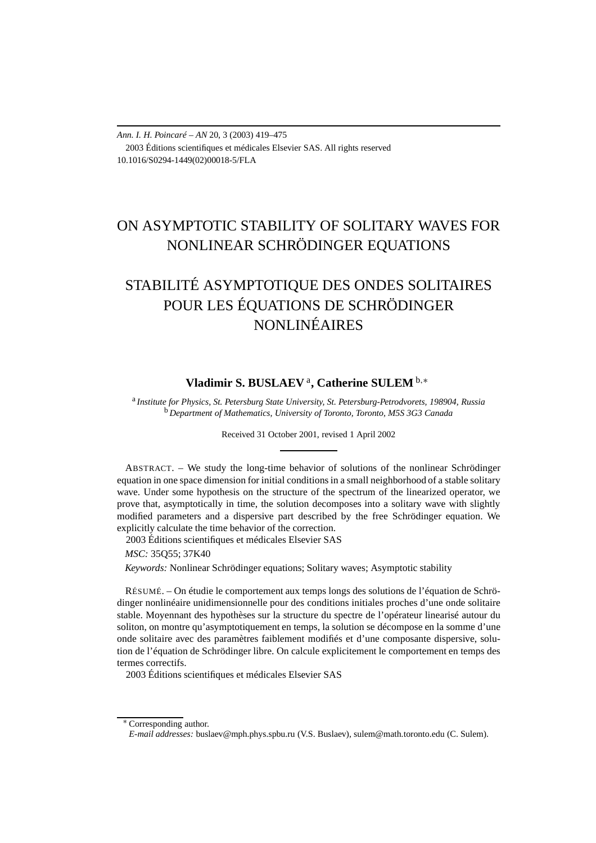*Ann. I. H. Poincaré – AN* 20, 3 (2003) 419–475 2003 Éditions scientifiques et médicales Elsevier SAS. All rights reserved 10.1016/S0294-1449(02)00018-5/FLA

## ON ASYMPTOTIC STABILITY OF SOLITARY WAVES FOR NONLINEAR SCHRÖDINGER EQUATIONS

# STABILITÉ ASYMPTOTIQUE DES ONDES SOLITAIRES POUR LES ÉQUATIONS DE SCHRÖDINGER NONLINÉAIRES

## **Vladimir S. BUSLAEV** <sup>a</sup>**, Catherine SULEM** <sup>b</sup>*,*<sup>∗</sup>

<sup>a</sup> *Institute for Physics, St. Petersburg State University, St. Petersburg-Petrodvorets, 198904, Russia* <sup>b</sup> *Department of Mathematics, University of Toronto, Toronto, M5S 3G3 Canada*

Received 31 October 2001, revised 1 April 2002

ABSTRACT. – We study the long-time behavior of solutions of the nonlinear Schrödinger equation in one space dimension for initial conditions in a small neighborhood of a stable solitary wave. Under some hypothesis on the structure of the spectrum of the linearized operator, we prove that, asymptotically in time, the solution decomposes into a solitary wave with slightly modified parameters and a dispersive part described by the free Schrödinger equation. We explicitly calculate the time behavior of the correction.

2003 Éditions scientifiques et médicales Elsevier SAS

*MSC:* 35Q55; 37K40

*Keywords:* Nonlinear Schrödinger equations; Solitary waves; Asymptotic stability

RÉSUMÉ. – On étudie le comportement aux temps longs des solutions de l'équation de Schrödinger nonlinéaire unidimensionnelle pour des conditions initiales proches d'une onde solitaire stable. Moyennant des hypothèses sur la structure du spectre de l'opérateur linearisé autour du soliton, on montre qu'asymptotiquement en temps, la solution se décompose en la somme d'une onde solitaire avec des paramètres faiblement modifiés et d'une composante dispersive, solution de l'équation de Schrödinger libre. On calcule explicitement le comportement en temps des termes correctifs.

2003 Éditions scientifiques et médicales Elsevier SAS

<sup>∗</sup> Corresponding author. *E-mail addresses:* buslaev@mph.phys.spbu.ru (V.S. Buslaev), sulem@math.toronto.edu (C. Sulem).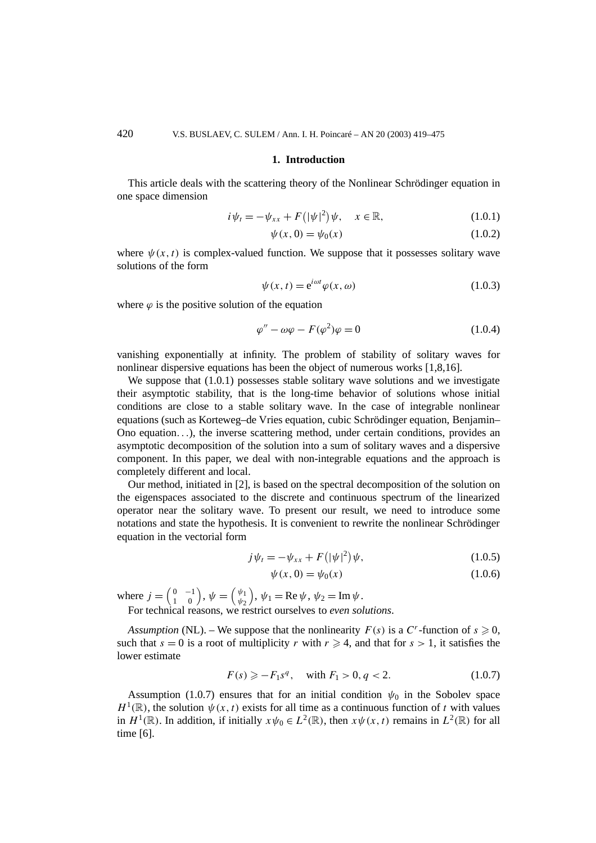#### **1. Introduction**

This article deals with the scattering theory of the Nonlinear Schrödinger equation in one space dimension

$$
i\psi_t = -\psi_{xx} + F(|\psi|^2)\psi, \quad x \in \mathbb{R}, \tag{1.0.1}
$$

$$
\psi(x,0) = \psi_0(x) \tag{1.0.2}
$$

where  $\psi(x, t)$  is complex-valued function. We suppose that it possesses solitary wave solutions of the form

$$
\psi(x,t) = e^{i\omega t} \varphi(x,\omega) \tag{1.0.3}
$$

where  $\varphi$  is the positive solution of the equation

$$
\varphi'' - \omega \varphi - F(\varphi^2)\varphi = 0 \tag{1.0.4}
$$

vanishing exponentially at infinity. The problem of stability of solitary waves for nonlinear dispersive equations has been the object of numerous works [1,8,16].

We suppose that  $(1.0.1)$  possesses stable solitary wave solutions and we investigate their asymptotic stability, that is the long-time behavior of solutions whose initial conditions are close to a stable solitary wave. In the case of integrable nonlinear equations (such as Korteweg–de Vries equation, cubic Schrödinger equation, Benjamin– Ono equation*...*), the inverse scattering method, under certain conditions, provides an asymptotic decomposition of the solution into a sum of solitary waves and a dispersive component. In this paper, we deal with non-integrable equations and the approach is completely different and local.

Our method, initiated in [2], is based on the spectral decomposition of the solution on the eigenspaces associated to the discrete and continuous spectrum of the linearized operator near the solitary wave. To present our result, we need to introduce some notations and state the hypothesis. It is convenient to rewrite the nonlinear Schrödinger equation in the vectorial form

$$
j\psi_t = -\psi_{xx} + F(|\psi|^2)\psi,
$$
 (1.0.5)

$$
\psi(x,0) = \psi_0(x) \tag{1.0.6}
$$

where  $j = \begin{pmatrix} 0 & -1 \\ 1 & 0 \end{pmatrix}$ ,  $\psi = \begin{pmatrix} \psi_1 \\ \psi_2 \end{pmatrix}$ *ψ*2  $\psi_1 = \text{Re }\psi, \psi_2 = \text{Im }\psi.$ For technical reasons, we restrict ourselves to *even solutions*.

*Assumption* (NL). – We suppose that the nonlinearity  $F(s)$  is a  $C<sup>r</sup>$ -function of  $s \ge 0$ , such that  $s = 0$  is a root of multiplicity *r* with  $r \ge 4$ , and that for  $s > 1$ , it satisfies the lower estimate

$$
F(s) \geq -F_1 s^q, \quad \text{with } F_1 > 0, q < 2. \tag{1.0.7}
$$

Assumption (1.0.7) ensures that for an initial condition  $\psi_0$  in the Sobolev space  $H^1(\mathbb{R})$ , the solution  $\psi(x, t)$  exists for all time as a continuous function of *t* with values in  $H^1(\mathbb{R})$ . In addition, if initially  $x\psi_0 \in L^2(\mathbb{R})$ , then  $x\psi(x, t)$  remains in  $L^2(\mathbb{R})$  for all time [6].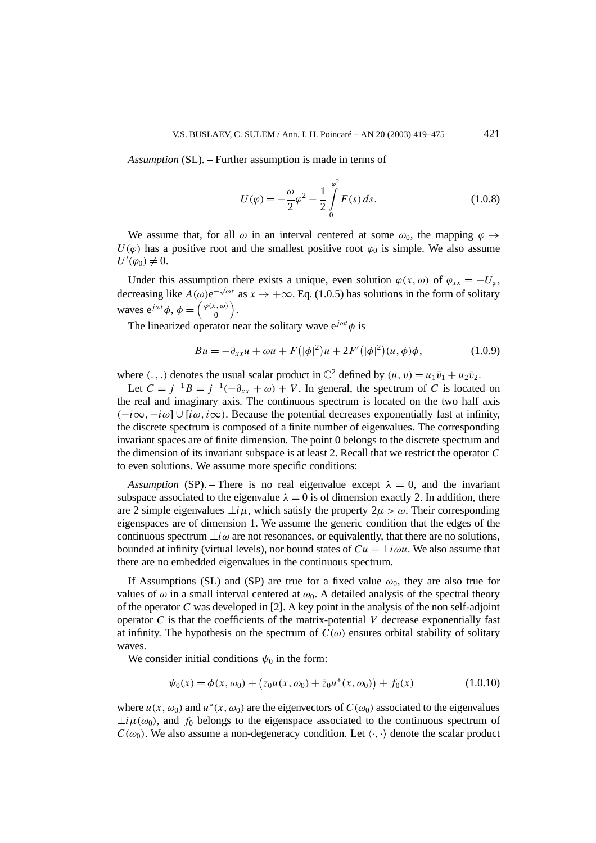*Assumption* (SL). – Further assumption is made in terms of

$$
U(\varphi) = -\frac{\omega}{2}\varphi^2 - \frac{1}{2}\int_{0}^{\varphi^2} F(s) \, ds. \tag{1.0.8}
$$

We assume that, for all  $\omega$  in an interval centered at some  $\omega_0$ , the mapping  $\varphi \rightarrow$  $U(\varphi)$  has a positive root and the smallest positive root  $\varphi_0$  is simple. We also assume  $U'(\varphi_0) \neq 0.$ 

Under this assumption there exists a unique, even solution  $\varphi(x, \omega)$  of  $\varphi_{xx} = -U_{\omega}$ , decreasing like  $A(\omega)e^{-\sqrt{\omega}x}$  as  $x \to +\infty$ . Eq. (1.0.5) has solutions in the form of solitary waves  $e^{j\omega t}\phi$ ,  $\phi = \begin{pmatrix} \varphi(x,\omega) \\ 0 \end{pmatrix}$  $\boldsymbol{0}$ .

The linearized operator near the solitary wave  $e^{j\omega t}\phi$  is

$$
Bu = -\partial_{xx}u + \omega u + F(|\phi|^2)u + 2F'(|\phi|^2)(u, \phi)\phi, \qquad (1.0.9)
$$

where  $(., .)$  denotes the usual scalar product in  $\mathbb{C}^2$  defined by  $(u, v) = u_1 \bar{v}_1 + u_2 \bar{v}_2$ .

Let  $C = j^{-1}B = j^{-1}(-\partial_{xx} + \omega) + V$ . In general, the spectrum of *C* is located on the real and imaginary axis. The continuous spectrum is located on the two half axis *(*−*i*∞*,*−*iω*]∪[*iω, i*∞*)*. Because the potential decreases exponentially fast at infinity, the discrete spectrum is composed of a finite number of eigenvalues. The corresponding invariant spaces are of finite dimension. The point 0 belongs to the discrete spectrum and the dimension of its invariant subspace is at least 2. Recall that we restrict the operator *C* to even solutions. We assume more specific conditions:

*Assumption* (SP). – There is no real eigenvalue except  $\lambda = 0$ , and the invariant subspace associated to the eigenvalue  $\lambda = 0$  is of dimension exactly 2. In addition, there are 2 simple eigenvalues  $\pm i\mu$ , which satisfy the property  $2\mu > \omega$ . Their corresponding eigenspaces are of dimension 1. We assume the generic condition that the edges of the continuous spectrum  $\pm i\omega$  are not resonances, or equivalently, that there are no solutions, bounded at infinity (virtual levels), nor bound states of  $Cu = \pm i \omega u$ . We also assume that there are no embedded eigenvalues in the continuous spectrum.

If Assumptions (SL) and (SP) are true for a fixed value  $\omega_0$ , they are also true for values of  $\omega$  in a small interval centered at  $\omega_0$ . A detailed analysis of the spectral theory of the operator *C* was developed in [2]. A key point in the analysis of the non self-adjoint operator  $C$  is that the coefficients of the matrix-potential  $V$  decrease exponentially fast at infinity. The hypothesis on the spectrum of  $C(\omega)$  ensures orbital stability of solitary waves.

We consider initial conditions  $\psi_0$  in the form:

$$
\psi_0(x) = \phi(x, \omega_0) + (z_0 u(x, \omega_0) + \bar{z}_0 u^*(x, \omega_0)) + f_0(x)
$$
\n(1.0.10)

where  $u(x, \omega_0)$  and  $u^*(x, \omega_0)$  are the eigenvectors of  $C(\omega_0)$  associated to the eigenvalues  $\pm i\mu(\omega_0)$ , and  $f_0$  belongs to the eigenspace associated to the continuous spectrum of  $C(\omega_0)$ . We also assume a non-degeneracy condition. Let  $\langle \cdot, \cdot \rangle$  denote the scalar product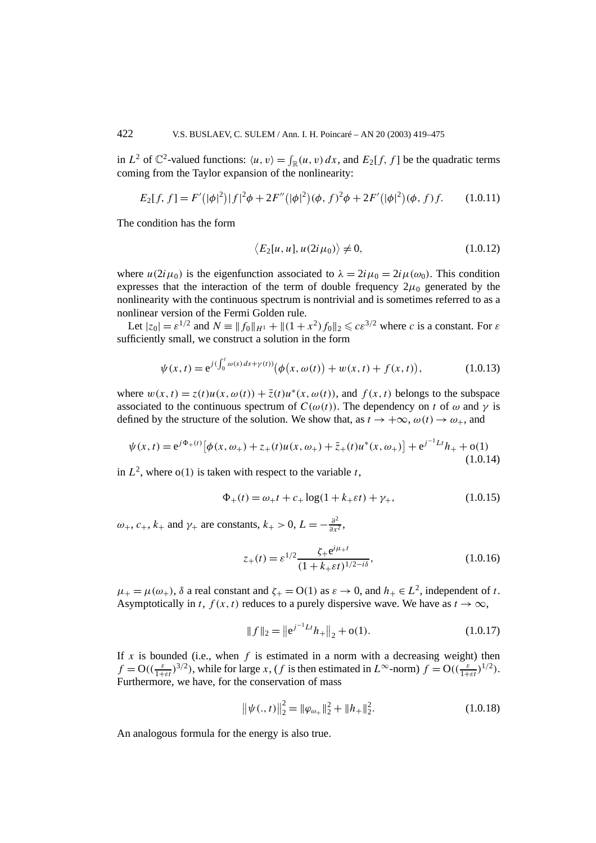in  $L^2$  of  $\mathbb{C}^2$ -valued functions:  $\langle u, v \rangle = \int_{\mathbb{R}} (u, v) dx$ , and  $E_2[f, f]$  be the quadratic terms coming from the Taylor expansion of the nonlinearity:

$$
E_2[f, f] = F'(|\phi|^2)|f|^2\phi + 2F''(|\phi|^2)(\phi, f)^2\phi + 2F'(|\phi|^2)(\phi, f)f. \qquad (1.0.11)
$$

The condition has the form

$$
\langle E_2[u, u], u(2i\mu_0) \rangle \neq 0, \qquad (1.0.12)
$$

where  $u(2i\mu_0)$  is the eigenfunction associated to  $\lambda = 2i\mu_0 = 2i\mu(\omega_0)$ . This condition expresses that the interaction of the term of double frequency  $2\mu_0$  generated by the nonlinearity with the continuous spectrum is nontrivial and is sometimes referred to as a nonlinear version of the Fermi Golden rule.

Let  $|z_0| = \varepsilon^{1/2}$  and  $N = ||f_0||_{H^1} + ||(1 + x^2)f_0||_2 \leqslant c\varepsilon^{3/2}$  where *c* is a constant. For  $\varepsilon$ sufficiently small, we construct a solution in the form

$$
\psi(x,t) = e^{j(\int_0^t \omega(s)ds + \gamma(t))} \big( \phi(x,\omega(t)) + w(x,t) + f(x,t) \big), \tag{1.0.13}
$$

where  $w(x, t) = z(t)u(x, \omega(t)) + \overline{z}(t)u^*(x, \omega(t))$ , and  $f(x, t)$  belongs to the subspace associated to the continuous spectrum of  $C(\omega(t))$ . The dependency on *t* of  $\omega$  and  $\gamma$  is defined by the structure of the solution. We show that, as  $t \to +\infty$ ,  $\omega(t) \to \omega_+$ , and

$$
\psi(x,t) = e^{j\Phi_+(t)} \left[ \phi(x,\omega_+) + z_+(t)u(x,\omega_+) + \bar{z}_+(t)u^*(x,\omega_+) \right] + e^{j^{-1}Lt}h_+ + o(1)
$$
\n(1.0.14)

in  $L^2$ , where  $o(1)$  is taken with respect to the variable *t*,

$$
\Phi_{+}(t) = \omega_{+}t + c_{+}\log(1 + k_{+}\varepsilon t) + \gamma_{+},
$$
\n(1.0.15)

*ω*<sub>+</sub>, *c*<sub>+</sub>, *k*<sub>+</sub> and *γ*<sub>+</sub> are constants, *k*<sub>+</sub> > 0, *L* = − $\frac{\partial^2}{\partial x^2}$ ,

$$
z_{+}(t) = \varepsilon^{1/2} \frac{\zeta_{+} e^{i\mu_{+}t}}{(1 + k_{+} \varepsilon t)^{1/2 - i\delta}},
$$
\n(1.0.16)

 $\mu_{+} = \mu(\omega_{+}), \delta$  a real constant and  $\zeta_{+} = O(1)$  as  $\varepsilon \to 0$ , and  $h_{+} \in L^{2}$ , independent of *t*. Asymptotically in *t*,  $f(x, t)$  reduces to a purely dispersive wave. We have as  $t \to \infty$ ,

$$
||f||_2 = ||e^{j^{-1}Lt}h_+||_2 + o(1).
$$
 (1.0.17)

If  $x$  is bounded (i.e., when  $f$  is estimated in a norm with a decreasing weight) then  $f = O((\frac{\varepsilon}{1+\varepsilon t})^{3/2})$ , while for large *x*, (*f* is then estimated in  $L^{\infty}$ -norm)  $f = O((\frac{\varepsilon}{1+\varepsilon t})^{1/2})$ . Furthermore, we have, for the conservation of mass

$$
\|\psi(.,t)\|_2^2 = \|\varphi_{\omega_+}\|_2^2 + \|h_+\|_2^2. \tag{1.0.18}
$$

An analogous formula for the energy is also true.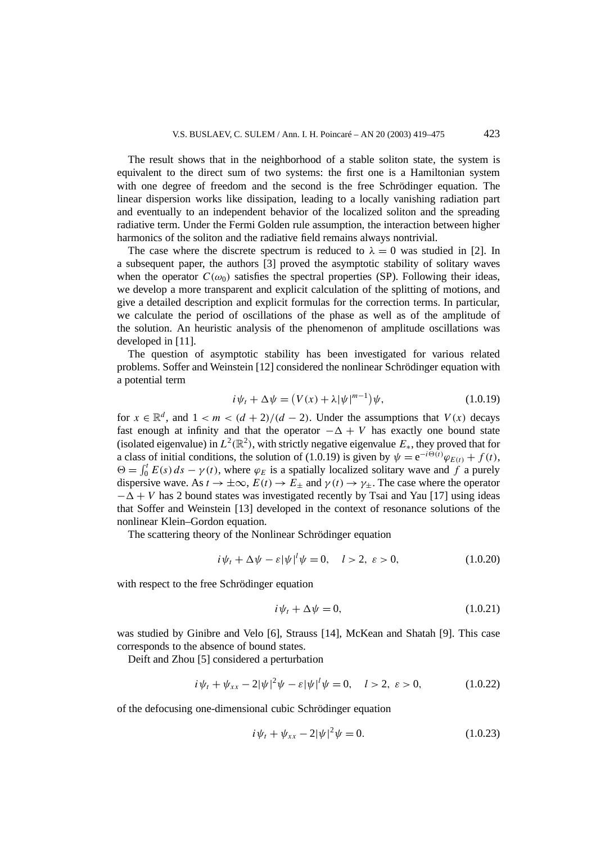The result shows that in the neighborhood of a stable soliton state, the system is equivalent to the direct sum of two systems: the first one is a Hamiltonian system with one degree of freedom and the second is the free Schrödinger equation. The linear dispersion works like dissipation, leading to a locally vanishing radiation part and eventually to an independent behavior of the localized soliton and the spreading radiative term. Under the Fermi Golden rule assumption, the interaction between higher harmonics of the soliton and the radiative field remains always nontrivial.

The case where the discrete spectrum is reduced to  $\lambda = 0$  was studied in [2]. In a subsequent paper, the authors [3] proved the asymptotic stability of solitary waves when the operator  $C(\omega_0)$  satisfies the spectral properties (SP). Following their ideas, we develop a more transparent and explicit calculation of the splitting of motions, and give a detailed description and explicit formulas for the correction terms. In particular, we calculate the period of oscillations of the phase as well as of the amplitude of the solution. An heuristic analysis of the phenomenon of amplitude oscillations was developed in [11].

The question of asymptotic stability has been investigated for various related problems. Soffer and Weinstein [12] considered the nonlinear Schrödinger equation with a potential term

$$
i\psi_t + \Delta \psi = (V(x) + \lambda |\psi|^{m-1})\psi,
$$
\n(1.0.19)

for  $x \in \mathbb{R}^d$ , and  $1 < m < (d+2)/(d-2)$ . Under the assumptions that  $V(x)$  decays fast enough at infinity and that the operator  $-\Delta + V$  has exactly one bound state (isolated eigenvalue) in  $L^2(\mathbb{R}^2)$ , with strictly negative eigenvalue  $E_*$ , they proved that for a class of initial conditions, the solution of (1.0.19) is given by  $\psi = e^{-i\Theta(t)}\varphi_{E(t)} + f(t)$ ,  $\Theta = \int_0^t E(s) ds - \gamma(t)$ , where  $\varphi_E$  is a spatially localized solitary wave and *f* a purely dispersive wave. As  $t \to \pm \infty$ ,  $E(t) \to E_{\pm}$  and  $\gamma(t) \to \gamma_{\pm}$ . The case where the operator  $-\Delta + V$  has 2 bound states was investigated recently by Tsai and Yau [17] using ideas that Soffer and Weinstein [13] developed in the context of resonance solutions of the nonlinear Klein–Gordon equation.

The scattering theory of the Nonlinear Schrödinger equation

$$
i\psi_t + \Delta\psi - \varepsilon|\psi|^{l}\psi = 0, \quad l > 2, \ \varepsilon > 0,
$$
\n(1.0.20)

with respect to the free Schrödinger equation

$$
i\psi_t + \Delta\psi = 0,\tag{1.0.21}
$$

was studied by Ginibre and Velo [6], Strauss [14], McKean and Shatah [9]. This case corresponds to the absence of bound states.

Deift and Zhou [5] considered a perturbation

$$
i\psi_t + \psi_{xx} - 2|\psi|^2\psi - \varepsilon|\psi|^l\psi = 0, \quad l > 2, \ \varepsilon > 0,
$$
 (1.0.22)

of the defocusing one-dimensional cubic Schrödinger equation

$$
i\psi_t + \psi_{xx} - 2|\psi|^2\psi = 0.
$$
 (1.0.23)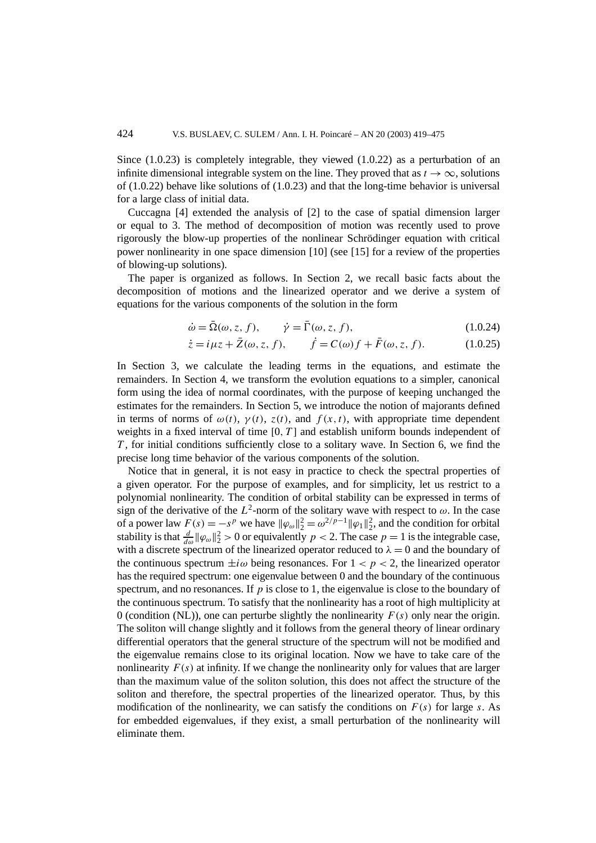Since  $(1.0.23)$  is completely integrable, they viewed  $(1.0.22)$  as a perturbation of an infinite dimensional integrable system on the line. They proved that as  $t \to \infty$ , solutions of  $(1.0.22)$  behave like solutions of  $(1.0.23)$  and that the long-time behavior is universal for a large class of initial data.

Cuccagna [4] extended the analysis of [2] to the case of spatial dimension larger or equal to 3. The method of decomposition of motion was recently used to prove rigorously the blow-up properties of the nonlinear Schrödinger equation with critical power nonlinearity in one space dimension [10] (see [15] for a review of the properties of blowing-up solutions).

The paper is organized as follows. In Section 2, we recall basic facts about the decomposition of motions and the linearized operator and we derive a system of equations for the various components of the solution in the form

$$
\dot{\omega} = \bar{\Omega}(\omega, z, f), \qquad \dot{\gamma} = \bar{\Gamma}(\omega, z, f), \tag{1.0.24}
$$

$$
\dot{z} = i\mu z + \bar{Z}(\omega, z, f),
$$
  $\dot{f} = C(\omega)f + \bar{F}(\omega, z, f).$  (1.0.25)

In Section 3, we calculate the leading terms in the equations, and estimate the remainders. In Section 4, we transform the evolution equations to a simpler, canonical form using the idea of normal coordinates, with the purpose of keeping unchanged the estimates for the remainders. In Section 5, we introduce the notion of majorants defined in terms of norms of  $\omega(t)$ ,  $\gamma(t)$ ,  $z(t)$ , and  $f(x, t)$ , with appropriate time dependent weights in a fixed interval of time  $[0, T]$  and establish uniform bounds independent of *T* , for initial conditions sufficiently close to a solitary wave. In Section 6, we find the precise long time behavior of the various components of the solution.

Notice that in general, it is not easy in practice to check the spectral properties of a given operator. For the purpose of examples, and for simplicity, let us restrict to a polynomial nonlinearity. The condition of orbital stability can be expressed in terms of sign of the derivative of the  $L^2$ -norm of the solitary wave with respect to  $\omega$ . In the case of a power law  $F(s) = -s^p$  we have  $\|\varphi_{\omega}\|_2^2 = \omega^{2/p-1} \|\varphi_1\|_2^2$ , and the condition for orbital stability is that  $\frac{d}{d\omega} \|\varphi_{\omega}\|_2^2 > 0$  or equivalently  $p < 2$ . The case  $p = 1$  is the integrable case, with a discrete spectrum of the linearized operator reduced to  $\lambda = 0$  and the boundary of the continuous spectrum  $\pm i\omega$  being resonances. For  $1 < p < 2$ , the linearized operator has the required spectrum: one eigenvalue between 0 and the boundary of the continuous spectrum, and no resonances. If *p* is close to 1, the eigenvalue is close to the boundary of the continuous spectrum. To satisfy that the nonlinearity has a root of high multiplicity at 0 (condition (NL)), one can perturbe slightly the nonlinearity  $F(s)$  only near the origin. The soliton will change slightly and it follows from the general theory of linear ordinary differential operators that the general structure of the spectrum will not be modified and the eigenvalue remains close to its original location. Now we have to take care of the nonlinearity  $F(s)$  at infinity. If we change the nonlinearity only for values that are larger than the maximum value of the soliton solution, this does not affect the structure of the soliton and therefore, the spectral properties of the linearized operator. Thus, by this modification of the nonlinearity, we can satisfy the conditions on  $F(s)$  for large *s*. As for embedded eigenvalues, if they exist, a small perturbation of the nonlinearity will eliminate them.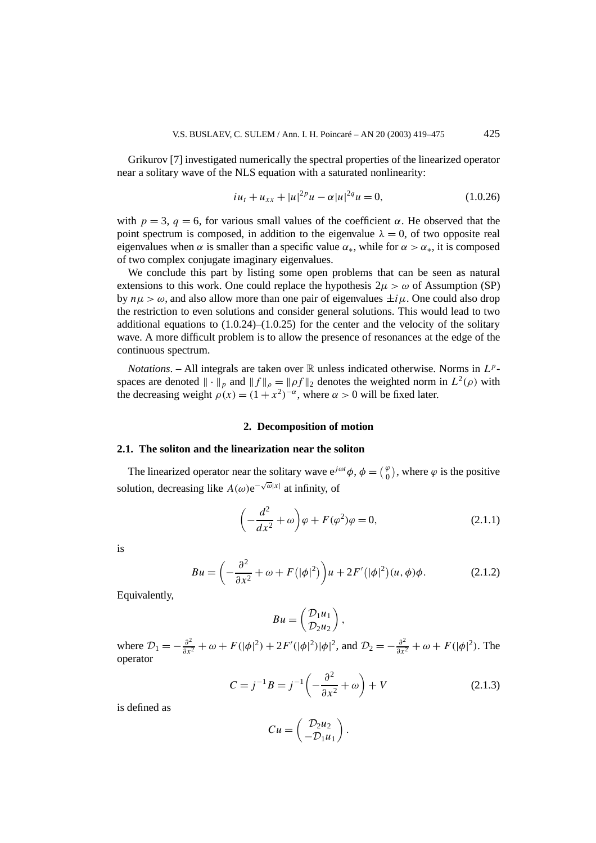Grikurov [7] investigated numerically the spectral properties of the linearized operator near a solitary wave of the NLS equation with a saturated nonlinearity:

$$
iu_t + u_{xx} + |u|^{2p}u - \alpha |u|^{2q}u = 0,
$$
\n(1.0.26)

with  $p = 3$ ,  $q = 6$ , for various small values of the coefficient  $\alpha$ . He observed that the point spectrum is composed, in addition to the eigenvalue  $\lambda = 0$ , of two opposite real eigenvalues when *α* is smaller than a specific value  $\alpha_*$ , while for  $\alpha > \alpha_*$ , it is composed of two complex conjugate imaginary eigenvalues.

We conclude this part by listing some open problems that can be seen as natural extensions to this work. One could replace the hypothesis  $2\mu > \omega$  of Assumption (SP) by  $n\mu > \omega$ , and also allow more than one pair of eigenvalues  $\pm i\mu$ . One could also drop the restriction to even solutions and consider general solutions. This would lead to two additional equations to  $(1.0.24)$ – $(1.0.25)$  for the center and the velocity of the solitary wave. A more difficult problem is to allow the presence of resonances at the edge of the continuous spectrum.

*Notations.* – All integrals are taken over  $\mathbb R$  unless indicated otherwise. Norms in  $L^p$ spaces are denoted  $\|\cdot\|_p$  and  $\|f\|_p = \| \rho f \|_2$  denotes the weighted norm in  $L^2(\rho)$  with the decreasing weight  $\rho(x) = (1 + x^2)^{-\alpha}$ , where  $\alpha > 0$  will be fixed later.

#### **2. Decomposition of motion**

#### **2.1. The soliton and the linearization near the soliton**

The linearized operator near the solitary wave  $e^{j\omega t}\phi$ ,  $\phi = \begin{pmatrix} \varphi \\ 0 \end{pmatrix}$ , where  $\varphi$  is the positive solution, decreasing like *A*( $\omega$ )e<sup> $-\sqrt{\omega}|x|$ </sup> at infinity, of

$$
\left(-\frac{d^2}{dx^2} + \omega\right)\varphi + F(\varphi^2)\varphi = 0,\tag{2.1.1}
$$

is

$$
Bu = \left(-\frac{\partial^2}{\partial x^2} + \omega + F(|\phi|^2)\right)u + 2F'(|\phi|^2)(u, \phi)\phi.
$$
 (2.1.2)

Equivalently,

$$
Bu = \begin{pmatrix} \mathcal{D}_1 u_1 \\ \mathcal{D}_2 u_2 \end{pmatrix},
$$

where  $\mathcal{D}_1 = -\frac{\partial^2}{\partial x^2} + \omega + F(|\phi|^2) + 2F'(|\phi|^2)|\phi|^2$ , and  $\mathcal{D}_2 = -\frac{\partial^2}{\partial x^2} + \omega + F(|\phi|^2)$ . The operator

$$
C = j^{-1}B = j^{-1}\left(-\frac{\partial^2}{\partial x^2} + \omega\right) + V\tag{2.1.3}
$$

is defined as

$$
Cu=\begin{pmatrix}\mathcal{D}_2u_2\\-\mathcal{D}_1u_1\end{pmatrix}.
$$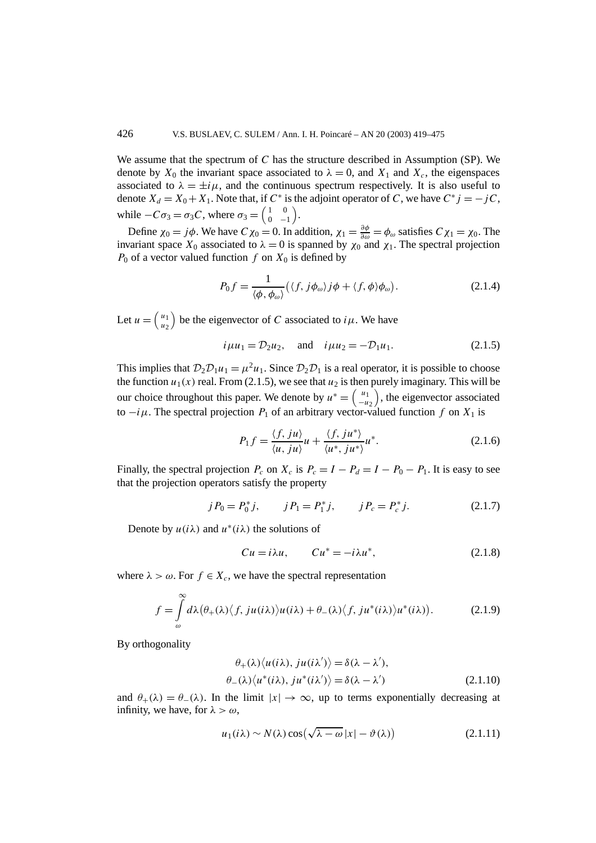We assume that the spectrum of *C* has the structure described in Assumption (SP). We denote by  $X_0$  the invariant space associated to  $\lambda = 0$ , and  $X_1$  and  $X_c$ , the eigenspaces associated to  $\lambda = \pm i\mu$ , and the continuous spectrum respectively. It is also useful to denote  $X_d = X_0 + X_1$ . Note that, if  $C^*$  is the adjoint operator of *C*, we have  $C^*$  *j* = −*jC*, while  $-C\sigma_3 = \sigma_3 C$ , where  $\sigma_3 = \begin{pmatrix} 1 & 0 \\ 0 & -1 \end{pmatrix}$  $0 -1$ .

Define  $\chi_0 = j\phi$ . We have  $C\chi_0 = 0$ . In addition,  $\chi_1 = \frac{\partial \phi}{\partial \omega} = \phi_\omega$  satisfies  $C\chi_1 = \chi_0$ . The invariant space  $X_0$  associated to  $\lambda = 0$  is spanned by  $\chi_0$  and  $\chi_1$ . The spectral projection  $P_0$  of a vector valued function  $f$  on  $X_0$  is defined by

$$
P_0 f = \frac{1}{\langle \phi, \phi_\omega \rangle} (\langle f, j\phi_\omega \rangle j\phi + \langle f, \phi \rangle \phi_\omega). \tag{2.1.4}
$$

Let  $u = \begin{pmatrix} u_1 \\ u_2 \end{pmatrix}$ *u*2 ) be the eigenvector of *C* associated to  $i\mu$ . We have

$$
i\mu u_1 = D_2 u_2
$$
, and  $i\mu u_2 = -D_1 u_1$ . (2.1.5)

This implies that  $\mathcal{D}_2\mathcal{D}_1u_1 = \mu^2u_1$ . Since  $\mathcal{D}_2\mathcal{D}_1$  is a real operator, it is possible to choose the function  $u_1(x)$  real. From (2.1.5), we see that  $u_2$  is then purely imaginary. This will be our choice throughout this paper. We denote by  $u^* = \begin{pmatrix} u_1 \\ u_2 \end{pmatrix}$ −*u*<sup>2</sup> ), the eigenvector associated to  $-i\mu$ . The spectral projection  $P_1$  of an arbitrary vector-valued function f on  $X_1$  is

$$
P_1 f = \frac{\langle f, ju \rangle}{\langle u, ju \rangle} u + \frac{\langle f, ju^* \rangle}{\langle u^*, ju^* \rangle} u^*.
$$
 (2.1.6)

Finally, the spectral projection  $P_c$  on  $X_c$  is  $P_c = I - P_d = I - P_0 - P_1$ . It is easy to see that the projection operators satisfy the property

$$
j P_0 = P_0^* j
$$
,  $j P_1 = P_1^* j$ ,  $j P_c = P_c^* j$ . (2.1.7)

Denote by  $u(i\lambda)$  and  $u^*(i\lambda)$  the solutions of

$$
Cu = i\lambda u, \qquad Cu^* = -i\lambda u^*, \tag{2.1.8}
$$

where  $\lambda > \omega$ . For  $f \in X_c$ , we have the spectral representation

$$
f = \int_{\omega}^{\infty} d\lambda \big(\theta_{+}(\lambda) \big\langle f, j u(i\lambda) \big\rangle u(i\lambda) + \theta_{-}(\lambda) \big\langle f, j u^{*}(i\lambda) \big\rangle u^{*}(i\lambda) \big).
$$
 (2.1.9)

By orthogonality

$$
\theta_{+}(\lambda)\langle u(i\lambda), ju(i\lambda')\rangle = \delta(\lambda - \lambda'),\n\theta_{-}(\lambda)\langle u^*(i\lambda), ju^*(i\lambda')\rangle = \delta(\lambda - \lambda')\n\tag{2.1.10}
$$

and  $\theta_+(\lambda) = \theta_-(\lambda)$ . In the limit  $|x| \to \infty$ , up to terms exponentially decreasing at infinity, we have, for  $\lambda > \omega$ ,

$$
u_1(i\lambda) \sim N(\lambda) \cos(\sqrt{\lambda - \omega} |x| - \vartheta(\lambda))
$$
 (2.1.11)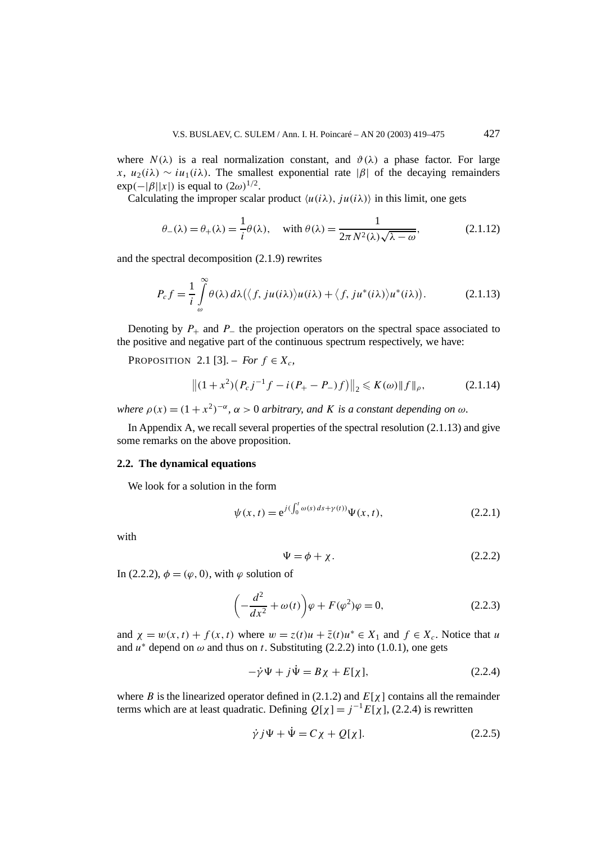where  $N(\lambda)$  is a real normalization constant, and  $\vartheta(\lambda)$  a phase factor. For large *x*,  $u_2(i\lambda) \sim iu_1(i\lambda)$ . The smallest exponential rate |*β*| of the decaying remainders  $\exp(-|\beta||x|)$  is equal to  $(2\omega)^{1/2}$ .

Calculating the improper scalar product  $\langle u(i\lambda), i u(i\lambda) \rangle$  in this limit, one gets

$$
\theta_{-}(\lambda) = \theta_{+}(\lambda) = \frac{1}{i}\theta(\lambda), \quad \text{with } \theta(\lambda) = \frac{1}{2\pi N^{2}(\lambda)\sqrt{\lambda - \omega}}, \tag{2.1.12}
$$

and the spectral decomposition (2.1.9) rewrites

$$
P_c f = \frac{1}{i} \int_{\omega}^{\infty} \theta(\lambda) d\lambda (\langle f, ju(i\lambda) \rangle u(i\lambda) + \langle f, ju^*(i\lambda) \rangle u^*(i\lambda)).
$$
 (2.1.13)

Denoting by  $P_+$  and  $P_-$  the projection operators on the spectral space associated to the positive and negative part of the continuous spectrum respectively, we have:

PROPOSITION 2.1 [3]. – *For*  $f \in X_c$ ,

$$
||(1+x^2)(P_c j^{-1}f - i(P_+ - P_-)f)||_2 \le K(\omega) ||f||_{\rho},
$$
\n(2.1.14)

*where*  $\rho(x) = (1 + x^2)^{-\alpha}$ ,  $\alpha > 0$  *arbitrary, and K is a constant depending on*  $\omega$ *.* 

In Appendix A, we recall several properties of the spectral resolution (2.1.13) and give some remarks on the above proposition.

## **2.2. The dynamical equations**

We look for a solution in the form

$$
\psi(x,t) = e^{j(\int_0^t \omega(s) ds + \gamma(t))} \Psi(x,t),
$$
\n(2.2.1)

with

$$
\Psi = \phi + \chi. \tag{2.2.2}
$$

In (2.2.2),  $\phi = (\varphi, 0)$ , with  $\varphi$  solution of

$$
\left(-\frac{d^2}{dx^2} + \omega(t)\right)\varphi + F(\varphi^2)\varphi = 0,\tag{2.2.3}
$$

and  $\chi = w(x, t) + f(x, t)$  where  $w = z(t)u + \overline{z}(t)u^* \in X_1$  and  $f \in X_c$ . Notice that *u* and  $u^*$  depend on  $\omega$  and thus on *t*. Substituting (2.2.2) into (1.0.1), one gets

$$
-\dot{\gamma}\Psi + j\dot{\Psi} = B\chi + E[\chi],\tag{2.2.4}
$$

where *B* is the linearized operator defined in (2.1.2) and  $E[\chi]$  contains all the remainder terms which are at least quadratic. Defining  $Q[\chi] = j^{-1} E[\chi]$ , (2.2.4) is rewritten

$$
\dot{\gamma} j \Psi + \dot{\Psi} = C \chi + Q[\chi]. \tag{2.2.5}
$$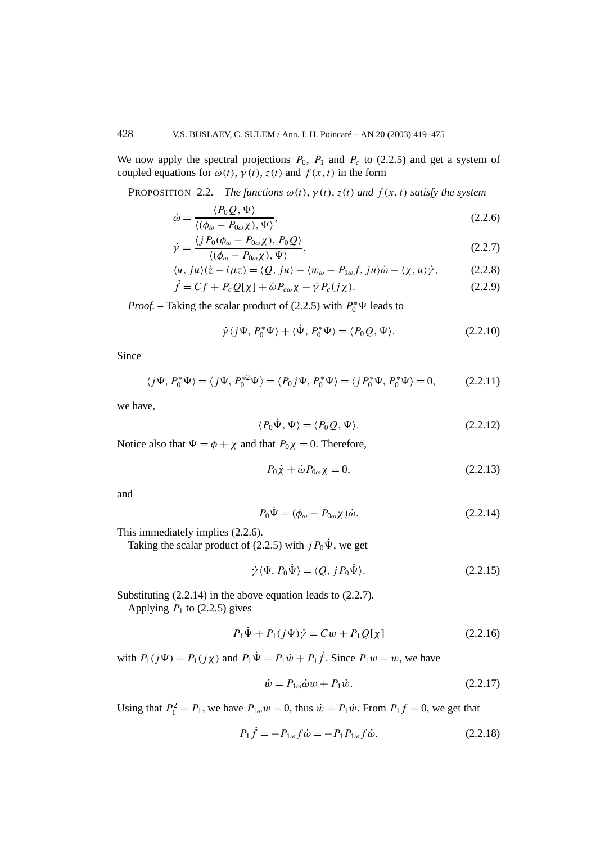We now apply the spectral projections  $P_0$ ,  $P_1$  and  $P_c$  to (2.2.5) and get a system of coupled equations for  $\omega(t)$ ,  $\gamma(t)$ ,  $z(t)$  and  $f(x, t)$  in the form

PROPOSITION 2.2. – *The functions*  $\omega(t)$ *,*  $\gamma(t)$ *,*  $z(t)$  *and*  $f(x, t)$  *satisfy the system* 

$$
\dot{\omega} = \frac{\langle P_0 Q, \Psi \rangle}{\langle (\phi_\omega - P_{0\omega}\chi), \Psi \rangle},\tag{2.2.6}
$$

$$
\dot{\gamma} = \frac{\langle j P_0(\phi_\omega - P_{0\omega}\chi), P_0 Q \rangle}{\langle (\phi_\omega - P_{0\omega}\chi), \Psi \rangle},
$$
\n(2.2.7)

$$
\langle u, ju \rangle(\dot{z} - i\mu z) = \langle Q, ju \rangle - \langle w_{\omega} - P_{1\omega}f, ju \rangle \dot{\omega} - \langle \chi, u \rangle \dot{\gamma}, \tag{2.2.8}
$$

$$
\dot{f} = Cf + P_c Q[\chi] + \dot{\omega} P_{c\omega}\chi - \dot{\gamma} P_c(j\chi). \tag{2.2.9}
$$

*Proof.* – Taking the scalar product of (2.2.5) with  $P_0^* \Psi$  leads to

$$
\dot{\gamma}\langle j\Psi, P_0^*\Psi\rangle + \langle \dot{\Psi}, P_0^*\Psi\rangle = \langle P_0Q, \Psi\rangle. \tag{2.2.10}
$$

Since

$$
\langle j\Psi, P_0^*\Psi \rangle = \langle j\Psi, P_0^{*2}\Psi \rangle = \langle P_0 j\Psi, P_0^*\Psi \rangle = \langle j P_0^*\Psi, P_0^*\Psi \rangle = 0, \quad (2.2.11)
$$

we have,

$$
\langle P_0 \dot{\Psi}, \Psi \rangle = \langle P_0 Q, \Psi \rangle. \tag{2.2.12}
$$

Notice also that  $\Psi = \phi + \chi$  and that  $P_0\chi = 0$ . Therefore,

$$
P_0 \dot{\chi} + \dot{\omega} P_{0\omega} \chi = 0, \qquad (2.2.13)
$$

and

$$
P_0 \dot{\Psi} = (\phi_\omega - P_{0\omega} \chi) \dot{\omega}.
$$
 (2.2.14)

This immediately implies (2.2.6).

Taking the scalar product of (2.2.5) with  $jP_0\Psi$ , we get

$$
\dot{\gamma}\langle\Psi, P_0\dot{\Psi}\rangle = \langle Q, j P_0\dot{\Psi}\rangle. \tag{2.2.15}
$$

Substituting (2.2.14) in the above equation leads to (2.2.7).

Applying  $P_1$  to (2.2.5) gives

$$
P_1 \dot{\Psi} + P_1 (j \Psi) \dot{\gamma} = Cw + P_1 Q[\chi]
$$
 (2.2.16)

with  $P_1(j\Psi) = P_1(j\chi)$  and  $P_1\dot{\Psi} = P_1\dot{w} + P_1\dot{f}$ . Since  $P_1w = w$ , we have

$$
\dot{w} = P_{1\omega}\dot{\omega}w + P_1\dot{w}.\tag{2.2.17}
$$

Using that  $P_1^2 = P_1$ , we have  $P_{1\omega}w = 0$ , thus  $\dot{w} = P_1\dot{w}$ . From  $P_1f = 0$ , we get that

$$
P_1 \dot{f} = -P_{1\omega} f \dot{\omega} = -P_1 P_{1\omega} f \dot{\omega}.
$$
 (2.2.18)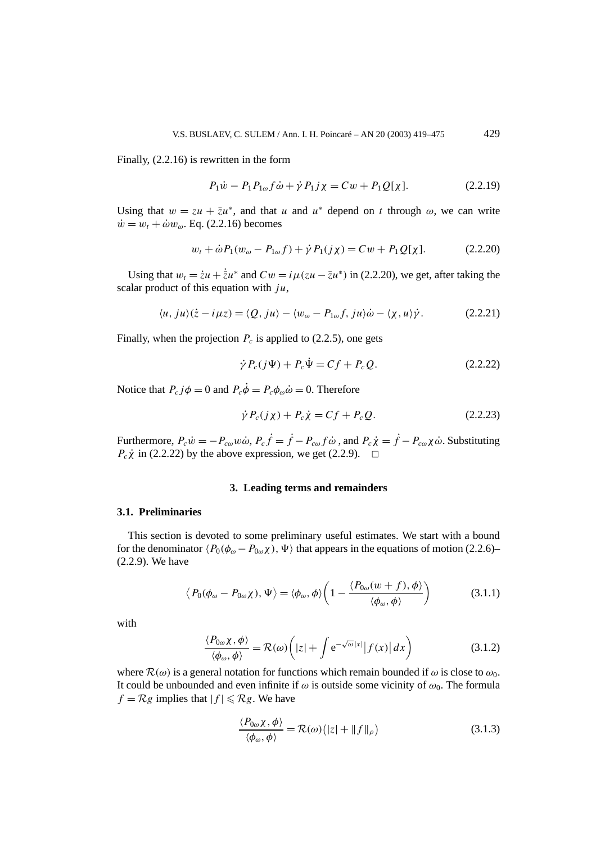Finally, (2.2.16) is rewritten in the form

$$
P_1 \dot{w} - P_1 P_{1\omega} f \dot{\omega} + \dot{\gamma} P_1 j \chi = Cw + P_1 Q[\chi]. \tag{2.2.19}
$$

Using that  $w = zu + \overline{z}u^*$ , and that *u* and  $u^*$  depend on *t* through  $\omega$ , we can write  $\dot{w} = w_t + \dot{\omega} w_\omega$ . Eq. (2.2.16) becomes

$$
w_t + \dot{\omega} P_1(w_{\omega} - P_{1\omega}f) + \dot{\gamma} P_1(j\chi) = Cw + P_1 Q[\chi].
$$
 (2.2.20)

Using that  $w_t = \dot{z}u + \dot{\bar{z}}u^*$  and  $Cw = i\mu(zu - \bar{z}u^*)$  in (2.2.20), we get, after taking the scalar product of this equation with *ju*,

$$
\langle u, ju \rangle (\dot{z} - i\mu z) = \langle Q, ju \rangle - \langle w_{\omega} - P_{1\omega} f, ju \rangle \dot{\omega} - \langle \chi, u \rangle \dot{\gamma}.
$$
 (2.2.21)

Finally, when the projection  $P_c$  is applied to (2.2.5), one gets

$$
\dot{\gamma} P_c(j\Psi) + P_c \dot{\Psi} = Cf + P_c Q. \qquad (2.2.22)
$$

Notice that  $P_c j\phi = 0$  and  $P_c \dot{\phi} = P_c \phi_\omega \dot{\omega} = 0$ . Therefore

$$
\dot{\gamma} P_c(j\chi) + P_c \dot{\chi} = Cf + P_c Q. \qquad (2.2.23)
$$

Furthermore,  $P_c \dot{w} = -P_{c\omega}w\dot{\omega}$ ,  $P_c \dot{f} = \dot{f} - P_{c\omega}f\dot{\omega}$ , and  $P_c \dot{\chi} = \dot{f} - P_{c\omega}\chi\dot{\omega}$ . Substituting  $P_c\dot{\chi}$  in (2.2.22) by the above expression, we get (2.2.9).  $\Box$ 

#### **3. Leading terms and remainders**

#### **3.1. Preliminaries**

This section is devoted to some preliminary useful estimates. We start with a bound for the denominator  $\langle P_0(\phi_\omega - P_{0\omega}\chi), \Psi \rangle$  that appears in the equations of motion (2.2.6)– (2.2.9). We have

$$
\langle P_0(\phi_\omega - P_{0\omega}\chi), \Psi \rangle = \langle \phi_\omega, \phi \rangle \left( 1 - \frac{\langle P_{0\omega}(w+f), \phi \rangle}{\langle \phi_\omega, \phi \rangle} \right) \tag{3.1.1}
$$

with

$$
\frac{\langle P_{0\omega} \chi, \phi \rangle}{\langle \phi_{\omega}, \phi \rangle} = \mathcal{R}(\omega) \left( |z| + \int e^{-\sqrt{\omega} |x|} |f(x)| dx \right) \tag{3.1.2}
$$

where  $\mathcal{R}(\omega)$  is a general notation for functions which remain bounded if  $\omega$  is close to  $\omega_0$ . It could be unbounded and even infinite if  $\omega$  is outside some vicinity of  $\omega_0$ . The formula  $f = \mathcal{R}g$  implies that  $|f| \leq \mathcal{R}g$ . We have

$$
\frac{\langle P_{0\omega}\chi,\phi\rangle}{\langle\phi_{\omega},\phi\rangle} = \mathcal{R}(\omega)\big(|z| + \|f\|_{\rho}\big) \tag{3.1.3}
$$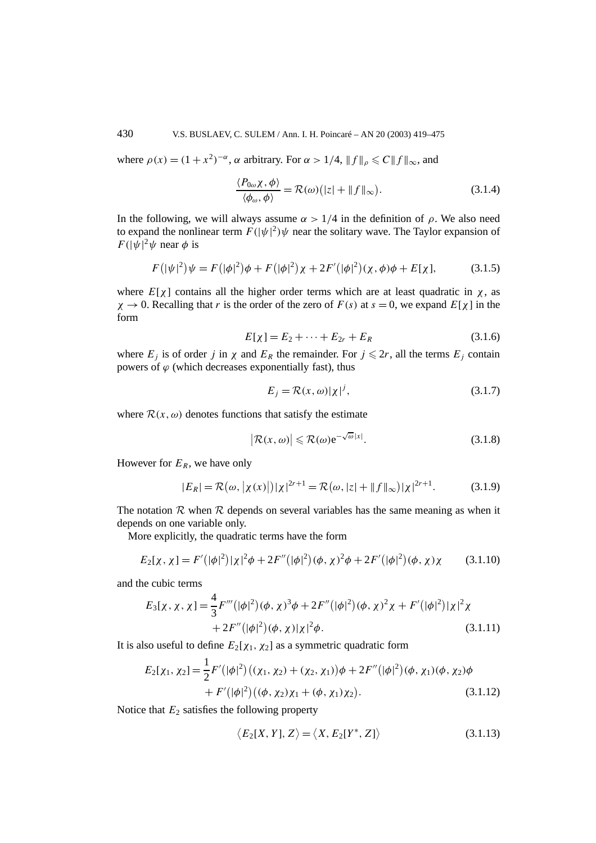where  $\rho(x) = (1 + x^2)^{-\alpha}$ ,  $\alpha$  arbitrary. For  $\alpha > 1/4$ ,  $||f||_{\rho} \leq C ||f||_{\infty}$ , and

$$
\frac{\langle P_{0\omega}\chi,\phi\rangle}{\langle\phi_{\omega},\phi\rangle} = \mathcal{R}(\omega)\big(|z| + \|f\|_{\infty}\big). \tag{3.1.4}
$$

In the following, we will always assume  $\alpha > 1/4$  in the definition of  $\rho$ . We also need to expand the nonlinear term  $F(|\psi|^2)\psi$  near the solitary wave. The Taylor expansion of  $F(|\psi|^2 \psi \text{ near } \phi \text{ is }$ 

$$
F(|\psi|^2)\psi = F(|\phi|^2)\phi + F(|\phi|^2)\chi + 2F'(|\phi|^2)(\chi, \phi)\phi + E[\chi], \tag{3.1.5}
$$

where  $E[\chi]$  contains all the higher order terms which are at least quadratic in  $\chi$ , as  $\chi \rightarrow 0$ . Recalling that *r* is the order of the zero of  $F(s)$  at  $s = 0$ , we expand  $E[\chi]$  in the form

$$
E[\chi] = E_2 + \dots + E_{2r} + E_R \tag{3.1.6}
$$

where  $E_j$  is of order *j* in  $\chi$  and  $E_R$  the remainder. For  $j \leq 2r$ , all the terms  $E_j$  contain powers of  $\varphi$  (which decreases exponentially fast), thus

$$
E_j = \mathcal{R}(x, \omega)|\chi|^j,\tag{3.1.7}
$$

where  $\mathcal{R}(x, \omega)$  denotes functions that satisfy the estimate

$$
\left|\mathcal{R}(x,\omega)\right| \leqslant \mathcal{R}(\omega)e^{-\sqrt{\omega}|x|}.\tag{3.1.8}
$$

However for  $E_R$ , we have only

$$
|E_R| = \mathcal{R}(\omega, |\chi(x)|) |\chi|^{2r+1} = \mathcal{R}(\omega, |z| + ||f||_{\infty}) |\chi|^{2r+1}.
$$
 (3.1.9)

The notation  $R$  when  $R$  depends on several variables has the same meaning as when it depends on one variable only.

More explicitly, the quadratic terms have the form

$$
E_2[\chi, \chi] = F'(|\phi|^2)|\chi|^2 \phi + 2F''(|\phi|^2)(\phi, \chi)^2 \phi + 2F'(|\phi|^2)(\phi, \chi)\chi \qquad (3.1.10)
$$

and the cubic terms

$$
E_3[\chi, \chi, \chi] = \frac{4}{3} F'''(|\phi|^2)(\phi, \chi)^3 \phi + 2F''(|\phi|^2)(\phi, \chi)^2 \chi + F'(|\phi|^2)|\chi|^2 \chi
$$
  
+ 2F''(|\phi|^2)(\phi, \chi)|\chi|^2 \phi. (3.1.11)

It is also useful to define  $E_2[\chi_1, \chi_2]$  as a symmetric quadratic form

$$
E_2[\chi_1, \chi_2] = \frac{1}{2} F'(|\phi|^2) ((\chi_1, \chi_2) + (\chi_2, \chi_1)) \phi + 2F''(|\phi|^2) (\phi, \chi_1) (\phi, \chi_2) \phi + F'(|\phi|^2) ((\phi, \chi_2) \chi_1 + (\phi, \chi_1) \chi_2).
$$
 (3.1.12)

Notice that  $E_2$  satisfies the following property

$$
\langle E_2[X, Y], Z \rangle = \langle X, E_2[Y^*, Z] \rangle \tag{3.1.13}
$$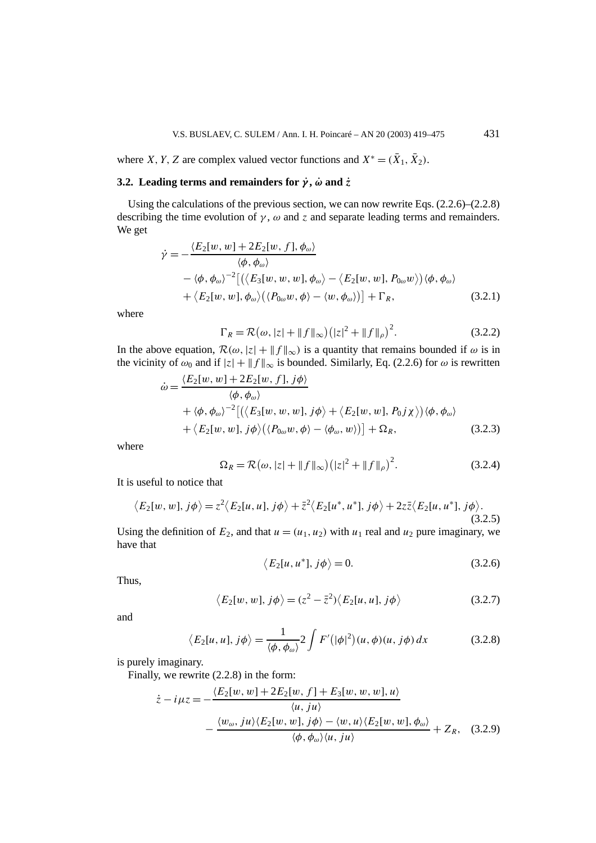where *X*, *Y*, *Z* are complex valued vector functions and  $X^* = (\bar{X}_1, \bar{X}_2)$ .

## **3.2.** Leading terms and remainders for  $\dot{y}$ ,  $\dot{\omega}$  and  $\dot{z}$

Using the calculations of the previous section, we can now rewrite Eqs. (2.2.6)–(2.2.8) describing the time evolution of  $\gamma$ ,  $\omega$  and  $\zeta$  and separate leading terms and remainders. We get

$$
\dot{\gamma} = -\frac{\langle E_2[w, w] + 2E_2[w, f], \phi_{\omega}\rangle}{\langle \phi, \phi_{\omega}\rangle} \n- \langle \phi, \phi_{\omega}\rangle^{-2} \left[ \langle \langle E_3[w, w, w], \phi_{\omega}\rangle - \langle E_2[w, w], P_{0\omega}w \rangle \rangle \langle \phi, \phi_{\omega}\rangle \right] \n+ \langle E_2[w, w], \phi_{\omega}\rangle \langle \langle P_{0\omega}w, \phi \rangle - \langle w, \phi_{\omega}\rangle \right] + \Gamma_R,
$$
\n(3.2.1)

where

$$
\Gamma_R = \mathcal{R}(\omega, |z| + \|f\|_{\infty}) \left(|z|^2 + \|f\|_{\rho}\right)^2.
$$
 (3.2.2)

In the above equation,  $\mathcal{R}(\omega, |z| + ||f||_{\infty})$  is a quantity that remains bounded if  $\omega$  is in the vicinity of  $\omega_0$  and if  $|z| + ||f||_{\infty}$  is bounded. Similarly, Eq. (2.2.6) for  $\omega$  is rewritten

$$
\dot{\omega} = \frac{\langle E_2[w, w] + 2E_2[w, f], j\phi \rangle}{\langle \phi, \phi_\omega \rangle} \n+ \langle \phi, \phi_\omega \rangle^{-2} [\langle \langle E_3[w, w, w], j\phi \rangle + \langle E_2[w, w], P_0j\chi \rangle \rangle \langle \phi, \phi_\omega \rangle \n+ \langle E_2[w, w], j\phi \rangle (\langle P_{0\omega}w, \phi \rangle - \langle \phi_\omega, w \rangle)] + \Omega_R,
$$
\n(3.2.3)

where

$$
\Omega_R = \mathcal{R}(\omega, |z| + ||f||_{\infty}) (|z|^2 + ||f||_{\rho})^2.
$$
 (3.2.4)

It is useful to notice that

$$
\langle E_2[w, w], j\phi \rangle = z^2 \langle E_2[u, u], j\phi \rangle + \overline{z}^2 \langle E_2[u^*, u^*], j\phi \rangle + 2z\overline{z} \langle E_2[u, u^*], j\phi \rangle. \tag{3.2.5}
$$

Using the definition of  $E_2$ , and that  $u = (u_1, u_2)$  with  $u_1$  real and  $u_2$  pure imaginary, we have that

$$
\langle E_2[u, u^*], j\phi \rangle = 0. \tag{3.2.6}
$$

Thus,

$$
\langle E_2[w, w], j\phi \rangle = (z^2 - \bar{z}^2) \langle E_2[u, u], j\phi \rangle \tag{3.2.7}
$$

and

$$
\langle E_2[u, u], j\phi \rangle = \frac{1}{\langle \phi, \phi_\omega \rangle} 2 \int F'(|\phi|^2)(u, \phi)(u, j\phi) dx \tag{3.2.8}
$$

is purely imaginary.

Finally, we rewrite (2.2.8) in the form:

$$
\dot{z} - i\mu z = -\frac{\langle E_2[w, w] + 2E_2[w, f] + E_3[w, w, w], u\rangle}{\langle u, ju \rangle} - \frac{\langle w_\omega, ju \rangle \langle E_2[w, w], j\phi \rangle - \langle w, u \rangle \langle E_2[w, w], \phi_\omega \rangle}{\langle \phi, \phi_\omega \rangle \langle u, ju \rangle} + Z_R, \quad (3.2.9)
$$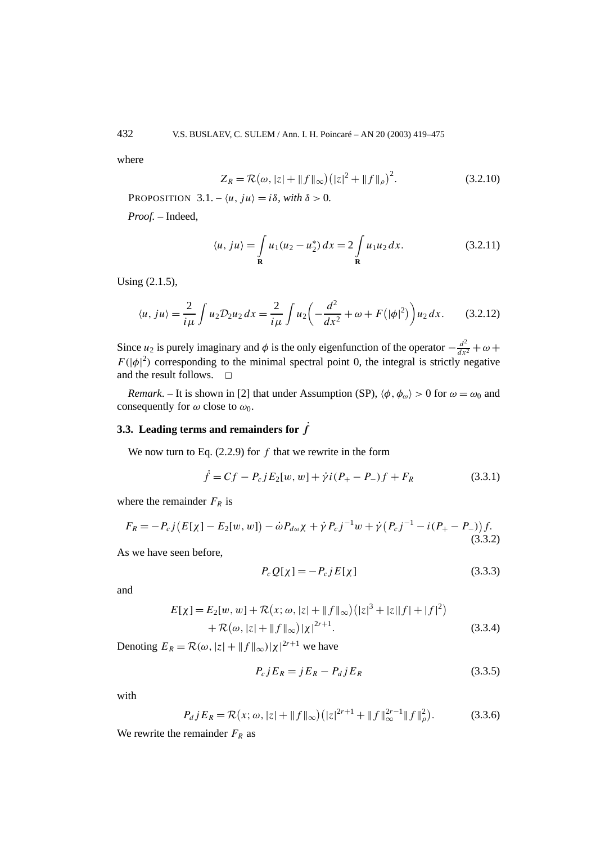where

$$
Z_R = \mathcal{R}(\omega, |z| + ||f||_{\infty}) (|z|^2 + ||f||_{\rho})^2.
$$
 (3.2.10)

PROPOSITION  $3.1 - \langle u, ju \rangle = i\delta$ , with  $\delta > 0$ .

*Proof. –* Indeed,

$$
\langle u, ju \rangle = \int_{\mathbf{R}} u_1(u_2 - u_2^*) dx = 2 \int_{\mathbf{R}} u_1 u_2 dx.
$$
 (3.2.11)

Using (2.1.5),

$$
\langle u, ju \rangle = \frac{2}{i\mu} \int u_2 \mathcal{D}_2 u_2 \, dx = \frac{2}{i\mu} \int u_2 \left( -\frac{d^2}{dx^2} + \omega + F(|\phi|^2) \right) u_2 \, dx. \tag{3.2.12}
$$

Since *u*<sub>2</sub> is purely imaginary and  $\phi$  is the only eigenfunction of the operator  $-\frac{d^2}{dx^2} + \omega +$  $F(|\phi|^2)$  corresponding to the minimal spectral point 0, the integral is strictly negative and the result follows.  $\square$ 

*Remark*. – It is shown in [2] that under Assumption (SP),  $\langle \phi, \phi_\omega \rangle > 0$  for  $\omega = \omega_0$  and consequently for  $\omega$  close to  $\omega_0$ .

## **3.3.** Leading terms and remainders for  $\dot{f}$

We now turn to Eq. (2.2.9) for *f* that we rewrite in the form

$$
\dot{f} = Cf - P_c j E_2[w, w] + \dot{\gamma} i (P_+ - P_-) f + F_R
$$
\n(3.3.1)

where the remainder  $F_R$  is

$$
F_R = -P_c j(E[\chi] - E_2[w, w]) - \dot{\omega} P_{d\omega} \chi + \dot{\gamma} P_c j^{-1} w + \dot{\gamma} (P_c j^{-1} - i(P_+ - P_-)) f. \tag{3.3.2}
$$

As we have seen before,

$$
P_c Q[\chi] = -P_c j E[\chi] \tag{3.3.3}
$$

and

$$
E[\chi] = E_2[w, w] + \mathcal{R}(x; \omega, |z| + ||f||_{\infty}) (|z|^3 + |z||f| + |f|^2) + \mathcal{R}(\omega, |z| + ||f||_{\infty}) |\chi|^{2r+1}.
$$
 (3.3.4)

Denoting  $E_R = \mathcal{R}(\omega, |z| + ||f||_{\infty}) |\chi|^{2r+1}$  we have

$$
P_c j E_R = j E_R - P_d j E_R \tag{3.3.5}
$$

with

$$
P_d j E_R = \mathcal{R}(x; \omega, |z| + \|f\|_{\infty}) \left( |z|^{2r+1} + \|f\|_{\infty}^{2r-1} \|f\|_{\rho}^2 \right).
$$
 (3.3.6)

We rewrite the remainder  $F_R$  as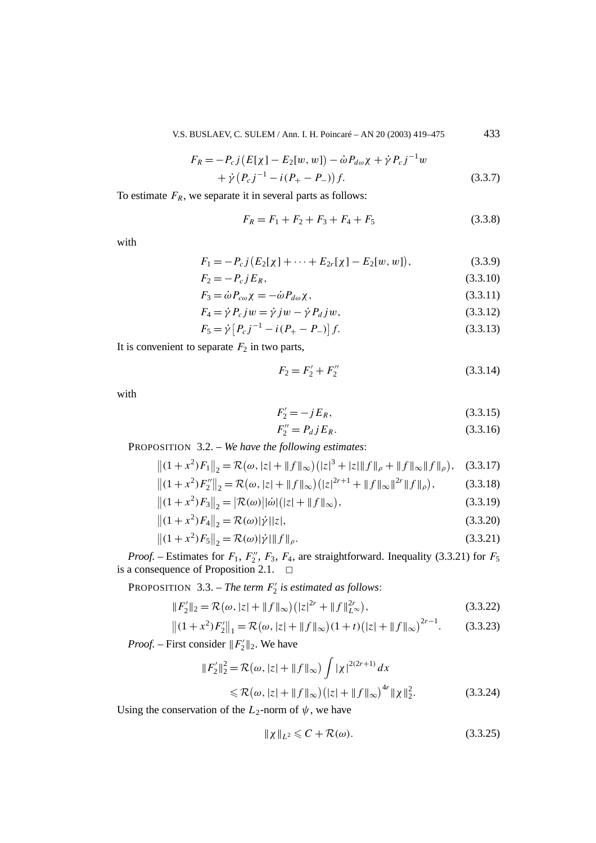V.S. BUSLAEV, C. SULEM / Ann. I. H. Poincaré – AN 20 (2003) 419–475 433

$$
F_R = -P_c j(E[\chi] - E_2[w, w]) - \dot{\omega} P_{d\omega}\chi + \dot{\gamma} P_c j^{-1} w + \dot{\gamma} (P_c j^{-1} - i(P_+ - P_-)) f.
$$
 (3.3.7)

To estimate  $F_R$ , we separate it in several parts as follows:

$$
F_R = F_1 + F_2 + F_3 + F_4 + F_5 \tag{3.3.8}
$$

with

$$
F_1 = -P_c j(E_2[\chi] + \dots + E_{2r}[\chi] - E_2[w, w]), \qquad (3.3.9)
$$

$$
F_2 = -P_c j E_R, \t\t(3.3.10)
$$

$$
F_3 = \dot{\omega} P_{c\omega} \chi = -\dot{\omega} P_{d\omega} \chi, \qquad (3.3.11)
$$

$$
F_4 = \dot{\gamma} P_c jw = \dot{\gamma} jw - \dot{\gamma} P_d jw, \qquad (3.3.12)
$$

$$
F_5 = \dot{\gamma} \left[ P_c j^{-1} - i (P_+ - P_-) \right] f. \tag{3.3.13}
$$

It is convenient to separate  $F_2$  in two parts,

$$
F_2 = F_2' + F_2'' \tag{3.3.14}
$$

with

$$
F_2' = -jE_R,\t\t(3.3.15)
$$

$$
F_2'' = P_d j E_R. \tag{3.3.16}
$$

PROPOSITION 3.2. – *We have the following estimates*:

$$
||(1+x^2)F_1||_2 = \mathcal{R}(\omega, |z| + ||f||_{\infty})(|z|^3 + |z||f||_{\rho} + ||f||_{\infty}||f||_{\rho}), \quad (3.3.17)
$$

$$
||(1+x^2)F_2''||_2 = \mathcal{R}(\omega, |z| + ||f||_{\infty})(|z|^{2r+1} + ||f||_{\infty}||^{2r}||f||_{\rho}),
$$
(3.3.18)

$$
||(1+x^2)F_3||_2 = |\mathcal{R}(\omega)||\dot{\omega}||_2 + ||f||_{\infty}),
$$
\n(3.3.19)

$$
||(1+x^2)F_4||_2 = \mathcal{R}(\omega)|\dot{\gamma}||z|,
$$
\n(3.3.20)

$$
||(1+x^2)F_5||_2 = \mathcal{R}(\omega)|\dot{\gamma}||f||_{\rho}.
$$
\n(3.3.21)

*Proof.* – Estimates for  $F_1$ ,  $F_2''$ ,  $F_3$ ,  $F_4$ , are straightforward. Inequality (3.3.21) for  $F_5$ is a consequence of Proposition 2.1.  $\Box$ 

PROPOSITION 3.3. – *The term F* <sup>2</sup> *is estimated as follows*:

$$
||F_2'||_2 = \mathcal{R}(\omega, |z| + ||f||_{\infty}) (|z|^{2r} + ||f||_{L^{\infty}}^{2r}),
$$
\n(3.3.22)

$$
||(1+x^2)F'_2||_1 = \mathcal{R}(\omega, |z| + ||f||_{\infty})(1+t)(|z| + ||f||_{\infty})^{2r-1}.
$$
 (3.3.23)

*Proof.* – First consider  $||F_2'||_2$ . We have

$$
||F_2'||_2^2 = \mathcal{R}(\omega, |z| + ||f||_{\infty}) \int |\chi|^{2(2r+1)} dx
$$
  
\$\leq \mathcal{R}(\omega, |z| + ||f||\_{\infty}) (|z| + ||f||\_{\infty})^{4r} ||\chi||\_2^2\$. (3.3.24)

Using the conservation of the  $L_2$ -norm of  $\psi$ , we have

$$
\|\chi\|_{L^2} \leqslant C + \mathcal{R}(\omega). \tag{3.3.25}
$$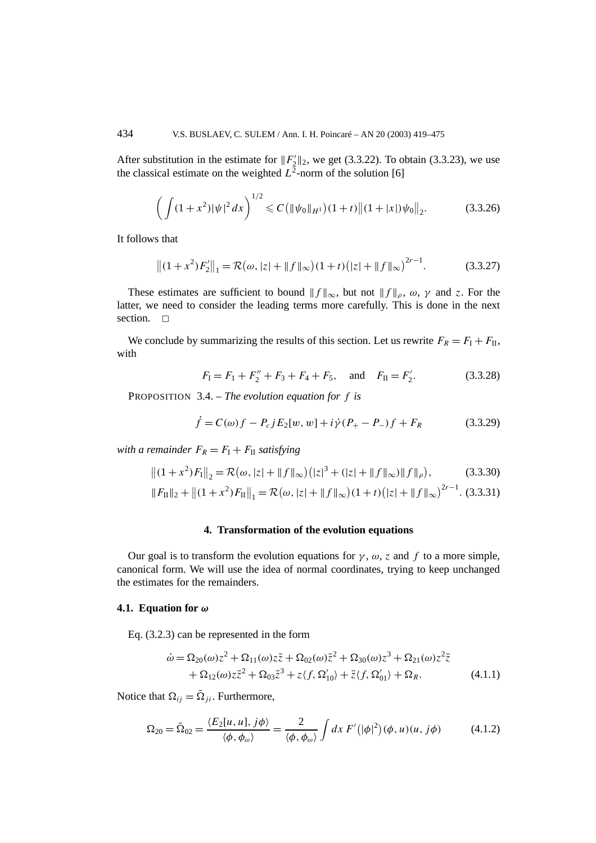After substitution in the estimate for  $||F_2'||_2$ , we get (3.3.22). To obtain (3.3.23), we use the classical estimate on the weighted  $L^2$ -norm of the solution [6]

$$
\left(\int (1+x^2)|\psi|^2\,dx\right)^{1/2} \leqslant C\left(\|\psi_0\|_{H^1}\right)(1+t)\left\|(1+|x|)\psi_0\right\|_2. \tag{3.3.26}
$$

It follows that

$$
||(1+x^2)F'_2||_1 = \mathcal{R}(\omega, |z| + ||f||_{\infty})(1+t)(|z| + ||f||_{\infty})^{2r-1}.
$$
 (3.3.27)

These estimates are sufficient to bound  $||f||_{\infty}$ , but not  $||f||_{\rho}$ ,  $\omega$ ,  $\gamma$  and  $\zeta$ . For the latter, we need to consider the leading terms more carefully. This is done in the next section.  $\square$ 

We conclude by summarizing the results of this section. Let us rewrite  $F_R = F_I + F_{II}$ , with

$$
F_1 = F_1 + F_2'' + F_3 + F_4 + F_5
$$
, and  $F_{II} = F_2'$ . (3.3.28)

PROPOSITION 3.4. – *The evolution equation for f is*

$$
\dot{f} = C(\omega)f - P_c j E_2[w, w] + i\dot{\gamma}(P_+ - P_-)f + F_R \tag{3.3.29}
$$

*with a remainder*  $F_R = F_I + F_{II}$  *satisfying* 

$$
||(1+x^2)F_1||_2 = \mathcal{R}(\omega, |z| + ||f||_{\infty})(|z|^3 + (|z| + ||f||_{\infty})||f||_{\rho}),
$$
(3.3.30)

$$
||F_{\text{II}}||_2 + ||(1+x^2)F_{\text{II}}||_1 = \mathcal{R}(\omega, |z| + ||f||_{\infty})(1+t)(|z| + ||f||_{\infty})^{2r-1}.
$$
 (3.3.31)

#### **4. Transformation of the evolution equations**

Our goal is to transform the evolution equations for  $\gamma$ ,  $\omega$ , *z* and *f* to a more simple, canonical form. We will use the idea of normal coordinates, trying to keep unchanged the estimates for the remainders.

#### **4.1. Equation for** *ω*

Eq. (3.2.3) can be represented in the form

$$
\dot{\omega} = \Omega_{20}(\omega)z^2 + \Omega_{11}(\omega)z\bar{z} + \Omega_{02}(\omega)\bar{z}^2 + \Omega_{30}(\omega)z^3 + \Omega_{21}(\omega)z^2\bar{z} \n+ \Omega_{12}(\omega)z\bar{z}^2 + \Omega_{03}\bar{z}^3 + z\langle f, \Omega'_{10} \rangle + \bar{z}\langle f, \Omega'_{01} \rangle + \Omega_R.
$$
\n(4.1.1)

Notice that  $\Omega_{ij} = \overline{\Omega}_{ji}$ . Furthermore,

$$
\Omega_{20} = \bar{\Omega}_{02} = \frac{\langle E_2[u, u], j\phi \rangle}{\langle \phi, \phi_\omega \rangle} = \frac{2}{\langle \phi, \phi_\omega \rangle} \int dx \, F'(|\phi|^2)(\phi, u)(u, j\phi) \tag{4.1.2}
$$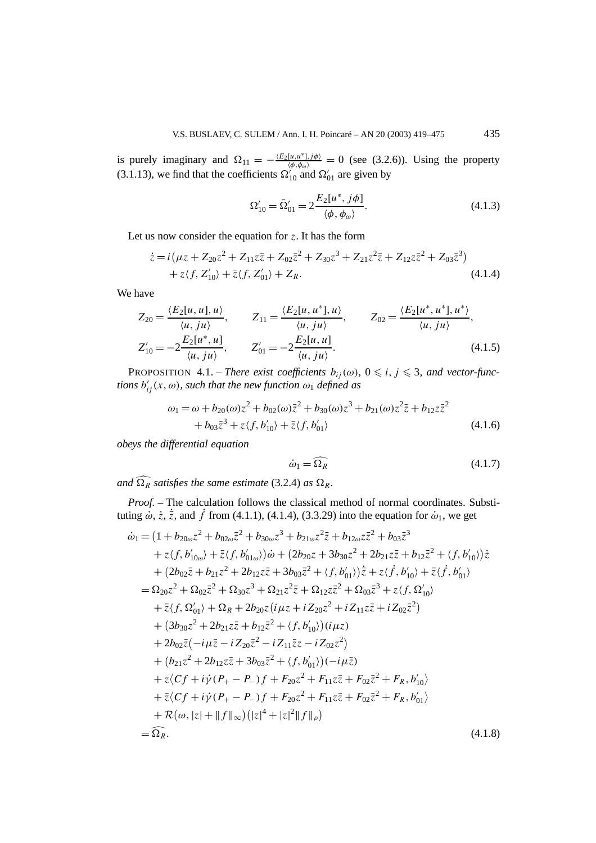is purely imaginary and  $\Omega_{11} = -\frac{\langle E_2[u, u^*], j\phi \rangle}{\langle \phi, \phi_\omega \rangle} = 0$  (see (3.2.6)). Using the property (3.1.13), we find that the coefficients  $\Omega_{10}^{N}$  and  $\Omega_{01}^{N}$  are given by

$$
\Omega'_{10} = \bar{\Omega}'_{01} = 2 \frac{E_2[u^*, j\phi]}{\langle \phi, \phi_\omega \rangle}.
$$
\n(4.1.3)

Let us now consider the equation for *z*. It has the form

$$
\begin{aligned} \dot{z} &= i \left( \mu z + Z_{20} z^2 + Z_{11} z \bar{z} + Z_{02} \bar{z}^2 + Z_{30} z^3 + Z_{21} z^2 \bar{z} + Z_{12} z \bar{z}^2 + Z_{03} \bar{z}^3 \right) \\ &+ z \langle f, Z'_{10} \rangle + \bar{z} \langle f, Z'_{01} \rangle + Z_R. \end{aligned} \tag{4.1.4}
$$

We have

$$
Z_{20} = \frac{\langle E_2[u, u], u \rangle}{\langle u, ju \rangle}, \qquad Z_{11} = \frac{\langle E_2[u, u^*], u \rangle}{\langle u, ju \rangle}, \qquad Z_{02} = \frac{\langle E_2[u^*, u^*], u^* \rangle}{\langle u, ju \rangle},
$$
  
\n
$$
Z'_{10} = -2 \frac{E_2[u^*, u]}{\langle u, ju \rangle}, \qquad Z'_{01} = -2 \frac{E_2[u, u]}{\langle u, ju \rangle}.
$$
\n(4.1.5)

**PROPOSITION** 4.1. – *There exist coefficients*  $b_{ij}(\omega)$ ,  $0 \leq i, j \leq 3$ , and vector-func*tions*  $b'_{ij}(x, \omega)$ *, such that the new function*  $\omega_1$  *defined as* 

$$
\omega_1 = \omega + b_{20}(\omega)z^2 + b_{02}(\omega)\bar{z}^2 + b_{30}(\omega)z^3 + b_{21}(\omega)z^2\bar{z} + b_{12}z\bar{z}^2
$$
  
+  $b_{03}\bar{z}^3 + z\langle f, b'_{10}\rangle + \bar{z}\langle f, b'_{01}\rangle$  (4.1.6)

*obeys the differential equation*

$$
\dot{\omega}_1 = \widehat{\Omega_R} \tag{4.1.7}
$$

*and*  $\widehat{\Omega_R}$  *satisfies the same estimate* (3.2.4) *as*  $\Omega_R$ *.* 

*Proof. –* The calculation follows the classical method of normal coordinates. Substituting  $\dot{\omega}$ ,  $\dot{z}$ ,  $\dot{\bar{z}}$ , and  $\dot{f}$  from (4.1.1), (4.1.4), (3.3.29) into the equation for  $\dot{\omega}_1$ , we get

$$
\begin{split}\n\dot{\omega}_{1} &= \left(1 + b_{20\omega}z^{2} + b_{02\omega}\bar{z}^{2} + b_{30\omega}z^{3} + b_{21\omega}z^{2}\bar{z} + b_{12\omega}z\bar{z}^{2} + b_{03}\bar{z}^{3}\right. \\
&\quad \left. + z \left(f, b'_{10\omega}\right) + \bar{z}\left(f, b'_{01\omega}\right)\right)\dot{\omega} + \left(2b_{20}z + 3b_{30}z^{2} + 2b_{21}z\bar{z} + b_{12}\bar{z}^{2} + \left\langle f, b'_{10}\right\rangle\right)\dot{z} \\
&+ \left(2b_{02}\bar{z} + b_{21}z^{2} + 2b_{12}z\bar{z} + 3b_{03}\bar{z}^{2} + \left\langle f, b'_{01}\right\rangle\right)\dot{\bar{z}} + z\left(\dot{f}, b'_{10}\right) + \bar{z}\left\langle f, b'_{01}\right\rangle \\
&= \Omega_{20}z^{2} + \Omega_{02}\bar{z}^{2} + \Omega_{30}z^{3} + \Omega_{21}z^{2}\bar{z} + \Omega_{12}z\bar{z}^{2} + \Omega_{03}\bar{z}^{3} + z\left\langle f, \Omega'_{10}\right\rangle \\
&+ \bar{z}\left\langle f, \Omega'_{01}\right\rangle + \Omega_{R} + 2b_{20}z\left(i\mu z + i\bar{z}_{20}z^{2} + i\bar{z}_{11}z\bar{z} + i\bar{z}_{02}\bar{z}^{2}\right) \\
&+ \left(3b_{30}z^{2} + 2b_{21}z\bar{z} + b_{12}\bar{z}^{2} + \left\langle f, b'_{10}\right\rangle\right)\left(i\mu z\right) \\
&+ 2b_{02}\bar{z}\left(-i\mu\bar{z} - i\bar{z}_{20}\bar{z}^{2} - i\bar{z}_{11}\bar{z}z - i\bar{z}_{02}z^{2}\right) \\
&+ \left(b_{21}z^{2} + 2b_{12}z\bar{z} + 3b_{03}\bar{z}^{2} + \left\langle f, b'_{01}\right\rangle\right)\left(-i\mu\bar{z}\
$$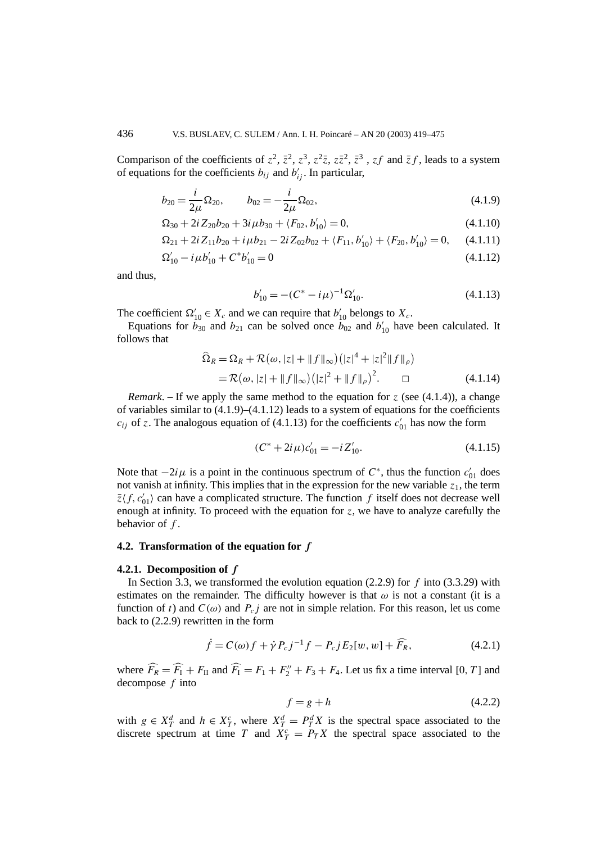Comparison of the coefficients of  $z^2$ ,  $\bar{z}^2$ ,  $z^3$ ,  $z^2\bar{z}$ ,  $z\bar{z}^2$ ,  $\bar{z}^3$ ,  $z\bar{f}$  and  $\bar{z}f$ , leads to a system of equations for the coefficients  $b_{ij}$  and  $b'_{ij}$ . In particular,

$$
b_{20} = \frac{i}{2\mu} \Omega_{20}, \qquad b_{02} = -\frac{i}{2\mu} \Omega_{02}, \tag{4.1.9}
$$

$$
\Omega_{30} + 2i Z_{20} b_{20} + 3i \mu b_{30} + \langle F_{02}, b'_{10} \rangle = 0, \tag{4.1.10}
$$

$$
\Omega_{21} + 2i Z_{11} b_{20} + i \mu b_{21} - 2i Z_{02} b_{02} + \langle F_{11}, b'_{10} \rangle + \langle F_{20}, b'_{10} \rangle = 0, \quad (4.1.11)
$$

$$
\Omega'_{10} - i\mu b'_{10} + C^* b'_{10} = 0 \tag{4.1.12}
$$

and thus,

$$
b'_{10} = -(C^* - i\mu)^{-1} \Omega'_{10}.
$$
\n(4.1.13)

The coefficient  $\Omega'_{10} \in X_c$  and we can require that  $b'_{10}$  belongs to  $X_c$ .

Equations for  $b_{30}$  and  $b_{21}$  can be solved once  $b_{02}$  and  $b'_{10}$  have been calculated. It follows that

$$
\widehat{\Omega}_R = \Omega_R + \mathcal{R}(\omega, |z| + ||f||_{\infty}) (|z|^4 + |z|^2 ||f||_{\rho})
$$
  
=  $\mathcal{R}(\omega, |z| + ||f||_{\infty}) (|z|^2 + ||f||_{\rho})^2$ .  $\square$  (4.1.14)

*Remark*. – If we apply the same method to the equation for *z* (see  $(4.1.4)$ ), a change of variables similar to  $(4.1.9)$ – $(4.1.12)$  leads to a system of equations for the coefficients  $c_{ij}$  of *z*. The analogous equation of (4.1.13) for the coefficients  $c'_{01}$  has now the form

$$
(C^* + 2i\mu)c'_{01} = -iZ'_{10}.
$$
\n(4.1.15)

Note that  $-2i\mu$  is a point in the continuous spectrum of  $C^*$ , thus the function  $c'_{01}$  does not vanish at infinity. This implies that in the expression for the new variable  $z_1$ , the term  $\bar{z}\langle f, c'_{01} \rangle$  can have a complicated structure. The function  $f$  itself does not decrease well enough at infinity. To proceed with the equation for  $z$ , we have to analyze carefully the behavior of *f* .

## **4.2. Transformation of the equation for** *f*

#### **4.2.1. Decomposition of** *f*

In Section 3.3, we transformed the evolution equation (2.2.9) for *f* into (3.3.29) with estimates on the remainder. The difficulty however is that  $\omega$  is not a constant (it is a function of *t*) and  $C(\omega)$  and  $P_c j$  are not in simple relation. For this reason, let us come back to (2.2.9) rewritten in the form

$$
\dot{f} = C(\omega)f + \dot{\gamma} P_c j^{-1} f - P_c j E_2[w, w] + \widehat{F}_R, \tag{4.2.1}
$$

where  $\widehat{F}_R = \widehat{F}_I + F_{II}$  and  $\widehat{F}_I = F_1 + F_2'' + F_3 + F_4$ . Let us fix a time interval [0, *T*] and decompose *f* into

$$
f = g + h \tag{4.2.2}
$$

with  $g \in X_T^d$  and  $h \in X_T^c$ , where  $X_T^d = P_T^d X$  is the spectral space associated to the discrete spectrum at time *T* and  $X_T^c = P_T X$  the spectral space associated to the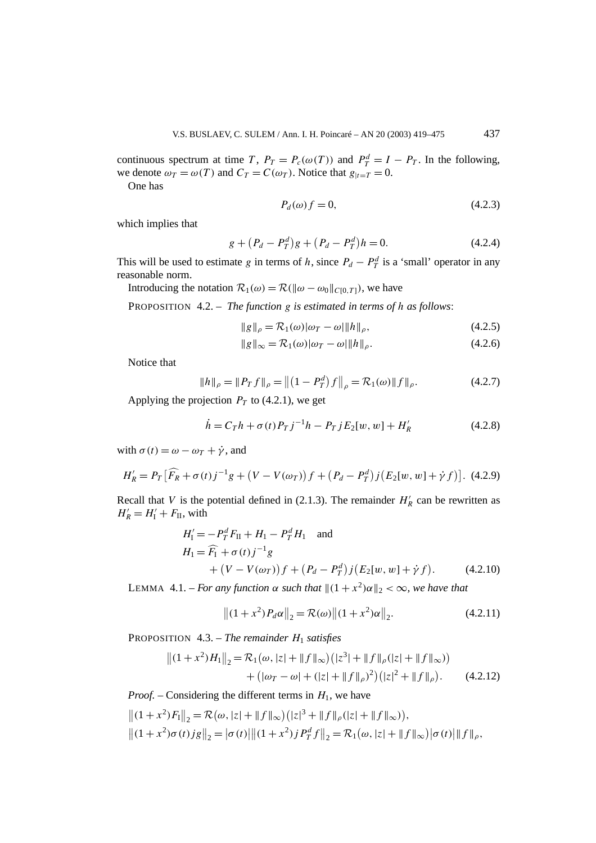continuous spectrum at time *T*,  $P_T = P_c(\omega(T))$  and  $P_T^d = I - P_T$ . In the following, we denote  $\omega_T = \omega(T)$  and  $C_T = C(\omega_T)$ . Notice that  $g_{|t=T} = 0$ .

One has

$$
P_d(\omega) f = 0,\t\t(4.2.3)
$$

which implies that

$$
g + (P_d - P_T^d)g + (P_d - P_T^d)h = 0.
$$
\n(4.2.4)

This will be used to estimate *g* in terms of *h*, since  $P_d - P_T^d$  is a 'small' operator in any reasonable norm.

Introducing the notation  $\mathcal{R}_1(\omega) = \mathcal{R}(\|\omega - \omega_0\|_{C[0,T]})$ , we have

PROPOSITION 4.2. – *The function g is estimated in terms of h as follows*:

$$
||g||_{\rho} = \mathcal{R}_1(\omega)|\omega_T - \omega||h||_{\rho},\tag{4.2.5}
$$

$$
||g||_{\infty} = \mathcal{R}_1(\omega)|\omega_T - \omega||h||_{\rho}.
$$
\n(4.2.6)

Notice that

$$
||h||_{\rho} = ||P_T f||_{\rho} = ||(1 - P_T^d) f||_{\rho} = \mathcal{R}_1(\omega) ||f||_{\rho}.
$$
 (4.2.7)

Applying the projection  $P_T$  to (4.2.1), we get

$$
\dot{h} = C_{T}h + \sigma(t)P_{T}j^{-1}h - P_{T}jE_{2}[w, w] + H'_{R}
$$
\n(4.2.8)

with  $\sigma(t) = \omega - \omega_T + \dot{\gamma}$ , and

$$
H_R' = P_T \left[ \widehat{F}_R + \sigma(t) j^{-1} g + (V - V(\omega_T)) f + (P_d - P_T^d) j (E_2[w, w] + \dot{\gamma} f) \right]. \tag{4.2.9}
$$

Recall that *V* is the potential defined in (2.1.3). The remainder  $H'_R$  can be rewritten as  $H'_R = H'_I + F_{II}$ , with

$$
H'_{1} = -P_{T}^{d} F_{II} + H_{1} - P_{T}^{d} H_{1} \text{ and}
$$
  
\n
$$
H_{1} = \widehat{F}_{1} + \sigma(t) j^{-1} g
$$
  
\n
$$
+ (V - V(\omega_{T})) f + (P_{d} - P_{T}^{d}) j (E_{2}[w, w] + \dot{\gamma} f).
$$
 (4.2.10)

LEMMA 4.1. – *For any function*  $\alpha$  *such that*  $||(1 + x^2)\alpha||_2 < \infty$ *, we have that* 

$$
||(1+x^2)P_d\alpha||_2 = \mathcal{R}(\omega)||(1+x^2)\alpha||_2.
$$
 (4.2.11)

PROPOSITION  $4.3$ . – *The remainder*  $H_1$  *satisfies* 

$$
||(1+x^2)H_1||_2 = \mathcal{R}_1(\omega, |z| + ||f||_{\infty})(|z^3| + ||f||_{\rho}(|z| + ||f||_{\infty}))
$$
  
+ 
$$
(|\omega_T - \omega| + (|z| + ||f||_{\rho})^2)(|z|^2 + ||f||_{\rho}).
$$
 (4.2.12)

*Proof.* – Considering the different terms in  $H_1$ , we have

$$
||(1+x^2)F_1||_2 = \mathcal{R}(\omega, |z| + ||f||_{\infty})(|z|^3 + ||f||_{\rho}(|z| + ||f||_{\infty})),
$$
  

$$
||(1+x^2)\sigma(t)jg||_2 = |\sigma(t)||[(1+x^2)jP_T^df||_2 = \mathcal{R}_1(\omega, |z| + ||f||_{\infty})|\sigma(t)||f||_{\rho},
$$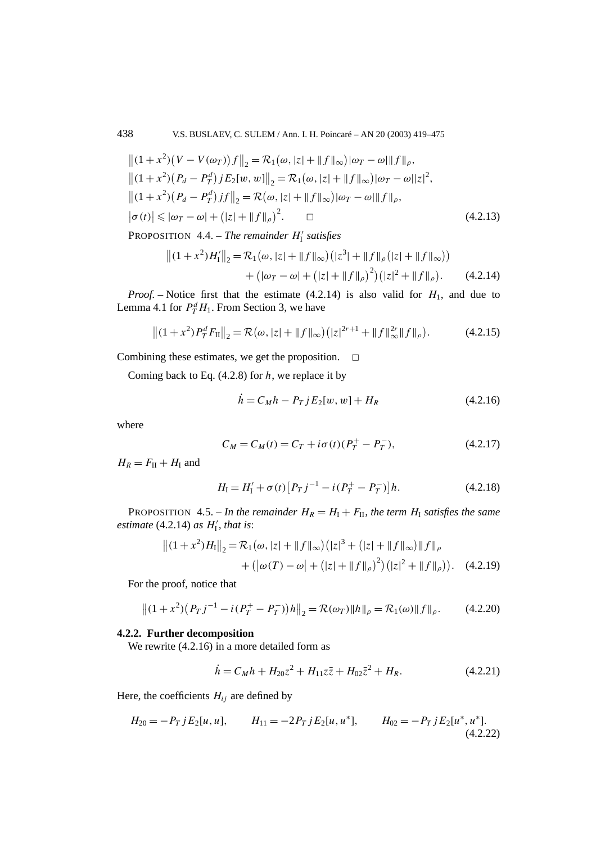$$
||(1+x^2)(V - V(\omega_T))f||_2 = \mathcal{R}_1(\omega, |z| + ||f||_{\infty})|\omega_T - \omega||f||_{\rho},
$$
  
\n
$$
||(1+x^2)(P_d - P_T^d)jE_2[w, w]||_2 = \mathcal{R}_1(\omega, |z| + ||f||_{\infty})|\omega_T - \omega||z|^2,
$$
  
\n
$$
||(1+x^2)(P_d - P_T^d)jf||_2 = \mathcal{R}(\omega, |z| + ||f||_{\infty})|\omega_T - \omega||f||_{\rho},
$$
  
\n
$$
|\sigma(t)| \le |\omega_T - \omega| + (|z| + ||f||_{\rho})^2.
$$
 (4.2.13)

PROPOSITION 4.4. – *The remainder H* <sup>I</sup> *satisfies*

$$
||(1+x^2)H'_1||_2 = \mathcal{R}_1(\omega, |z| + ||f||_{\infty})(|z^3| + ||f||_{\rho}(|z| + ||f||_{\infty}))
$$
  
+ 
$$
(|\omega_T - \omega| + (|z| + ||f||_{\rho})^2)(|z|^2 + ||f||_{\rho}).
$$
 (4.2.14)

*Proof.* – Notice first that the estimate  $(4.2.14)$  is also valid for  $H_1$ , and due to Lemma 4.1 for  $P_T^d H_1$ . From Section 3, we have

$$
||(1+x^2)P_T^dF_{\Pi}||_2 = \mathcal{R}(\omega, |z| + ||f||_{\infty})(|z|^{2r+1} + ||f||_{\infty}^{2r}||f||_{\rho}).
$$
 (4.2.15)

Combining these estimates, we get the proposition.  $\Box$ 

Coming back to Eq. (4.2.8) for *h*, we replace it by

$$
\dot{h} = C_M h - P_T j E_2[w, w] + H_R \tag{4.2.16}
$$

where

$$
C_M = C_M(t) = C_T + i\sigma(t)(P_T^+ - P_T^-),
$$
\n(4.2.17)

 $H_R = F_{II} + H_I$  and

$$
H_{\rm I} = H_{\rm I}' + \sigma(t) \left[ P_T \, j^{-1} - i \, (P_T^+ - P_T^-) \right] h. \tag{4.2.18}
$$

PROPOSITION 4.5. – In the remainder  $H_R = H_I + F_{II}$ , the term  $H_I$  satisfies the same *estimate*  $(4.2.14)$  *as*  $H'_{\text{I}}$ *, that is:* 

$$
||(1+x^2)H_1||_2 = \mathcal{R}_1(\omega, |z| + ||f||_{\infty})(|z|^3 + (|z| + ||f||_{\infty})||f||_{\rho} + (|\omega(T) - \omega| + (|z| + ||f||_{\rho})^2)(|z|^2 + ||f||_{\rho})).
$$
 (4.2.19)

For the proof, notice that

$$
||(1+x^2)(P_Tj^{-1} - i(P_T^+ - P_T^-))h||_2 = \mathcal{R}(\omega_T) ||h||_{\rho} = \mathcal{R}_1(\omega) ||f||_{\rho}.
$$
 (4.2.20)

#### **4.2.2. Further decomposition**

We rewrite (4.2.16) in a more detailed form as

$$
\dot{h} = C_M h + H_{20} z^2 + H_{11} z \bar{z} + H_{02} \bar{z}^2 + H_R. \tag{4.2.21}
$$

Here, the coefficients  $H_{ij}$  are defined by

$$
H_{20} = -P_T j E_2[u, u], \qquad H_{11} = -2P_T j E_2[u, u^*], \qquad H_{02} = -P_T j E_2[u^*, u^*].
$$
\n(4.2.22)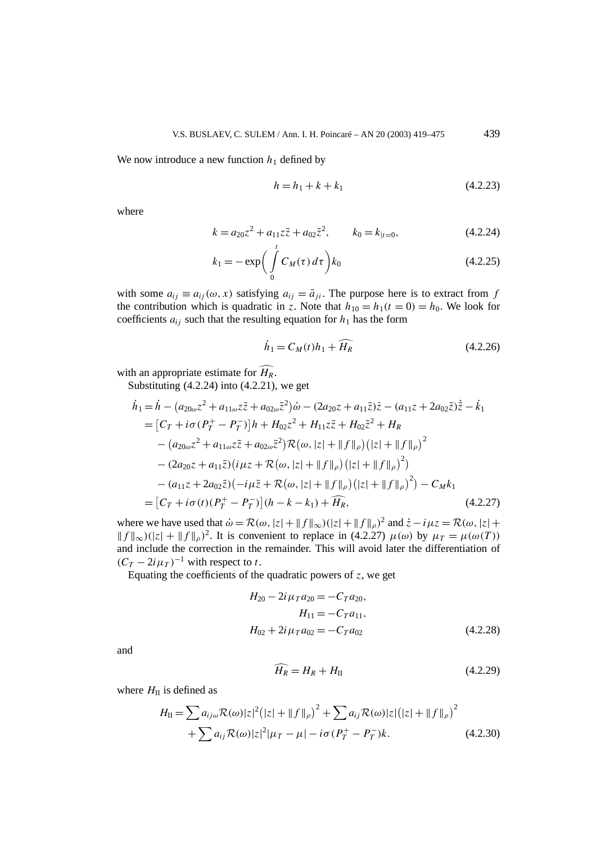We now introduce a new function  $h_1$  defined by

$$
h = h_1 + k + k_1 \tag{4.2.23}
$$

where

$$
k = a_{20}z^2 + a_{11}z\overline{z} + a_{02}\overline{z}^2, \qquad k_0 = k_{|t=0},
$$
 (4.2.24)

$$
k_1 = -\exp\bigg(\int\limits_0^t C_M(\tau) d\tau\bigg) k_0 \tag{4.2.25}
$$

with some  $a_{ij} \equiv a_{ij}(\omega, x)$  satisfying  $a_{ij} = \overline{a}_{ji}$ . The purpose here is to extract from *f* the contribution which is quadratic in *z*. Note that  $h_{10} = h_1(t = 0) = h_0$ . We look for coefficients  $a_{ij}$  such that the resulting equation for  $h_1$  has the form

$$
\dot{h}_1 = C_M(t)h_1 + \widehat{H_R} \tag{4.2.26}
$$

with an appropriate estimate for  $\widehat{H_R}$ .

Substituting  $(4.2.24)$  into  $(4.2.21)$ , we get

$$
\begin{split}\n\dot{h}_1 &= \dot{h} - (a_{20\omega}z^2 + a_{11\omega}z\bar{z} + a_{02\omega}\bar{z}^2)\dot{\omega} - (2a_{20}z + a_{11}\bar{z})\dot{z} - (a_{11}z + 2a_{02}\bar{z})\dot{\bar{z}} - \dot{k}_1 \\
&= [C_T + i\sigma (P_T^+ - P_T^-)]h + H_{02}z^2 + H_{11}z\bar{z} + H_{02}\bar{z}^2 + H_R \\
&- (a_{20\omega}z^2 + a_{11\omega}z\bar{z} + a_{02\omega}\bar{z}^2)\mathcal{R}(\omega, |z| + ||f||_{\rho})(|z| + ||f||_{\rho})^2 \\
&- (2a_{20}z + a_{11}\bar{z})(i\mu z + \mathcal{R}(\omega, |z| + ||f||_{\rho})(|z| + ||f||_{\rho})^2) \\
&- (a_{11}z + 2a_{02}\bar{z})(-i\mu\bar{z} + \mathcal{R}(\omega, |z| + ||f||_{\rho})(|z| + ||f||_{\rho})^2) - C_Mk_1 \\
&= [C_T + i\sigma(t)(P_T^+ - P_T^-)](h - k - k_1) + \widehat{H_R},\n\end{split} \tag{4.2.27}
$$

where we have used that  $\dot{\omega} = \mathcal{R}(\omega, |z| + ||f||_{\infty})(|z| + ||f||_{\rho})^2$  and  $\dot{z} - i\mu z = \mathcal{R}(\omega, |z| +$  $||f||_{\infty}$ )( $|z| + ||f||_{\rho}$ )<sup>2</sup>. It is convenient to replace in (4.2.27)  $\mu(\omega)$  by  $\mu_T = \mu(\omega(T))$ and include the correction in the remainder. This will avoid later the differentiation of  $(C_T - 2i\mu_T)^{-1}$  with respect to *t*.

Equating the coefficients of the quadratic powers of  $z$ , we get

$$
H_{20} - 2i \mu_T a_{20} = -C_T a_{20},
$$
  
\n
$$
H_{11} = -C_T a_{11},
$$
  
\n
$$
H_{02} + 2i \mu_T a_{02} = -C_T a_{02}
$$
\n(4.2.28)

and

$$
\widehat{H_R} = H_R + H_{II} \tag{4.2.29}
$$

where  $H<sub>II</sub>$  is defined as

$$
H_{\rm II} = \sum a_{ij\omega} \mathcal{R}(\omega) |z|^2 (|z| + ||f||_{\rho})^2 + \sum a_{ij} \mathcal{R}(\omega) |z| (|z| + ||f||_{\rho})^2
$$
  
+ 
$$
\sum a_{ij} \mathcal{R}(\omega) |z|^2 |\mu_T - \mu| - i\sigma (P_T^+ - P_T^-) k.
$$
 (4.2.30)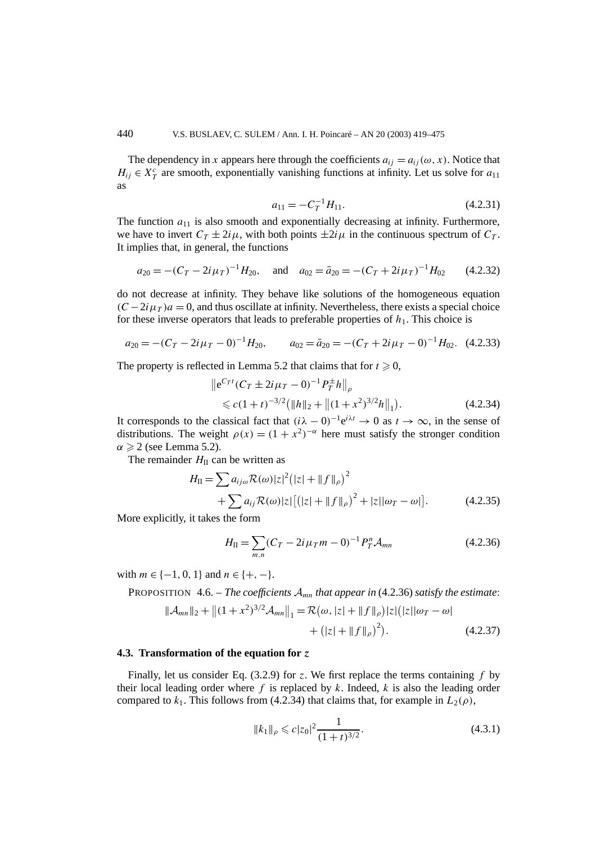The dependency in *x* appears here through the coefficients  $a_{ij} = a_{ij}(\omega, x)$ . Notice that  $H_{ij} \in X_T^c$  are smooth, exponentially vanishing functions at infinity. Let us solve for  $a_{11}$ as

$$
a_{11} = -C_T^{-1}H_{11}.\tag{4.2.31}
$$

The function  $a_{11}$  is also smooth and exponentially decreasing at infinity. Furthermore, we have to invert  $C_T \pm 2i\mu$ , with both points  $\pm 2i\mu$  in the continuous spectrum of  $C_T$ . It implies that, in general, the functions

$$
a_{20} = -(C_T - 2i\mu_T)^{-1}H_{20}, \text{ and } a_{02} = \bar{a}_{20} = -(C_T + 2i\mu_T)^{-1}H_{02} \qquad (4.2.32)
$$

do not decrease at infinity. They behave like solutions of the homogeneous equation  $(C - 2i\mu) a = 0$ , and thus oscillate at infinity. Nevertheless, there exists a special choice for these inverse operators that leads to preferable properties of  $h_1$ . This choice is

$$
a_{20} = -(C_T - 2i\mu_T - 0)^{-1}H_{20}, \qquad a_{02} = \bar{a}_{20} = -(C_T + 2i\mu_T - 0)^{-1}H_{02}. \tag{4.2.33}
$$

The property is reflected in Lemma 5.2 that claims that for  $t \ge 0$ ,

$$
\|e^{C_T t} (C_T \pm 2i\mu_T - 0)^{-1} P_T^{\pm} h\|_{\rho} \leq c(1+t)^{-3/2} (\|h\|_2 + \|(1+x^2)^{3/2} h\|_1).
$$
\n(4.2.34)

It corresponds to the classical fact that  $(i\lambda - 0)^{-1}e^{i\lambda t} \to 0$  as  $t \to \infty$ , in the sense of distributions. The weight  $\rho(x) = (1 + x^2)^{-\alpha}$  here must satisfy the stronger condition  $\alpha \geqslant 2$  (see Lemma 5.2).

The remainder  $H<sub>II</sub>$  can be written as

$$
H_{\rm II} = \sum a_{ij\omega} \mathcal{R}(\omega) |z|^2 (|z| + \|f\|_{\rho})^2 + \sum a_{ij} \mathcal{R}(\omega) |z| \left[ (|z| + \|f\|_{\rho})^2 + |z| |\omega - \omega| \right]. \tag{4.2.35}
$$

More explicitly, it takes the form

$$
H_{\rm II} = \sum_{m,n} (C_T - 2i\,\mu_T m - 0)^{-1} P_T^n \mathcal{A}_{mn} \tag{4.2.36}
$$

with  $m \in \{-1, 0, 1\}$  and  $n \in \{+, -\}.$ 

PROPOSITION 4.6. – *The coefficients* A*mn that appear in* (4.2.36) *satisfy the estimate*:

$$
\|\mathcal{A}_{mn}\|_2 + \left\|(1+x^2)^{3/2}\mathcal{A}_{mn}\right\|_1 = \mathcal{R}(\omega, |z| + \|f\|_{\rho})|z|\left(|z||\omega_T - \omega\right) + \left(|z| + \|f\|_{\rho}\right)^2\right).
$$
 (4.2.37)

#### **4.3. Transformation of the equation for** *z*

Finally, let us consider Eq. (3.2.9) for *z*. We first replace the terms containing *f* by their local leading order where  $f$  is replaced by  $k$ . Indeed,  $k$  is also the leading order compared to  $k_1$ . This follows from (4.2.34) that claims that, for example in  $L_2(\rho)$ ,

$$
||k_1||_{\rho} \leqslant c|z_0|^2 \frac{1}{(1+t)^{3/2}}.
$$
\n(4.3.1)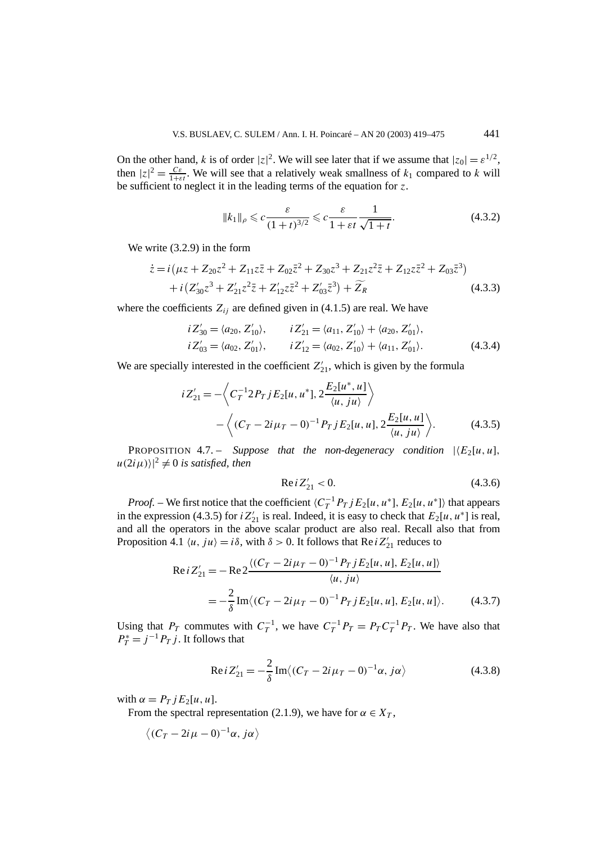On the other hand, *k* is of order  $|z|^2$ . We will see later that if we assume that  $|z_0| = \varepsilon^{1/2}$ , then  $|z|^2 = \frac{C\varepsilon}{1+\varepsilon t}$ . We will see that a relatively weak smallness of  $k_1$  compared to k will be sufficient to neglect it in the leading terms of the equation for *z*.

$$
||k_1||_{\rho} \leqslant c \frac{\varepsilon}{(1+t)^{3/2}} \leqslant c \frac{\varepsilon}{1+\varepsilon t} \frac{1}{\sqrt{1+t}}.
$$
\n(4.3.2)

We write (3.2.9) in the form

$$
\begin{split} \dot{z} &= i \left( \mu z + Z_{20} z^2 + Z_{11} z \bar{z} + Z_{02} \bar{z}^2 + Z_{30} z^3 + Z_{21} z^2 \bar{z} + Z_{12} z \bar{z}^2 + Z_{03} \bar{z}^3 \right) \\ &+ i \left( Z'_{30} z^3 + Z'_{21} z^2 \bar{z} + Z'_{12} z \bar{z}^2 + Z'_{03} \bar{z}^3 \right) + \widetilde{Z}_R \end{split} \tag{4.3.3}
$$

where the coefficients  $Z_{ij}$  are defined given in (4.1.5) are real. We have

$$
i Z'_{30} = \langle a_{20}, Z'_{10} \rangle, \qquad i Z'_{21} = \langle a_{11}, Z'_{10} \rangle + \langle a_{20}, Z'_{01} \rangle,
$$
  
\n
$$
i Z'_{03} = \langle a_{02}, Z'_{01} \rangle, \qquad i Z'_{12} = \langle a_{02}, Z'_{10} \rangle + \langle a_{11}, Z'_{01} \rangle.
$$
 (4.3.4)

We are specially interested in the coefficient  $Z'_{21}$ , which is given by the formula

$$
iZ'_{21} = -\left\langle C_T^{-1} 2P_T j E_2[u, u^*], 2\frac{E_2[u^*, u]}{\langle u, ju \rangle} \right\rangle
$$
  
 
$$
-\left\langle (C_T - 2i\mu_T - 0)^{-1} P_T j E_2[u, u], 2\frac{E_2[u, u]}{\langle u, ju \rangle} \right\rangle.
$$
 (4.3.5)

PROPOSITION 4.7. – *Suppose that the non-degeneracy condition*  $|\langle E_2[u, u|, \rangle|$  $|u(2i\mu)\rangle|^2 \neq 0$  *is satisfied, then* 

$$
\text{Re}\,i\,Z'_{21} < 0.\tag{4.3.6}
$$

*Proof.* – We first notice that the coefficient  $\langle C_T^{-1} P_T j E_2[u, u^*] \rangle$  that appears in the expression (4.3.5) for  $iZ'_{21}$  is real. Indeed, it is easy to check that  $E_2[u, u^*]$  is real, and all the operators in the above scalar product are also real. Recall also that from Proposition 4.1  $\langle u, ju \rangle = i\delta$ , with  $\delta > 0$ . It follows that Re  $iZ'_{21}$  reduces to

$$
Re i Z'_{21} = -Re 2 \frac{\langle (C_T - 2i\mu_T - 0)^{-1} P_T j E_2[u, u], E_2[u, u] \rangle}{\langle u, ju \rangle}
$$
  
=  $-\frac{2}{\delta}$  Im $\langle (C_T - 2i\mu_T - 0)^{-1} P_T j E_2[u, u], E_2[u, u] \rangle$ . (4.3.7)

Using that  $P_T$  commutes with  $C_T^{-1}$ , we have  $C_T^{-1}P_T = P_T C_T^{-1}P_T$ . We have also that  $P_T^* = j^{-1} P_T j$ . It follows that

Re 
$$
i Z'_{21} = -\frac{2}{\delta} \text{Im} \langle (C_T - 2i \mu_T - 0)^{-1} \alpha, j \alpha \rangle
$$
 (4.3.8)

with  $\alpha = P_T j E_2[u, u]$ .

From the spectral representation (2.1.9), we have for  $\alpha \in X_T$ ,

$$
\langle (C_T - 2i\mu - 0)^{-1}\alpha, j\alpha \rangle
$$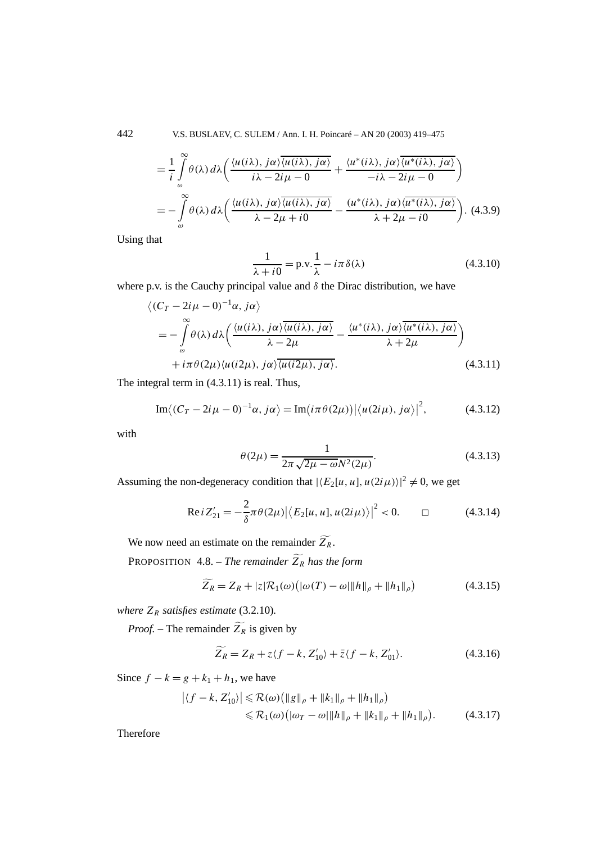442 V.S. BUSLAEV, C. SULEM / Ann. I. H. Poincaré – AN 20 (2003) 419–475

$$
= \frac{1}{i} \int_{\omega}^{\infty} \theta(\lambda) d\lambda \left( \frac{\langle u(i\lambda), j\alpha \rangle \overline{\langle u(i\lambda), j\alpha \rangle}}{i\lambda - 2i\mu - 0} + \frac{\langle u^*(i\lambda), j\alpha \rangle \overline{\langle u^*(i\lambda), j\alpha \rangle}}{-i\lambda - 2i\mu - 0} \right)
$$
  

$$
= - \int_{\omega}^{\infty} \theta(\lambda) d\lambda \left( \frac{\langle u(i\lambda), j\alpha \rangle \overline{\langle u(i\lambda), j\alpha \rangle}}{\lambda - 2\mu + i0} - \frac{\langle u^*(i\lambda), j\alpha \rangle \overline{\langle u^*(i\lambda), j\alpha \rangle}}{\lambda + 2\mu - i0} \right). \tag{4.3.9}
$$

Using that

$$
\frac{1}{\lambda + i0} = \text{p.v.} \frac{1}{\lambda} - i\pi \delta(\lambda)
$$
 (4.3.10)

where p.v. is the Cauchy principal value and  $\delta$  the Dirac distribution, we have

$$
\langle (C_T - 2i\mu - 0)^{-1}\alpha, j\alpha \rangle
$$
  
=  $-\int_{\omega}^{\infty} \theta(\lambda) d\lambda \Big( \frac{\langle u(i\lambda), j\alpha \rangle \overline{\langle u(i\lambda), j\alpha \rangle}}{\lambda - 2\mu} - \frac{\langle u^*(i\lambda), j\alpha \rangle \overline{\langle u^*(i\lambda), j\alpha \rangle}}{\lambda + 2\mu} \Big)$   
+  $i\pi \theta(2\mu) \langle u(i2\mu), j\alpha \rangle \overline{\langle u(i2\mu), j\alpha \rangle}.$  (4.3.11)

The integral term in (4.3.11) is real. Thus,

$$
\operatorname{Im}\langle (C_T - 2i\mu - 0)^{-1}\alpha, j\alpha \rangle = \operatorname{Im}\bigl(i\pi\theta(2\mu)\bigr) \big|\langle u(2i\mu), j\alpha \rangle\big|^2,\tag{4.3.12}
$$

with

$$
\theta(2\mu) = \frac{1}{2\pi\sqrt{2\mu - \omega}N^2(2\mu)}.
$$
\n(4.3.13)

Assuming the non-degeneracy condition that  $|\langle E_2[u, u], u(2i\mu)\rangle|^2 \neq 0$ , we get

Re 
$$
iZ'_{21} = -\frac{2}{\delta}\pi\theta(2\mu)\big|\big\langle E_2[u, u], u(2i\mu)\big\rangle\big|^2 < 0.
$$
  $\Box$  (4.3.14)

We now need an estimate on the remainder  $Z_R$ .

PROPOSITION 4.8. – *The remainder Z <sup>R</sup> has the form*

$$
\widetilde{Z_R} = Z_R + |z|\mathcal{R}_1(\omega)\big(|\omega(T) - \omega|\|h\|_{\rho} + \|h_1\|_{\rho}\big) \tag{4.3.15}
$$

*where*  $Z_R$  *satisfies estimate* (3.2.10)*.* 

*Proof.* – The remainder  $Z_R$  is given by

$$
\widetilde{Z_R} = Z_R + z \langle f - k, Z'_{10} \rangle + \overline{z} \langle f - k, Z'_{01} \rangle. \tag{4.3.16}
$$

Since  $f - k = g + k_1 + h_1$ , we have

$$
\left| \langle f - k, Z'_{10} \rangle \right| \leq \mathcal{R}(\omega) \left( \| g \|_{\rho} + \| k_1 \|_{\rho} + \| h_1 \|_{\rho} \right) \leq \mathcal{R}_1(\omega) \left( |\omega_T - \omega| \| h \|_{\rho} + \| k_1 \|_{\rho} + \| h_1 \|_{\rho} \right).
$$
\n(4.3.17)

Therefore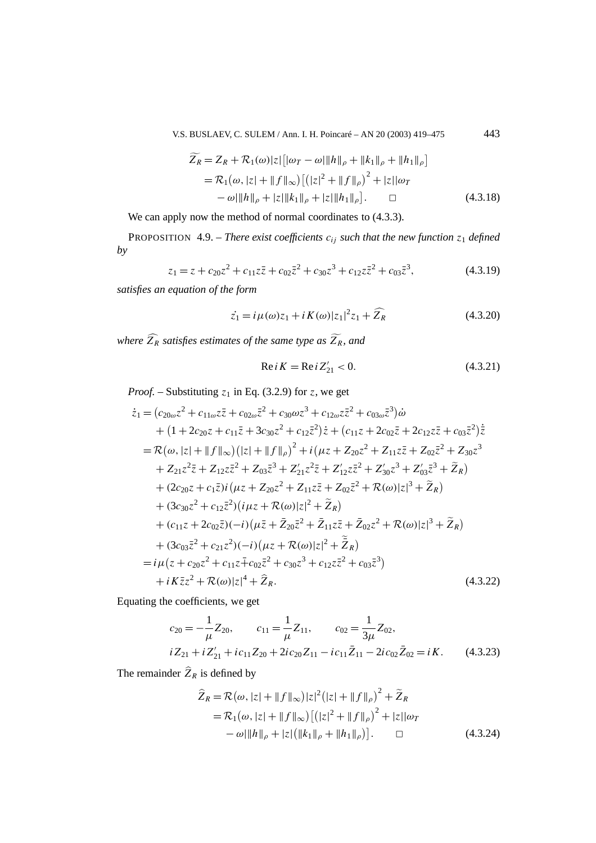V.S. BUSLAEV, C. SULEM / Ann. I. H. Poincaré – AN 20 (2003) 419–475 443

$$
\widetilde{Z}_R = Z_R + \mathcal{R}_1(\omega) |z| [|\omega_T - \omega| \|h\|_{\rho} + \|k_1\|_{\rho} + \|h_1\|_{\rho}]
$$
  
=  $\mathcal{R}_1(\omega, |z| + \|f\|_{\infty}) [(|z|^2 + \|f\|_{\rho})^2 + |z||\omega_T$   
 $-\omega \|h\|_{\rho} + |z| \|k_1\|_{\rho} + |z| \|h_1\|_{\rho}].$   $\square$  (4.3.18)

We can apply now the method of normal coordinates to  $(4.3.3)$ .

PROPOSITION 4.9. – *There exist coefficients*  $c_{ij}$  *such that the new function*  $z_1$  *defined by*

$$
z_1 = z + c_{20}z^2 + c_{11}z\overline{z} + c_{02}\overline{z}^2 + c_{30}z^3 + c_{12}z\overline{z}^2 + c_{03}\overline{z}^3, \tag{4.3.19}
$$

*satisfies an equation of the form*

$$
\dot{z}_1 = i\mu(\omega)z_1 + iK(\omega)|z_1|^2 z_1 + \widehat{Z}_R
$$
\n(4.3.20)

*where Z <sup>R</sup> satisfies estimates of the same type as Z R, and*

$$
Re i K = Re i Z'_{21} < 0.
$$
 (4.3.21)

*Proof.* – Substituting  $z_1$  in Eq. (3.2.9) for *z*, we get

$$
\begin{split}\n\dot{z}_{1} &= (c_{20\omega}z^{2} + c_{11\omega}z\bar{z} + c_{02\omega}\bar{z}^{2} + c_{30}\omega z^{3} + c_{12\omega}z\bar{z}^{2} + c_{03\omega}\bar{z}^{3})\dot{\omega} \\
&+ (1 + 2c_{20}z + c_{11}\bar{z} + 3c_{30}z^{2} + c_{12}\bar{z}^{2})\dot{z} + (c_{11}z + 2c_{02}\bar{z} + 2c_{12}z\bar{z} + c_{03}\bar{z}^{2})\dot{\bar{z}} \\
&= \mathcal{R}(\omega, |z| + \|f\|_{\infty})(|z| + \|f\|_{\rho})^{2} + i(\mu z + Z_{20}z^{2} + Z_{11}z\bar{z} + Z_{02}\bar{z}^{2} + Z_{30}z^{3} \\
&+ Z_{21}z^{2}\bar{z} + Z_{12}z\bar{z}^{2} + Z_{03}\bar{z}^{3} + Z'_{21}z^{2}\bar{z} + Z'_{12}z\bar{z}^{2} + Z'_{30}z^{3} + Z'_{03}\bar{z}^{3} + \tilde{Z}_{R}) \\
&+ (2c_{20}z + c_{1}\bar{z})i(\mu z + Z_{20}z^{2} + Z_{11}z\bar{z} + Z_{02}\bar{z}^{2} + \mathcal{R}(\omega)|z|^{3} + \tilde{Z}_{R}) \\
&+ (3c_{30}z^{2} + c_{12}\bar{z}^{2})(i\mu z + \mathcal{R}(\omega)|z|^{2} + \tilde{Z}_{R}) \\
&+ (c_{11}z + 2c_{02}\bar{z})(-i)(\mu\bar{z} + \bar{Z}_{20}\bar{z}^{2} + \bar{Z}_{11}z\bar{z} + \bar{Z}_{02}z^{2} + \mathcal{R}(\omega)|z|^{3} + \tilde{Z}_{R}) \\
&+ (3c_{03}\bar{z}^{2} + c_{21}z^{2})(-i)(\mu z + \mathcal{R}(\omega)|z|^{2} + \tilde{\bar{Z}}_{R}) \\
&= i\mu(z + c_{20}z^{2} + c_{11}z + c_{02}\bar{z}^{2} + c_{3
$$

Equating the coefficients, we get

$$
c_{20} = -\frac{1}{\mu} Z_{20}, \qquad c_{11} = \frac{1}{\mu} Z_{11}, \qquad c_{02} = \frac{1}{3\mu} Z_{02},
$$
  

$$
iZ_{21} + iZ'_{21} + ic_{11}Z_{20} + 2ic_{20}Z_{11} - ic_{11}\bar{Z}_{11} - 2ic_{02}\bar{Z}_{02} = iK.
$$
 (4.3.23)

The remainder  $\hat{Z}_R$  is defined by

$$
\hat{Z}_R = \mathcal{R}(\omega, |z| + ||f||_{\infty})|z|^2(|z| + ||f||_{\rho})^2 + \tilde{Z}_R \n= \mathcal{R}_1(\omega, |z| + ||f||_{\infty}) [(|z|^2 + ||f||_{\rho})^2 + |z||\omega_T \n- \omega||h||_{\rho} + |z| (||k_1||_{\rho} + ||h_1||_{\rho})]. \qquad \Box
$$
\n(4.3.24)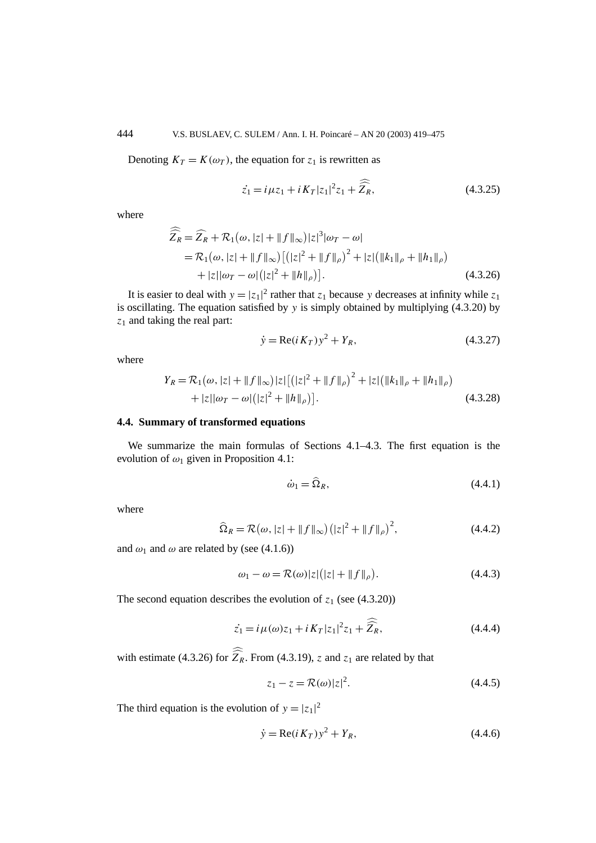Denoting  $K_T = K(\omega_T)$ , the equation for  $z_1$  is rewritten as

$$
\dot{z_1} = i\mu z_1 + iK_T |z_1|^2 z_1 + \widehat{\widehat{Z}_R},
$$
\n(4.3.25)

where

$$
\widehat{\widehat{Z}_R} = \widehat{Z}_R + \mathcal{R}_1(\omega, |z| + ||f||_{\infty})|z|^3|\omega_T - \omega|
$$
  
=  $\mathcal{R}_1(\omega, |z| + ||f||_{\infty}) [(|z|^2 + ||f||_{\rho})^2 + |z| (||k_1||_{\rho} + ||h_1||_{\rho})$   
+  $|z||\omega_T - \omega| (|z|^2 + ||h||_{\rho})].$  (4.3.26)

It is easier to deal with  $y = |z_1|^2$  rather that  $z_1$  because y decreases at infinity while  $z_1$ is oscillating. The equation satisfied by *y* is simply obtained by multiplying (4.3.20) by *z*<sup>1</sup> and taking the real part:

$$
\dot{y} = \text{Re}(i K_T) y^2 + Y_R, \tag{4.3.27}
$$

where

$$
Y_R = \mathcal{R}_1(\omega, |z| + ||f||_{\infty})|z|\left[\left(|z|^2 + ||f||_{\rho}\right)^2 + |z|\left(||k_1||_{\rho} + ||h_1||_{\rho}\right) + |z||\omega_T - \omega|\left(|z|^2 + ||h||_{\rho}\right)\right].
$$
\n(4.3.28)

## **4.4. Summary of transformed equations**

We summarize the main formulas of Sections 4.1–4.3. The first equation is the evolution of *ω*<sup>1</sup> given in Proposition 4.1:

$$
\dot{\omega}_1 = \hat{\Omega}_R,\tag{4.4.1}
$$

where

$$
\widehat{\Omega}_R = \mathcal{R}(\omega, |z| + ||f||_{\infty}) \left( |z|^2 + ||f||_{\rho} \right)^2, \tag{4.4.2}
$$

and  $\omega_1$  and  $\omega$  are related by (see (4.1.6))

$$
\omega_1 - \omega = \mathcal{R}(\omega)|z|(|z| + ||f||_{\rho}).\tag{4.4.3}
$$

The second equation describes the evolution of  $z_1$  (see (4.3.20))

$$
\dot{z_1} = i\,\mu(\omega)z_1 + i\,K_T|z_1|^2z_1 + \widehat{\hat{Z}_R},\tag{4.4.4}
$$

with estimate (4.3.26) for  $Z_R$ . From (4.3.19), *z* and  $z_1$  are related by that

$$
z_1 - z = \mathcal{R}(\omega)|z|^2. \tag{4.4.5}
$$

The third equation is the evolution of  $y = |z_1|^2$ 

$$
\dot{y} = \text{Re}(i K_T) y^2 + Y_R, \tag{4.4.6}
$$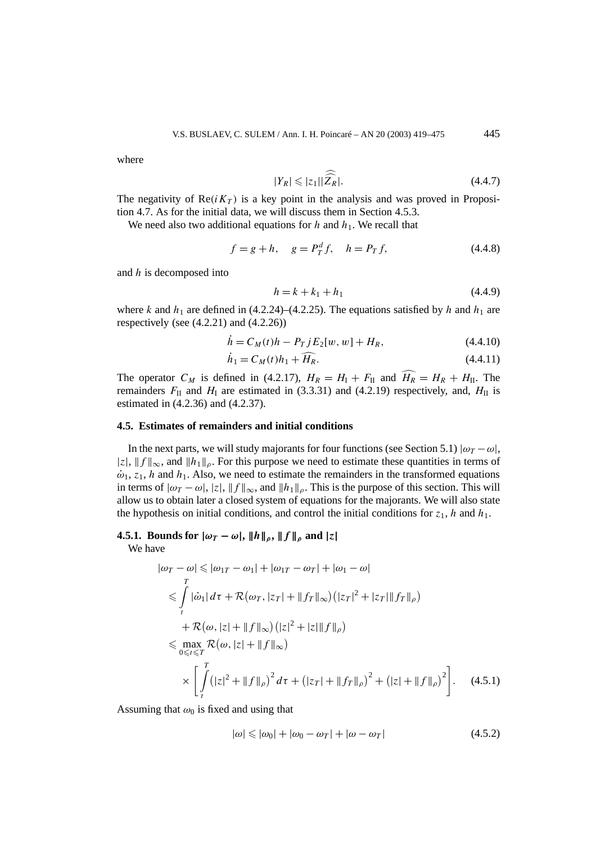where

$$
|Y_R| \leqslant |z_1||\widehat{\widehat{Z}_R}|.\tag{4.4.7}
$$

The negativity of  $Re(i K_T)$  is a key point in the analysis and was proved in Proposition 4.7. As for the initial data, we will discuss them in Section 4.5.3.

We need also two additional equations for  $h$  and  $h_1$ . We recall that

$$
f = g + h, \quad g = P_T^d f, \quad h = P_T f,
$$
\n(4.4.8)

and *h* is decomposed into

$$
h = k + k_1 + h_1 \tag{4.4.9}
$$

where *k* and  $h_1$  are defined in (4.2.24)–(4.2.25). The equations satisfied by *h* and  $h_1$  are respectively (see  $(4.2.21)$  and  $(4.2.26)$ )

$$
\dot{h} = C_M(t)h - P_T j E_2[w, w] + H_R, \qquad (4.4.10)
$$

$$
\dot{h}_1 = C_M(t)h_1 + \widehat{H_R}.\tag{4.4.11}
$$

The operator  $C_M$  is defined in (4.2.17),  $H_R = H_I + F_{II}$  and  $\widehat{H_R} = H_R + H_{II}$ . The remainders  $F_{II}$  and  $H_I$  are estimated in (3.3.31) and (4.2.19) respectively, and,  $H_{II}$  is estimated in (4.2.36) and (4.2.37).

#### **4.5. Estimates of remainders and initial conditions**

In the next parts, we will study majorants for four functions (see Section 5.1)  $|\omega_T - \omega|$ ,  $|z|, \|f\|_{\infty}$ , and  $\|h_1\|_{\rho}$ . For this purpose we need to estimate these quantities in terms of  $\dot{\omega}_1$ ,  $z_1$ , *h* and *h*<sub>1</sub>. Also, we need to estimate the remainders in the transformed equations in terms of  $|\omega_T - \omega|$ ,  $|z|$ ,  $||f||_{\infty}$ , and  $||h_1||_{\rho}$ . This is the purpose of this section. This will allow us to obtain later a closed system of equations for the majorants. We will also state the hypothesis on initial conditions, and control the initial conditions for  $z_1$ , *h* and  $h_1$ .

## **4.5.1.** Bounds for  $|\omega_T - \omega|$ ,  $||h||_{\rho}$ ,  $||f||_{\rho}$  and  $|z|$

We have

$$
|\omega_T - \omega| \le |\omega_{1T} - \omega_1| + |\omega_{1T} - \omega_T| + |\omega_1 - \omega|
$$
  
\n
$$
\le \int_{t}^{T} |\dot{\omega}_1| d\tau + \mathcal{R}(\omega_T, |z_T| + \|f_T\|_{\infty}) (|z_T|^2 + |z_T|\|f_T\|_{\rho})
$$
  
\n
$$
+ \mathcal{R}(\omega, |z| + \|f\|_{\infty}) (|z|^2 + |z|\|f\|_{\rho})
$$
  
\n
$$
\le \max_{0 \le t \le T} \mathcal{R}(\omega, |z| + \|f\|_{\infty})
$$
  
\n
$$
\times \left[ \int_{t}^{T} (|z|^2 + \|f\|_{\rho})^2 d\tau + (|z_T| + \|f_T\|_{\rho})^2 + (|z| + \|f\|_{\rho})^2 \right]. \quad (4.5.1)
$$

Assuming that  $\omega_0$  is fixed and using that

$$
|\omega| \le |\omega_0| + |\omega_0 - \omega_T| + |\omega - \omega_T| \tag{4.5.2}
$$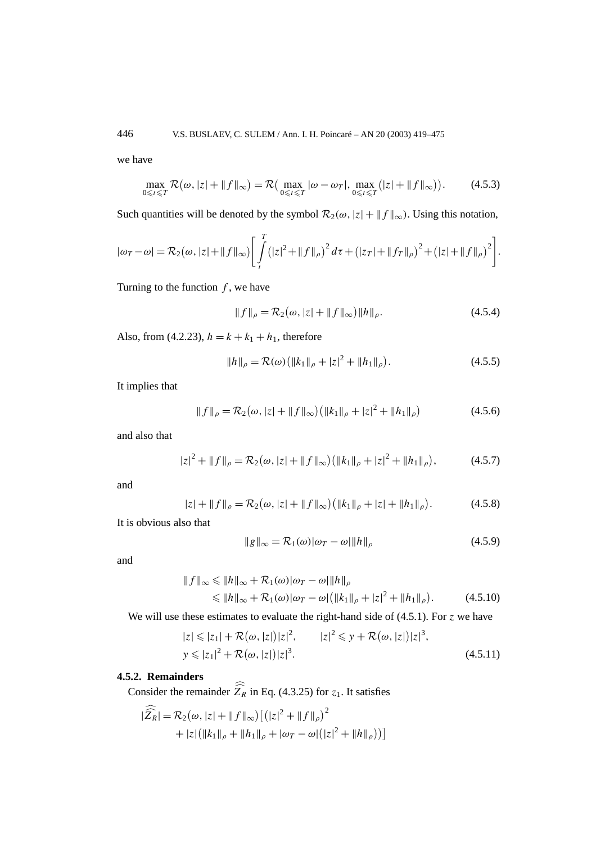we have

$$
\max_{0 \leq t \leq T} \mathcal{R}(\omega, |z| + \|f\|_{\infty}) = \mathcal{R}(\max_{0 \leq t \leq T} |\omega - \omega_T|, \max_{0 \leq t \leq T} (|z| + \|f\|_{\infty})).
$$
 (4.5.3)

Such quantities will be denoted by the symbol  $\mathcal{R}_2(\omega, |z| + ||f||_{\infty})$ . Using this notation,

$$
|\omega_T - \omega| = \mathcal{R}_2(\omega, |z| + \|f\|_{\infty}) \Bigg[ \int_t^T (|z|^2 + \|f\|_{\rho})^2 d\tau + (|z_T| + \|f_T\|_{\rho})^2 + (|z| + \|f\|_{\rho})^2 \Bigg].
$$

Turning to the function  $f$ , we have

$$
||f||_{\rho} = \mathcal{R}_2(\omega, |z| + ||f||_{\infty}) ||h||_{\rho}.
$$
 (4.5.4)

Also, from (4.2.23),  $h = k + k_1 + h_1$ , therefore

$$
||h||_{\rho} = \mathcal{R}(\omega) (||k_1||_{\rho} + |z|^2 + ||h_1||_{\rho}).
$$
\n(4.5.5)

It implies that

$$
||f||_{\rho} = \mathcal{R}_2(\omega, |z| + ||f||_{\infty}) (||k_1||_{\rho} + |z|^2 + ||h_1||_{\rho})
$$
 (4.5.6)

and also that

$$
|z|^2 + \|f\|_{\rho} = \mathcal{R}_2(\omega, |z| + \|f\|_{\infty}) \left( \|k_1\|_{\rho} + |z|^2 + \|h_1\|_{\rho} \right),\tag{4.5.7}
$$

and

$$
|z| + ||f||_{\rho} = \mathcal{R}_2(\omega, |z| + ||f||_{\infty}) (||k_1||_{\rho} + |z| + ||h_1||_{\rho}). \tag{4.5.8}
$$

It is obvious also that

$$
||g||_{\infty} = \mathcal{R}_1(\omega)|\omega_T - \omega||h||_{\rho}
$$
\n(4.5.9)

and

$$
||f||_{\infty} \le ||h||_{\infty} + \mathcal{R}_1(\omega)|\omega_T - \omega||h||_{\rho}
$$
  
\$\le ||h||\_{\infty} + \mathcal{R}\_1(\omega)|\omega\_T - \omega| (||k\_1||\_{\rho} + |z|^2 + ||h\_1||\_{\rho}). \qquad (4.5.10)

We will use these estimates to evaluate the right-hand side of (4.5.1). For *z* we have

$$
|z| \le |z_1| + \mathcal{R}(\omega, |z|)|z|^2, \qquad |z|^2 \le y + \mathcal{R}(\omega, |z|)|z|^3,
$$
  

$$
y \le |z_1|^2 + \mathcal{R}(\omega, |z|)|z|^3.
$$
 (4.5.11)

## **4.5.2. Remainders**

Consider the remainder  $Z_R$  in Eq. (4.3.25) for  $z_1$ . It satisfies

$$
|\widehat{Z_R}| = \mathcal{R}_2(\omega, |z| + ||f||_{\infty}) \left[ (|z|^2 + ||f||_{\rho})^2 + |z| (||k_1||_{\rho} + ||h_1||_{\rho} + |\omega_T - \omega| (|z|^2 + ||h||_{\rho})) \right]
$$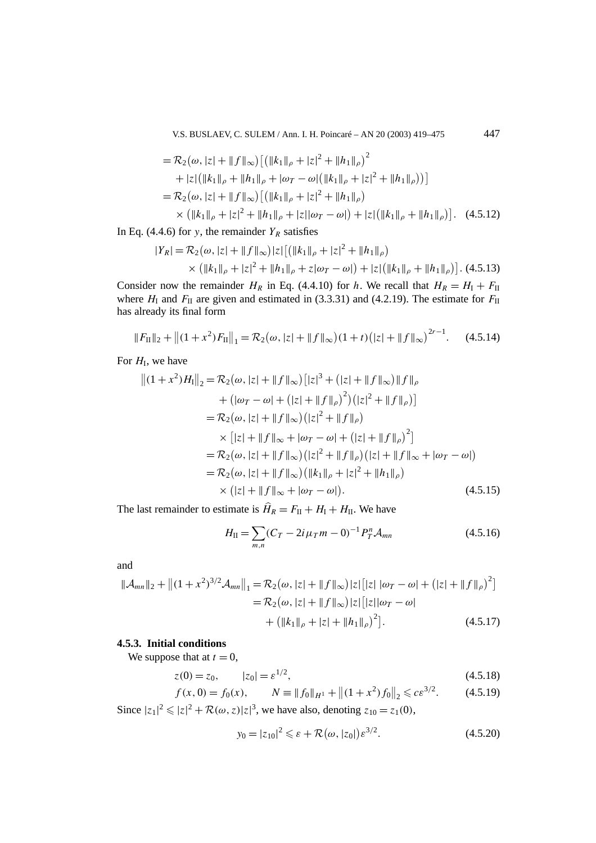V.S. BUSLAEV, C. SULEM / Ann. I. H. Poincaré – AN 20 (2003) 419–475 447

$$
= \mathcal{R}_2(\omega, |z| + ||f||_{\infty}) \left[ \left( ||k_1||_{\rho} + |z|^2 + ||h_1||_{\rho} \right)^2 \right. \n\left. + |z| \left( ||k_1||_{\rho} + ||h_1||_{\rho} + |\omega_T - \omega| \left( ||k_1||_{\rho} + |z|^2 + ||h_1||_{\rho} \right) \right) \right] \n= \mathcal{R}_2(\omega, |z| + ||f||_{\infty}) \left[ \left( ||k_1||_{\rho} + |z|^2 + ||h_1||_{\rho} \right) \right. \n\times \left( ||k_1||_{\rho} + |z|^2 + ||h_1||_{\rho} + |z||\omega_T - \omega| \right) + |z| \left( ||k_1||_{\rho} + ||h_1||_{\rho} \right) \right]. \tag{4.5.12}
$$

In Eq. (4.4.6) for *y*, the remainder  $Y_R$  satisfies

$$
|Y_R| = \mathcal{R}_2(\omega, |z| + \|f\|_{\infty})|z|\left[\left(\|k_1\|_{\rho} + |z|^2 + \|h_1\|_{\rho}\right)\right] \times \left(\|k_1\|_{\rho} + |z|^2 + \|h_1\|_{\rho} + z|\omega_T - \omega|\right) + |z|\left(\|k_1\|_{\rho} + \|h_1\|_{\rho}\right)\right].
$$
 (4.5.13)

Consider now the remainder  $H_R$  in Eq. (4.4.10) for *h*. We recall that  $H_R = H_I + F_{II}$ where  $H<sub>I</sub>$  and  $F<sub>II</sub>$  are given and estimated in (3.3.31) and (4.2.19). The estimate for  $F<sub>II</sub>$ has already its final form

$$
||F_{\text{II}}||_2 + ||(1+x^2)F_{\text{II}}||_1 = \mathcal{R}_2(\omega, |z| + ||f||_{\infty})(1+t)(|z| + ||f||_{\infty})^{2r-1}.
$$
 (4.5.14)

For  $H<sub>I</sub>$ , we have

$$
||(1 + x2)HI||2 = \mathcal{R}2(\omega, |z| + ||f||\infty) [ |z|3 + (|z| + ||f||\infty) ||f||\rho+ (|\omegaT - \omega| + (|z| + ||f||\rho)2) (|z|2 + ||f||\rho)]= \mathcal{R}2(\omega, |z| + ||f||\infty) (|z|2 + ||f||\rho)\times [|z| + ||f||\infty + |\omegaT - \omega| + (|z| + ||f||\rho)2]= \mathcal{R}2(\omega, |z| + ||f||\infty) (|z|2 + ||f||\rho) (|z| + ||f||\infty + |\omegaT - \omega|)= \mathcal{R}2(\omega, |z| + ||f||\infty) (||k1||\rho + |z|2 + ||h1||\rho)\times (|z| + ||f||\infty + |\omegaT - \omega|). \qquad (4.5.15)
$$

The last remainder to estimate is  $\hat{H}_R = F_{II} + H_I + H_{II}$ . We have

$$
H_{II} = \sum_{m,n} (C_T - 2i\,\mu_T m - 0)^{-1} P_T^n \mathcal{A}_{mn} \tag{4.5.16}
$$

and

$$
\|\mathcal{A}_{mn}\|_2 + \left\|(1+x^2)^{3/2}\mathcal{A}_{mn}\right\|_1 = \mathcal{R}_2(\omega, |z| + \|f\|_{\infty})|z|\left[|z|\left|\omega_T - \omega\right| + \left(|z| + \|f\|_{\rho}\right)^2\right]
$$
  

$$
= \mathcal{R}_2(\omega, |z| + \|f\|_{\infty})|z|\left[|z|\left|\omega_T - \omega\right|\right]
$$
  

$$
+ \left(\|k_1\|_{\rho} + |z| + \|h_1\|_{\rho}\right)^2\right].
$$
 (4.5.17)

#### **4.5.3. Initial conditions**

We suppose that at  $t = 0$ ,

$$
z(0) = z_0, \qquad |z_0| = \varepsilon^{1/2}, \tag{4.5.18}
$$

$$
f(x, 0) = f_0(x), \qquad N \equiv \|f_0\|_{H^1} + \left\|(1 + x^2)f_0\right\|_2 \leqslant c\varepsilon^{3/2}.
$$
 (4.5.19)

Since  $|z_1|^2 \leq |z|^2 + \mathcal{R}(\omega, z)|z|^3$ , we have also, denoting  $z_{10} = z_1(0)$ ,

$$
y_0 = |z_{10}|^2 \le \varepsilon + \mathcal{R}(\omega, |z_0|) \varepsilon^{3/2}.
$$
 (4.5.20)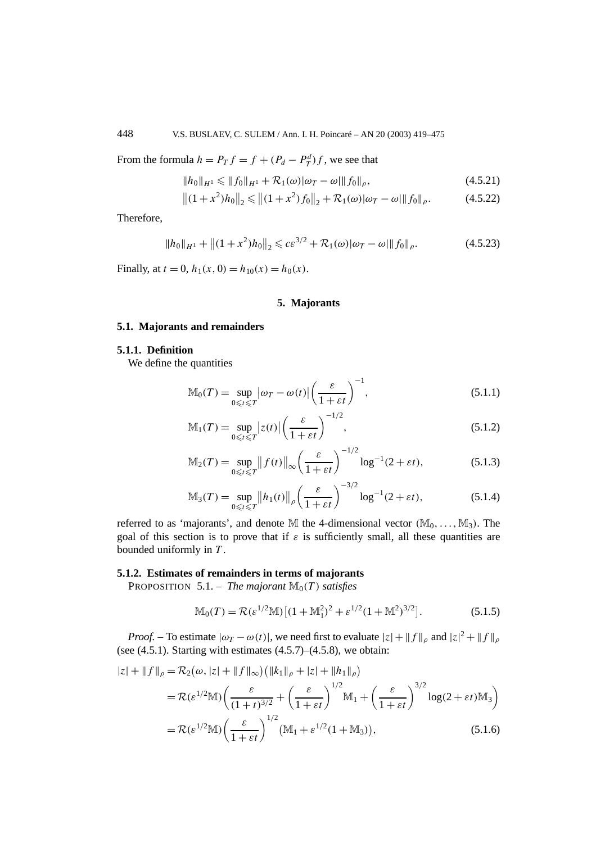From the formula  $h = P_T f = f + (P_d - P_T^d) f$ , we see that

$$
||h_0||_{H^1} \le ||f_0||_{H^1} + \mathcal{R}_1(\omega)|\omega_T - \omega|||f_0||_{\rho},
$$
\n(4.5.21)

$$
||(1+x^2)h_0||_2 \le ||(1+x^2)f_0||_2 + \mathcal{R}_1(\omega)|\omega_T - \omega||f_0||_\rho.
$$
 (4.5.22)

Therefore,

$$
||h_0||_{H^1} + ||(1+x^2)h_0||_2 \leqslant c\epsilon^{3/2} + \mathcal{R}_1(\omega)|\omega_T - \omega||f_0||_\rho.
$$
 (4.5.23)

Finally, at  $t = 0$ ,  $h_1(x, 0) = h_{10}(x) = h_0(x)$ .

## **5. Majorants**

## **5.1. Majorants and remainders**

## **5.1.1. Definition**

We define the quantities

$$
\mathbb{M}_0(T) = \sup_{0 \le t \le T} |\omega_T - \omega(t)| \left(\frac{\varepsilon}{1 + \varepsilon t}\right)^{-1},\tag{5.1.1}
$$

$$
\mathbb{M}_1(T) = \sup_{0 \le t \le T} |z(t)| \left(\frac{\varepsilon}{1 + \varepsilon t}\right)^{-1/2},\tag{5.1.2}
$$

$$
\mathbb{M}_2(T) = \sup_{0 \leq t \leq T} \|f(t)\|_{\infty} \left(\frac{\varepsilon}{1 + \varepsilon t}\right)^{-1/2} \log^{-1}(2 + \varepsilon t),\tag{5.1.3}
$$

$$
\mathbb{M}_3(T) = \sup_{0 \le t \le T} \left\| h_1(t) \right\|_{\rho} \left( \frac{\varepsilon}{1 + \varepsilon t} \right)^{-3/2} \log^{-1}(2 + \varepsilon t),\tag{5.1.4}
$$

referred to as 'majorants', and denote M the 4-dimensional vector  $(\mathbb{M}_0, \ldots, \mathbb{M}_3)$ . The goal of this section is to prove that if  $\varepsilon$  is sufficiently small, all these quantities are bounded uniformly in *T* .

#### **5.1.2. Estimates of remainders in terms of majorants**

PROPOSITION 5.1. – *The majorant*  $\mathbb{M}_0(T)$  *satisfies* 

$$
\mathbb{M}_0(T) = \mathcal{R}(\varepsilon^{1/2} \mathbb{M}) \left[ (1 + \mathbb{M}_1^2)^2 + \varepsilon^{1/2} (1 + \mathbb{M}^2)^{3/2} \right].
$$
 (5.1.5)

*Proof.* – To estimate  $|\omega_T - \omega(t)|$ , we need first to evaluate  $|z| + ||f||_{\rho}$  and  $|z|^2 + ||f||_{\rho}$ (see  $(4.5.1)$ . Starting with estimates  $(4.5.7)$ – $(4.5.8)$ , we obtain:

$$
|z| + ||f||_{\rho} = \mathcal{R}_{2}(\omega, |z| + ||f||_{\infty}) \left( ||k_{1}||_{\rho} + |z| + ||h_{1}||_{\rho} \right)
$$
  
\n
$$
= \mathcal{R}(\varepsilon^{1/2} \mathbb{M}) \left( \frac{\varepsilon}{(1+t)^{3/2}} + \left( \frac{\varepsilon}{1+\varepsilon t} \right)^{1/2} \mathbb{M}_{1} + \left( \frac{\varepsilon}{1+\varepsilon t} \right)^{3/2} \log(2+\varepsilon t) \mathbb{M}_{3} \right)
$$
  
\n
$$
= \mathcal{R}(\varepsilon^{1/2} \mathbb{M}) \left( \frac{\varepsilon}{1+\varepsilon t} \right)^{1/2} \left( \mathbb{M}_{1} + \varepsilon^{1/2} (1+\mathbb{M}_{3}) \right), \qquad (5.1.6)
$$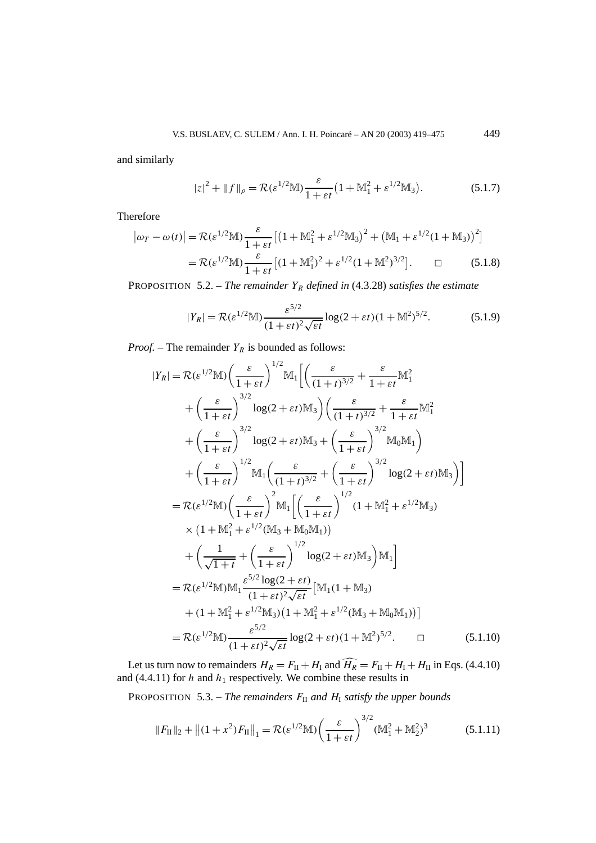and similarly

$$
|z|^2 + ||f||_{\rho} = \mathcal{R}(\varepsilon^{1/2} \mathbb{M}) \frac{\varepsilon}{1 + \varepsilon t} \left(1 + \mathbb{M}_1^2 + \varepsilon^{1/2} \mathbb{M}_3\right).
$$
 (5.1.7)

Therefore

$$
|\omega_T - \omega(t)| = \mathcal{R}(\varepsilon^{1/2} \mathbb{M}) \frac{\varepsilon}{1 + \varepsilon t} \left[ \left( 1 + \mathbb{M}_1^2 + \varepsilon^{1/2} \mathbb{M}_3 \right)^2 + \left( \mathbb{M}_1 + \varepsilon^{1/2} (1 + \mathbb{M}_3) \right)^2 \right]
$$
  
=  $\mathcal{R}(\varepsilon^{1/2} \mathbb{M}) \frac{\varepsilon}{1 + \varepsilon t} \left[ (1 + \mathbb{M}_1^2)^2 + \varepsilon^{1/2} (1 + \mathbb{M}_1^2)^{3/2} \right].$   $\Box$  (5.1.8)

PROPOSITION 5.2. – *The remainder*  $Y_R$  *defined in* (4.3.28) *satisfies the estimate* 

$$
|Y_R| = \mathcal{R}(\varepsilon^{1/2} \mathbb{M}) \frac{\varepsilon^{5/2}}{(1 + \varepsilon t)^2 \sqrt{\varepsilon t}} \log(2 + \varepsilon t) (1 + \mathbb{M}^2)^{5/2}.
$$
 (5.1.9)

*Proof.* – The remainder  $Y_R$  is bounded as follows:

$$
|Y_R| = \mathcal{R}(\varepsilon^{1/2} \mathbb{M}) \left( \frac{\varepsilon}{1 + \varepsilon t} \right)^{1/2} \mathbb{M}_1 \left[ \left( \frac{\varepsilon}{(1 + t)^{3/2}} + \frac{\varepsilon}{1 + \varepsilon t} \mathbb{M}_1^2 \right) + \left( \frac{\varepsilon}{1 + \varepsilon t} \right)^{3/2} \log(2 + \varepsilon t) \mathbb{M}_3 \right) \left( \frac{\varepsilon}{(1 + t)^{3/2}} + \frac{\varepsilon}{1 + \varepsilon t} \mathbb{M}_1^2 \right) + \left( \frac{\varepsilon}{1 + \varepsilon t} \right)^{3/2} \log(2 + \varepsilon t) \mathbb{M}_3 + \left( \frac{\varepsilon}{1 + \varepsilon t} \right)^{3/2} \mathbb{M}_0 \mathbb{M}_1 \right) + \left( \frac{\varepsilon}{1 + \varepsilon t} \right)^{1/2} \mathbb{M}_1 \left( \frac{\varepsilon}{(1 + t)^{3/2}} + \left( \frac{\varepsilon}{1 + \varepsilon t} \right)^{3/2} \log(2 + \varepsilon t) \mathbb{M}_3 \right) \right]
$$
  
\n
$$
= \mathcal{R}(\varepsilon^{1/2} \mathbb{M}) \left( \frac{\varepsilon}{1 + \varepsilon t} \right)^2 \mathbb{M}_1 \left[ \left( \frac{\varepsilon}{1 + \varepsilon t} \right)^{1/2} (1 + \mathbb{M}_1^2 + \varepsilon^{1/2} \mathbb{M}_3) \times (1 + \mathbb{M}_1^2 + \varepsilon^{1/2} (\mathbb{M}_3 + \mathbb{M}_0 \mathbb{M}_1)) \right) + \left( \frac{1}{\sqrt{1 + t}} + \left( \frac{\varepsilon}{1 + \varepsilon t} \right)^{1/2} \log(2 + \varepsilon t) \mathbb{M}_3 \right) \mathbb{M}_1 \right]
$$
  
\n
$$
= \mathcal{R}(\varepsilon^{1/2} \mathbb{M}) \mathbb{M}_1 \frac{\varepsilon^{5/2} \log(2 + \varepsilon t)}{(1 + \varepsilon t)^2 \sqrt{\varepsilon t}} \left[ \mathbb{M}_1 (1 + \mathbb{M}_3) + (1 + \mathbb{M}_1^2
$$

Let us turn now to remainders  $H_R = F_{II} + H_I$  and  $H_R = F_{II} + H_I + H_{II}$  in Eqs. (4.4.10) and  $(4.4.11)$  for *h* and  $h_1$  respectively. We combine these results in

PROPOSITION 5.3. – *The remainders*  $F_{II}$  *and*  $H_I$  *satisfy the upper bounds* 

$$
||F_{\text{II}}||_2 + ||(1+x^2)F_{\text{II}}||_1 = \mathcal{R}(\varepsilon^{1/2} \mathbb{M}) \left(\frac{\varepsilon}{1+\varepsilon t}\right)^{3/2} (\mathbb{M}_1^2 + \mathbb{M}_2^2)^3 \tag{5.1.11}
$$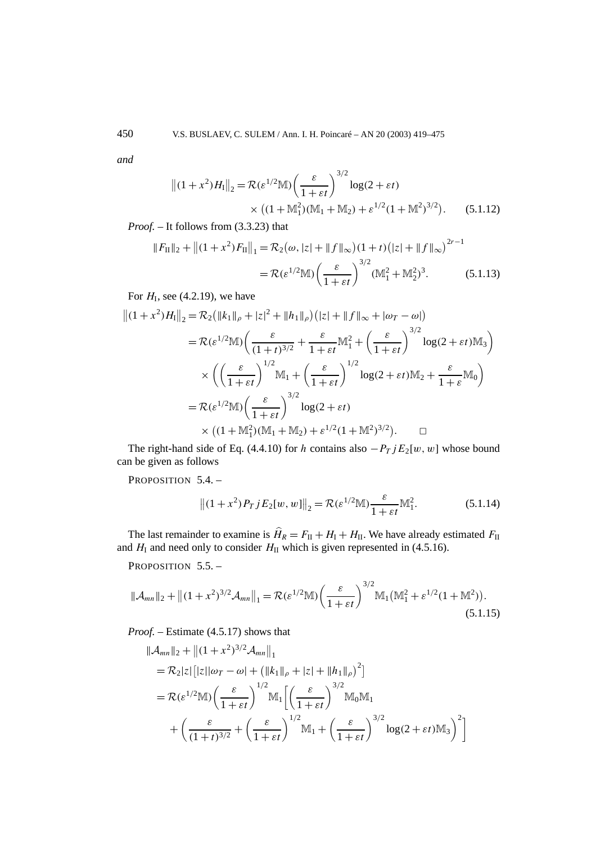*and*

$$
||(1+x^2)H_1||_2 = \mathcal{R}(\varepsilon^{1/2} \mathbb{M}) \left(\frac{\varepsilon}{1+\varepsilon t}\right)^{3/2} \log(2+\varepsilon t)
$$
  
 
$$
\times ((1+\mathbb{M}_1^2)(\mathbb{M}_1+\mathbb{M}_2) + \varepsilon^{1/2}(1+\mathbb{M}^2)^{3/2}). \tag{5.1.12}
$$

*Proof. –* It follows from (3.3.23) that

$$
||F_{\text{II}}||_2 + ||(1+x^2)F_{\text{II}}||_1 = \mathcal{R}_2(\omega, |z| + ||f||_{\infty})(1+t)(|z| + ||f||_{\infty})^{2r-1}
$$
  
=  $\mathcal{R}(\varepsilon^{1/2} \mathbb{M}) \left(\frac{\varepsilon}{1+\varepsilon t}\right)^{3/2} (\mathbb{M}_1^2 + \mathbb{M}_2^2)^3.$  (5.1.13)

For  $H<sub>I</sub>$ , see (4.2.19), we have

$$
||(1+x^2)H_I||_2 = \mathcal{R}_2(||k_1||_\rho + |z|^2 + ||h_1||_\rho)(|z| + ||f||_\infty + |\omega_T - \omega|)
$$
  
\n
$$
= \mathcal{R}(\varepsilon^{1/2} \mathbb{M}) \left( \frac{\varepsilon}{(1+t)^{3/2}} + \frac{\varepsilon}{1+\varepsilon t} \mathbb{M}_1^2 + \left( \frac{\varepsilon}{1+\varepsilon t} \right)^{3/2} \log(2+\varepsilon t) \mathbb{M}_3 \right)
$$
  
\n
$$
\times \left( \left( \frac{\varepsilon}{1+\varepsilon t} \right)^{1/2} \mathbb{M}_1 + \left( \frac{\varepsilon}{1+\varepsilon t} \right)^{1/2} \log(2+\varepsilon t) \mathbb{M}_2 + \frac{\varepsilon}{1+\varepsilon} \mathbb{M}_0 \right)
$$
  
\n
$$
= \mathcal{R}(\varepsilon^{1/2} \mathbb{M}) \left( \frac{\varepsilon}{1+\varepsilon t} \right)^{3/2} \log(2+\varepsilon t)
$$
  
\n
$$
\times \left( (1+\mathbb{M}_1^2)(\mathbb{M}_1 + \mathbb{M}_2) + \varepsilon^{1/2} (1+\mathbb{M}^2)^{3/2} \right). \square
$$

The right-hand side of Eq. (4.4.10) for *h* contains also  $-P_T$  *j* $E_2[w, w]$  whose bound can be given as follows

PROPOSITION 5.4. -

$$
||(1+x^2)P_TjE_2[w,w]||_2 = \mathcal{R}(\varepsilon^{1/2} \mathbb{M}) \frac{\varepsilon}{1+\varepsilon t} \mathbb{M}_1^2.
$$
 (5.1.14)

The last remainder to examine is  $\hat{H}_R = F_{II} + H_I + H_{II}$ . We have already estimated  $F_{II}$ and  $H_I$  and need only to consider  $H_{II}$  which is given represented in (4.5.16).

PROPOSITION 5.5. -

$$
\|\mathcal{A}_{mn}\|_2 + \left\|(1+x^2)^{3/2}\mathcal{A}_{mn}\right\|_1 = \mathcal{R}(\varepsilon^{1/2}\mathbb{M})\left(\frac{\varepsilon}{1+\varepsilon t}\right)^{3/2}\mathbb{M}_1(\mathbb{M}_1^2 + \varepsilon^{1/2}(1+\mathbb{M}^2)).
$$
\n(5.1.15)

*Proof. –* Estimate (4.5.17) shows that

$$
\|\mathcal{A}_{mn}\|_2 + \|(1+x^2)^{3/2}\mathcal{A}_{mn}\|_1
$$
  
=  $\mathcal{R}_2|z|\big[|z||\omega_T - \omega| + \big(\|k_1\|_{\rho} + |z| + \|h_1\|_{\rho}\big)^2\big]$   
=  $\mathcal{R}(\varepsilon^{1/2}\mathbb{M})\bigg(\frac{\varepsilon}{1+\varepsilon t}\bigg)^{1/2}\mathbb{M}_1\bigg[\bigg(\frac{\varepsilon}{1+\varepsilon t}\bigg)^{3/2}\mathbb{M}_0\mathbb{M}_1$   
+  $\bigg(\frac{\varepsilon}{(1+t)^{3/2}} + \bigg(\frac{\varepsilon}{1+\varepsilon t}\bigg)^{1/2}\mathbb{M}_1 + \bigg(\frac{\varepsilon}{1+\varepsilon t}\bigg)^{3/2}\log(2+\varepsilon t)\mathbb{M}_3\bigg)^2\bigg]$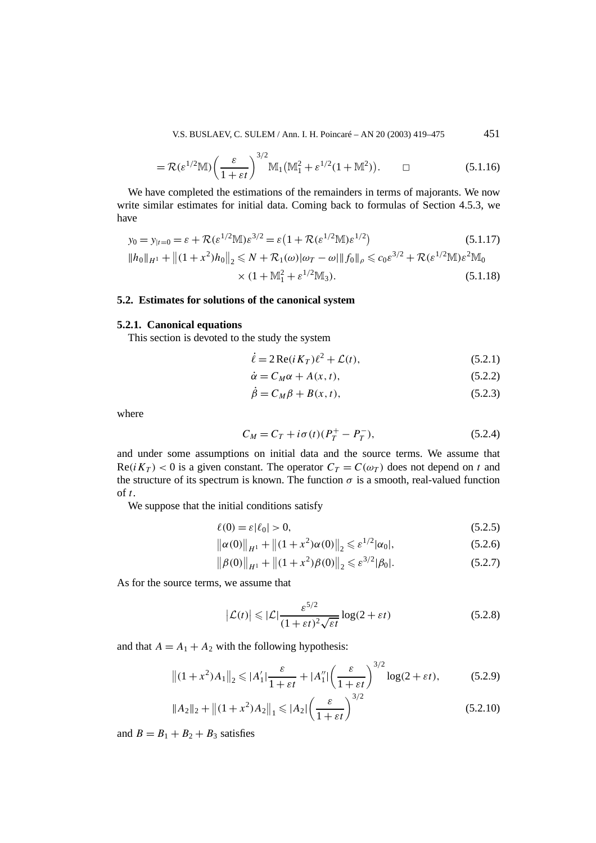V.S. BUSLAEV, C. SULEM / Ann. I. H. Poincaré – AN 20 (2003) 419–475 451

$$
= \mathcal{R}(\varepsilon^{1/2} \mathbb{M}) \left(\frac{\varepsilon}{1 + \varepsilon t}\right)^{3/2} \mathbb{M}_1(\mathbb{M}_1^2 + \varepsilon^{1/2} (1 + \mathbb{M}^2)). \qquad \Box \qquad (5.1.16)
$$

We have completed the estimations of the remainders in terms of majorants. We now write similar estimates for initial data. Coming back to formulas of Section 4.5.3, we have

$$
y_0 = y_{|t=0} = \varepsilon + \mathcal{R}(\varepsilon^{1/2} \mathbb{M}) \varepsilon^{3/2} = \varepsilon \left( 1 + \mathcal{R}(\varepsilon^{1/2} \mathbb{M}) \varepsilon^{1/2} \right)
$$
(5.1.17)  
\n
$$
\|h_0\|_{H^1} + \left\| (1 + x^2) h_0 \right\|_2 \le N + \mathcal{R}_1(\omega) |\omega_T - \omega| \|f_0\|_{\rho} \le c_0 \varepsilon^{3/2} + \mathcal{R}(\varepsilon^{1/2} \mathbb{M}) \varepsilon^2 \mathbb{M}_0
$$
  
\n
$$
\times (1 + \mathbb{M}_1^2 + \varepsilon^{1/2} \mathbb{M}_3).
$$
(5.1.18)

## **5.2. Estimates for solutions of the canonical system**

## **5.2.1. Canonical equations**

This section is devoted to the study the system

$$
\dot{\ell} = 2\operatorname{Re}(i K_T)\ell^2 + \mathcal{L}(t),\tag{5.2.1}
$$

$$
\dot{\alpha} = C_M \alpha + A(x, t),\tag{5.2.2}
$$

$$
\dot{\beta} = C_M \beta + B(x, t),\tag{5.2.3}
$$

where

$$
C_M = C_T + i\sigma(t)(P_T^+ - P_T^-),
$$
\n(5.2.4)

and under some assumptions on initial data and the source terms. We assume that  $\text{Re}(iK_T) < 0$  is a given constant. The operator  $C_T = C(\omega_T)$  does not depend on t and the structure of its spectrum is known. The function  $\sigma$  is a smooth, real-valued function of *t*.

We suppose that the initial conditions satisfy

$$
\ell(0) = \varepsilon |\ell_0| > 0,\tag{5.2.5}
$$

$$
\|\alpha(0)\|_{H^1} + \|(1+x^2)\alpha(0)\|_2 \leq \varepsilon^{1/2}|\alpha_0|,\tag{5.2.6}
$$

$$
\|\beta(0)\|_{H^1} + \|(1+x^2)\beta(0)\|_2 \leqslant \varepsilon^{3/2}|\beta_0|. \tag{5.2.7}
$$

As for the source terms, we assume that

$$
\left|\mathcal{L}(t)\right| \leqslant \left|\mathcal{L}\right| \frac{\varepsilon^{5/2}}{(1+\varepsilon t)^2 \sqrt{\varepsilon t}} \log(2+\varepsilon t) \tag{5.2.8}
$$

and that  $A = A_1 + A_2$  with the following hypothesis:

$$
||(1+x^2)A_1||_2 \le |A'_1| \frac{\varepsilon}{1+\varepsilon t} + |A''_1| \left(\frac{\varepsilon}{1+\varepsilon t}\right)^{3/2} \log(2+\varepsilon t), \tag{5.2.9}
$$

$$
||A_2||_2 + ||(1+x^2)A_2||_1 \le |A_2| \left(\frac{\varepsilon}{1+\varepsilon t}\right)^{3/2}
$$
\n(5.2.10)

and  $B = B_1 + B_2 + B_3$  satisfies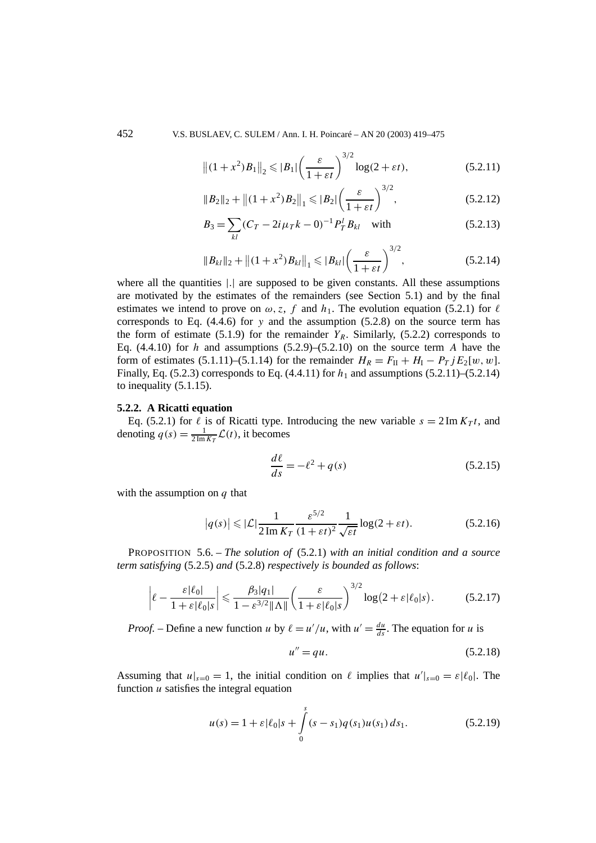452 V.S. BUSLAEV, C. SULEM / Ann. I. H. Poincaré – AN 20 (2003) 419–475

$$
\left\| (1+x^2) B_1 \right\|_2 \leqslant |B_1| \left( \frac{\varepsilon}{1+\varepsilon t} \right)^{3/2} \log(2+\varepsilon t),\tag{5.2.11}
$$

$$
||B_2||_2 + ||(1+x^2)B_2||_1 \leqslant |B_2|\left(\frac{\varepsilon}{1+\varepsilon t}\right)^{3/2},\tag{5.2.12}
$$

$$
B_3 = \sum_{kl} (C_T - 2i\mu_T k - 0)^{-1} P_T^l B_{kl} \quad \text{with} \tag{5.2.13}
$$

$$
\|B_{kl}\|_2 + \|(1+x^2)B_{kl}\|_1 \leqslant |B_{kl}|\left(\frac{\varepsilon}{1+\varepsilon t}\right)^{3/2},\tag{5.2.14}
$$

where all the quantities |*.*| are supposed to be given constants. All these assumptions are motivated by the estimates of the remainders (see Section 5.1) and by the final estimates we intend to prove on  $\omega$ , *z*, *f* and  $h_1$ . The evolution equation (5.2.1) for  $\ell$ corresponds to Eq. (4.4.6) for *y* and the assumption (5.2.8) on the source term has the form of estimate (5.1.9) for the remainder  $Y_R$ . Similarly, (5.2.2) corresponds to Eq.  $(4.4.10)$  for *h* and assumptions  $(5.2.9)$ – $(5.2.10)$  on the source term *A* have the form of estimates (5.1.11)–(5.1.14) for the remainder  $H_R = F_{II} + H_{I} - P_{T} i E_2[w, w]$ . Finally, Eq. (5.2.3) corresponds to Eq. (4.4.11) for  $h_1$  and assumptions (5.2.11)–(5.2.14) to inequality (5.1.15).

#### **5.2.2. A Ricatti equation**

Eq. (5.2.1) for  $\ell$  is of Ricatti type. Introducing the new variable  $s = 2 \text{Im } K_T t$ , and denoting  $q(s) = \frac{1}{2 \text{Im} K_T} \mathcal{L}(t)$ , it becomes

$$
\frac{d\ell}{ds} = -\ell^2 + q(s) \tag{5.2.15}
$$

with the assumption on *q* that

$$
|q(s)| \leq |\mathcal{L}| \frac{1}{2 \operatorname{Im} K_T} \frac{\varepsilon^{5/2}}{(1 + \varepsilon t)^2} \frac{1}{\sqrt{\varepsilon t}} \log(2 + \varepsilon t). \tag{5.2.16}
$$

PROPOSITION 5.6. – *The solution of* (5.2.1) *with an initial condition and a source term satisfying* (5.2.5) *and* (5.2.8) *respectively is bounded as follows*:

$$
\left|\ell - \frac{\varepsilon |\ell_0|}{1 + \varepsilon |\ell_0| s} \right| \leq \frac{\beta_3 |q_1|}{1 - \varepsilon^{3/2} \|\Lambda\|} \left(\frac{\varepsilon}{1 + \varepsilon |\ell_0| s}\right)^{3/2} \log(2 + \varepsilon |\ell_0| s). \tag{5.2.17}
$$

*Proof.* – Define a new function *u* by  $\ell = u'/u$ , with  $u' = \frac{du}{ds}$ . The equation for *u* is

$$
u'' = qu.\tag{5.2.18}
$$

Assuming that  $u|_{s=0} = 1$ , the initial condition on  $\ell$  implies that  $u'|_{s=0} = \varepsilon |\ell_0|$ . The function *u* satisfies the integral equation

$$
u(s) = 1 + \varepsilon |\ell_0| s + \int_0^s (s - s_1) q(s_1) u(s_1) ds_1.
$$
 (5.2.19)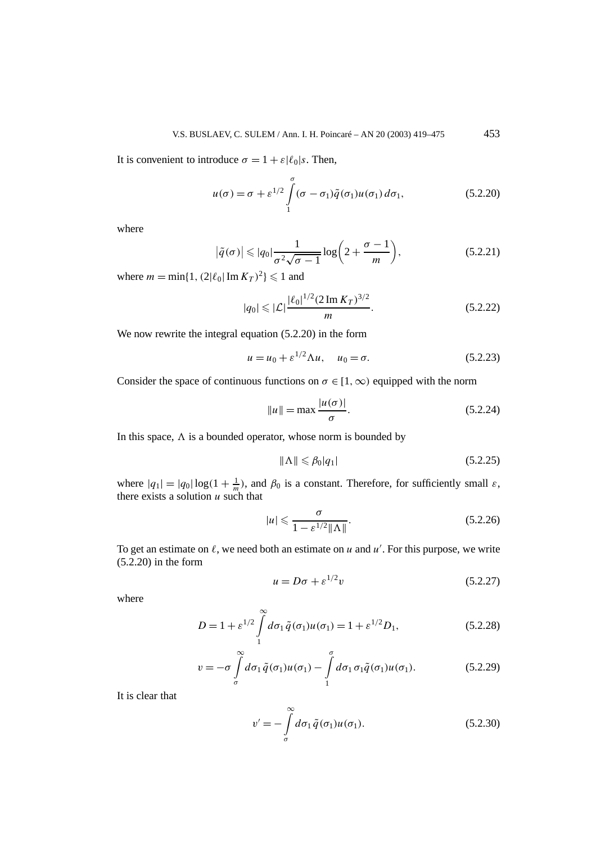It is convenient to introduce  $\sigma = 1 + \varepsilon \ell_0 |s$ . Then,

$$
u(\sigma) = \sigma + \varepsilon^{1/2} \int_{1}^{\sigma} (\sigma - \sigma_1) \tilde{q}(\sigma_1) u(\sigma_1) d\sigma_1,
$$
 (5.2.20)

where

$$
\left|\tilde{q}(\sigma)\right| \leqslant |q_0| \frac{1}{\sigma^2 \sqrt{\sigma - 1}} \log\left(2 + \frac{\sigma - 1}{m}\right),\tag{5.2.21}
$$

where  $m = \min\{1, (2|\ell_0| \operatorname{Im} K_T)^2\} \le 1$  and

$$
|q_0| \leqslant |\mathcal{L}| \frac{|\ell_0|^{1/2} (2 \operatorname{Im} K_T)^{3/2}}{m}.
$$
 (5.2.22)

We now rewrite the integral equation (5.2.20) in the form

$$
u = u_0 + \varepsilon^{1/2} \Lambda u, \quad u_0 = \sigma.
$$
 (5.2.23)

Consider the space of continuous functions on  $\sigma \in [1, \infty)$  equipped with the norm

$$
||u|| = \max \frac{|u(\sigma)|}{\sigma}.
$$
\n(5.2.24)

In this space,  $\Lambda$  is a bounded operator, whose norm is bounded by

$$
\|\Lambda\| \leqslant \beta_0 |q_1| \tag{5.2.25}
$$

where  $|q_1| = |q_0| \log(1 + \frac{1}{m})$ , and  $\beta_0$  is a constant. Therefore, for sufficiently small  $\varepsilon$ , there exists a solution *u* such that

$$
|u| \leq \frac{\sigma}{1 - \varepsilon^{1/2} \|\Lambda\|}.
$$
\n(5.2.26)

To get an estimate on  $\ell$ , we need both an estimate on  $u$  and  $u'$ . For this purpose, we write (5.2.20) in the form

$$
u = D\sigma + \varepsilon^{1/2}v \tag{5.2.27}
$$

where

$$
D = 1 + \varepsilon^{1/2} \int_{1}^{\infty} d\sigma_1 \, \tilde{q}(\sigma_1) u(\sigma_1) = 1 + \varepsilon^{1/2} D_1,\tag{5.2.28}
$$

$$
v = -\sigma \int_{\sigma}^{\infty} d\sigma_1 \tilde{q}(\sigma_1) u(\sigma_1) - \int_{1}^{\sigma} d\sigma_1 \sigma_1 \tilde{q}(\sigma_1) u(\sigma_1).
$$
 (5.2.29)

It is clear that

$$
v' = -\int_{\sigma}^{\infty} d\sigma_1 \tilde{q}(\sigma_1) u(\sigma_1).
$$
 (5.2.30)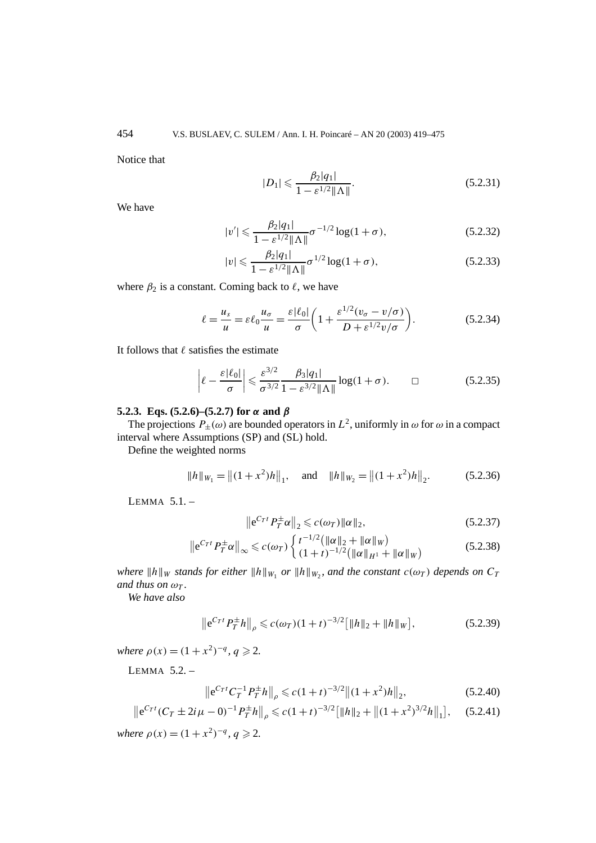Notice that

$$
|D_1| \leqslant \frac{\beta_2 |q_1|}{1 - \varepsilon^{1/2} ||\Lambda||}.
$$
\n(5.2.31)

We have

$$
|v'| \leq \frac{\beta_2 |q_1|}{1 - \varepsilon^{1/2} \|\Lambda\|} \sigma^{-1/2} \log(1 + \sigma), \tag{5.2.32}
$$

$$
|v| \leqslant \frac{\beta_2 |q_1|}{1 - \varepsilon^{1/2} \|\Lambda\|} \sigma^{1/2} \log(1 + \sigma), \tag{5.2.33}
$$

where  $\beta_2$  is a constant. Coming back to  $\ell$ , we have

$$
\ell = \frac{u_s}{u} = \varepsilon \ell_0 \frac{u_\sigma}{u} = \frac{\varepsilon |\ell_0|}{\sigma} \left( 1 + \frac{\varepsilon^{1/2} (v_\sigma - v/\sigma)}{D + \varepsilon^{1/2} v/\sigma} \right). \tag{5.2.34}
$$

It follows that  $\ell$  satisfies the estimate

$$
\left|\ell - \frac{\varepsilon|\ell_0|}{\sigma}\right| \leq \frac{\varepsilon^{3/2}}{\sigma^{3/2}} \frac{\beta_3|q_1|}{1 - \varepsilon^{3/2} \|\Lambda\|} \log(1 + \sigma). \qquad \Box \qquad (5.2.35)
$$

## **5.2.3. Eqs. (5.2.6)–(5.2.7) for** *α* **and** *β*

The projections  $P_{\pm}(\omega)$  are bounded operators in  $L^2$ , uniformly in  $\omega$  for  $\omega$  in a compact interval where Assumptions (SP) and (SL) hold.

Define the weighted norms

$$
||h||_{W_1} = ||(1+x^2)h||_1, \text{ and } ||h||_{W_2} = ||(1+x^2)h||_2.
$$
 (5.2.36)

LEMMA 5.1. –

$$
\left\|e^{C_T t} P_T^{\pm} \alpha\right\|_2 \leqslant c(\omega_T) \|\alpha\|_2,\tag{5.2.37}
$$

$$
\left\|e^{C_T t} P_T^{\pm} \alpha\right\|_{\infty} \leqslant c(\omega_T) \begin{cases} t^{-1/2} \left(\|\alpha\|_2 + \|\alpha\|_W\right) \\ \left(1 + t\right)^{-1/2} \left(\|\alpha\|_{H^1} + \|\alpha\|_W\right) \end{cases} \tag{5.2.38}
$$

*where*  $||h||_W$  *stands for either*  $||h||_{W_1}$  *or*  $||h||_{W_2}$ *, and the constant*  $c(\omega_T)$  *depends on*  $C_T$ *and thus on*  $\omega_T$ *.* 

*We have also*

$$
\left\|e^{C_T t} P_T^{\pm} h\right\|_{\rho} \leqslant c(\omega_T)(1+t)^{-3/2} \big[\|h\|_2 + \|h\|_W\big],\tag{5.2.39}
$$

*where*  $\rho(x) = (1 + x^2)^{-q}$ ,  $q \ge 2$ .

LEMMA 5.2. –

$$
\left\|e^{C_T t} C_T^{-1} P_T^{\pm} h\right\|_{\rho} \leqslant c (1+t)^{-3/2} \left\|(1+x^2) h\right\|_2, \tag{5.2.40}
$$

$$
\left\|e^{C_T t}(C_T \pm 2i\mu - 0)^{-1} P_T^{\pm} h\right\|_{\rho} \leqslant c(1+t)^{-3/2} \left[\|h\|_2 + \left\|(1+x^2)^{3/2} h\right\|_1\right],\tag{5.2.41}
$$

*where*  $\rho(x) = (1 + x^2)^{-q}$ ,  $q \ge 2$ .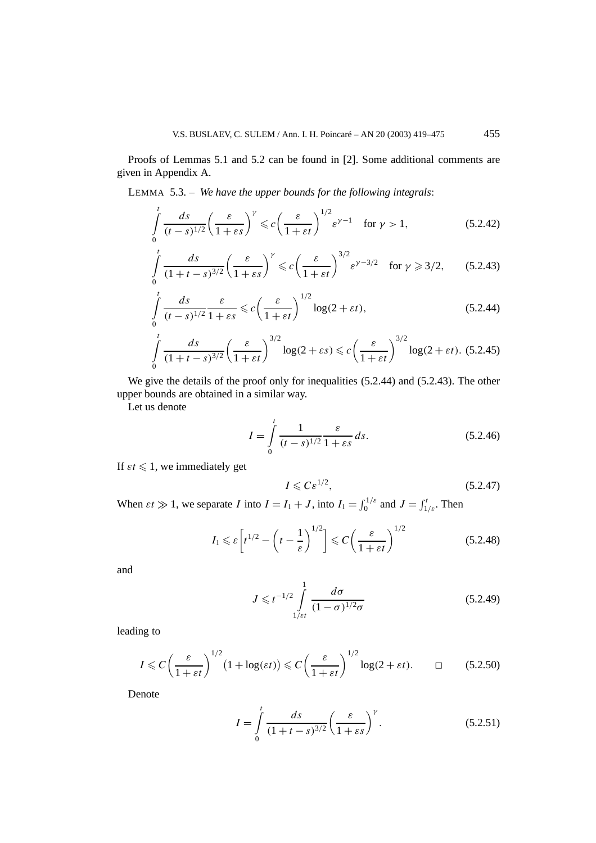Proofs of Lemmas 5.1 and 5.2 can be found in [2]. Some additional comments are given in Appendix A.

LEMMA 5.3. – *We have the upper bounds for the following integrals*:

$$
\int_{0}^{t} \frac{ds}{(t-s)^{1/2}} \left(\frac{\varepsilon}{1+\varepsilon s}\right)^{\gamma} \leqslant c \left(\frac{\varepsilon}{1+\varepsilon t}\right)^{1/2} \varepsilon^{\gamma-1} \quad \text{for } \gamma > 1,
$$
\n(5.2.42)

$$
\int_{0}^{t} \frac{ds}{(1+t-s)^{3/2}} \left(\frac{\varepsilon}{1+\varepsilon s}\right)^{\gamma} \leq c \left(\frac{\varepsilon}{1+\varepsilon t}\right)^{3/2} \varepsilon^{\gamma-3/2} \quad \text{for } \gamma \geqslant 3/2,\tag{5.2.43}
$$

$$
\int_{0}^{t} \frac{ds}{(t-s)^{1/2}} \frac{\varepsilon}{1+\varepsilon s} \leqslant c \left(\frac{\varepsilon}{1+\varepsilon t}\right)^{1/2} \log(2+\varepsilon t),\tag{5.2.44}
$$

$$
\int_{0}^{t} \frac{ds}{(1+t-s)^{3/2}} \left(\frac{\varepsilon}{1+\varepsilon t}\right)^{3/2} \log(2+\varepsilon s) \leq c \left(\frac{\varepsilon}{1+\varepsilon t}\right)^{3/2} \log(2+\varepsilon t). \tag{5.2.45}
$$

We give the details of the proof only for inequalities  $(5.2.44)$  and  $(5.2.43)$ . The other upper bounds are obtained in a similar way.

Let us denote

$$
I = \int_{0}^{t} \frac{1}{(t-s)^{1/2}} \frac{\varepsilon}{1+\varepsilon s} ds.
$$
 (5.2.46)

If  $\epsilon t \leq 1$ , we immediately get

$$
I \leqslant C\varepsilon^{1/2},\tag{5.2.47}
$$

When  $\varepsilon t \gg 1$ , we separate *I* into  $I = I_1 + J$ , into  $I_1 = \int_0^{1/\varepsilon}$  and  $J = \int_{1/\varepsilon}^t$ . Then

$$
I_1 \leqslant \varepsilon \left[ t^{1/2} - \left( t - \frac{1}{\varepsilon} \right)^{1/2} \right] \leqslant C \left( \frac{\varepsilon}{1 + \varepsilon t} \right)^{1/2} \tag{5.2.48}
$$

and

$$
J \leq t^{-1/2} \int_{1/\varepsilon t}^{1} \frac{d\sigma}{(1-\sigma)^{1/2} \sigma}
$$
 (5.2.49)

leading to

$$
I \leq C \left(\frac{\varepsilon}{1 + \varepsilon t}\right)^{1/2} (1 + \log(\varepsilon t)) \leq C \left(\frac{\varepsilon}{1 + \varepsilon t}\right)^{1/2} \log(2 + \varepsilon t). \qquad \Box \qquad (5.2.50)
$$

Denote

$$
I = \int_{0}^{t} \frac{ds}{(1+t-s)^{3/2}} \left(\frac{\varepsilon}{1+\varepsilon s}\right)^{\gamma}.
$$
 (5.2.51)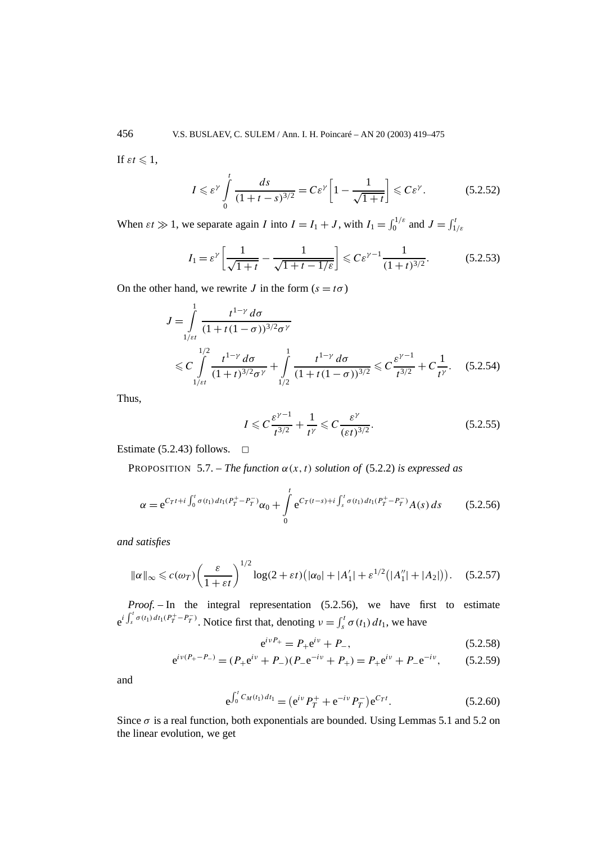If  $\varepsilon t \leqslant 1$ ,

$$
I \leqslant \varepsilon^{\gamma} \int\limits_{0}^{t} \frac{ds}{(1+t-s)^{3/2}} = C\varepsilon^{\gamma} \left[1 - \frac{1}{\sqrt{1+t}}\right] \leqslant C\varepsilon^{\gamma}.
$$
 (5.2.52)

When  $\varepsilon t \gg 1$ , we separate again *I* into  $I = I_1 + J$ , with  $I_1 = \int_0^{1/\varepsilon}$  and  $J = \int_{1/\varepsilon}^t J_1$ 

$$
I_1 = \varepsilon^{\gamma} \left[ \frac{1}{\sqrt{1+t}} - \frac{1}{\sqrt{1+t-1/\varepsilon}} \right] \leq C \varepsilon^{\gamma-1} \frac{1}{(1+t)^{3/2}}.
$$
 (5.2.53)

On the other hand, we rewrite *J* in the form  $(s = t\sigma)$ 

$$
J = \int_{1/\varepsilon t}^{1} \frac{t^{1-\gamma} d\sigma}{(1+t(1-\sigma))^{3/2} \sigma^{\gamma}}
$$
  
 
$$
\leq C \int_{1/\varepsilon t}^{1/2} \frac{t^{1-\gamma} d\sigma}{(1+t)^{3/2} \sigma^{\gamma}} + \int_{1/2}^{1} \frac{t^{1-\gamma} d\sigma}{(1+t(1-\sigma))^{3/2}} \leq C \frac{\varepsilon^{\gamma-1}}{t^{3/2}} + C \frac{1}{t^{\gamma}}.
$$
 (5.2.54)

Thus,

$$
I \leqslant C \frac{\varepsilon^{\gamma - 1}}{t^{\gamma/2}} + \frac{1}{t^{\gamma}} \leqslant C \frac{\varepsilon^{\gamma}}{(\varepsilon t)^{3/2}}.
$$
\n
$$
(5.2.55)
$$

Estimate (5.2.43) follows.  $\Box$ 

PROPOSITION 5.7. – *The function*  $\alpha(x, t)$  *solution of* (5.2.2) *is expressed as* 

$$
\alpha = e^{C_T t + i \int_0^t \sigma(t_1) dt_1 (P_T^+ - P_T^-)} \alpha_0 + \int_0^t e^{C_T (t-s) + i \int_s^t \sigma(t_1) dt_1 (P_T^+ - P_T^-)} A(s) ds \qquad (5.2.56)
$$

*and satisfies*

$$
\|\alpha\|_{\infty} \leq c(\omega_T) \left(\frac{\varepsilon}{1+\varepsilon t}\right)^{1/2} \log(2+\varepsilon t) \left(|\alpha_0| + |A'_1| + \varepsilon^{1/2} \left(|A''_1| + |A_2|\right)\right). \tag{5.2.57}
$$

*Proof. –* In the integral representation (5.2.56), we have first to estimate  $e^{i \int_{s}^{t} \sigma(t_1) dt_1 (P_T^+ - P_T^-)}$ . Notice first that, denoting  $v = \int_{s}^{t} \sigma(t_1) dt_1$ , we have

$$
e^{i\nu P_+} = P_+ e^{i\nu} + P_-, \tag{5.2.58}
$$

$$
e^{iv(P_{+}-P_{-})} = (P_{+}e^{iv} + P_{-})(P_{-}e^{-iv} + P_{+}) = P_{+}e^{iv} + P_{-}e^{-iv},
$$
 (5.2.59)

and

$$
e^{\int_0^t C_M(t_1) dt_1} = (e^{iv} P_T^+ + e^{-iv} P_T^-) e^{C_T t}.
$$
 (5.2.60)

Since  $\sigma$  is a real function, both exponentials are bounded. Using Lemmas 5.1 and 5.2 on the linear evolution, we get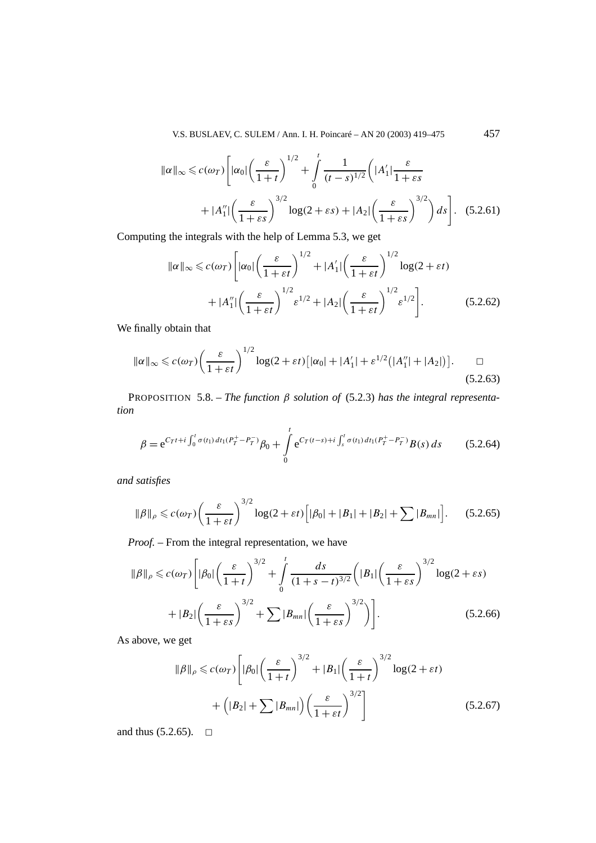V.S. BUSLAEV, C. SULEM / Ann. I. H. Poincaré – AN 20 (2003) 419–475 457

$$
\|\alpha\|_{\infty} \leq c(\omega_T) \left[ |\alpha_0| \left( \frac{\varepsilon}{1+t} \right)^{1/2} + \int_0^t \frac{1}{(t-s)^{1/2}} \left( |A'_1| \frac{\varepsilon}{1+\varepsilon s} + |A''_1| \left( \frac{\varepsilon}{1+\varepsilon s} \right)^{3/2} \log(2+\varepsilon s) + |A_2| \left( \frac{\varepsilon}{1+\varepsilon s} \right)^{3/2} \right) ds \right].
$$
 (5.2.61)

Computing the integrals with the help of Lemma 5.3, we get

$$
\|\alpha\|_{\infty} \leq c(\omega_T) \Bigg[ |\alpha_0| \left( \frac{\varepsilon}{1 + \varepsilon t} \right)^{1/2} + |A'_1| \left( \frac{\varepsilon}{1 + \varepsilon t} \right)^{1/2} \log(2 + \varepsilon t) + |A''_1| \left( \frac{\varepsilon}{1 + \varepsilon t} \right)^{1/2} \varepsilon^{1/2} + |A_2| \left( \frac{\varepsilon}{1 + \varepsilon t} \right)^{1/2} \varepsilon^{1/2} \Bigg]. \tag{5.2.62}
$$

We finally obtain that

$$
\|\alpha\|_{\infty} \leqslant c(\omega_T) \bigg(\frac{\varepsilon}{1+\varepsilon t}\bigg)^{1/2} \log(2+\varepsilon t) \big[|\alpha_0| + |A'_1| + \varepsilon^{1/2} \big(|A''_1| + |A_2|\big)\big]. \qquad \Box
$$
\n
$$
(5.2.63)
$$

PROPOSITION 5.8. – *The function β solution of* (5.2.3) *has the integral representation*

$$
\beta = e^{C_T t + i \int_0^t \sigma(t_1) dt_1 (P_T^+ - P_T^-)} \beta_0 + \int_0^t e^{C_T (t-s) + i \int_s^t \sigma(t_1) dt_1 (P_T^+ - P_T^-)} B(s) ds \qquad (5.2.64)
$$

*and satisfies*

$$
\|\beta\|_{\rho} \leqslant c(\omega_T) \bigg(\frac{\varepsilon}{1+\varepsilon t}\bigg)^{3/2} \log(2+\varepsilon t) \Big[|\beta_0|+|B_1|+|B_2|+\sum |B_{mn}|\Big]. \tag{5.2.65}
$$

*Proof. –* From the integral representation, we have

$$
\|\beta\|_{\rho} \leqslant c(\omega_{T}) \left[|\beta_{0}| \left(\frac{\varepsilon}{1+t}\right)^{3/2} + \int_{0}^{t} \frac{ds}{(1+s-t)^{3/2}} \left(|B_{1}| \left(\frac{\varepsilon}{1+\varepsilon s}\right)^{3/2} \log(2+\varepsilon s)\right)\right] + |B_{2}| \left(\frac{\varepsilon}{1+\varepsilon s}\right)^{3/2} + \sum |B_{mn}| \left(\frac{\varepsilon}{1+\varepsilon s}\right)^{3/2} \right].
$$
\n(5.2.66)

As above, we get

$$
\|\beta\|_{\rho} \leqslant c(\omega_{T}) \left[ |\beta_{0}| \left( \frac{\varepsilon}{1+t} \right)^{3/2} + |B_{1}| \left( \frac{\varepsilon}{1+t} \right)^{3/2} \log(2+\varepsilon t) + \left( |B_{2}| + \sum |B_{mn}| \right) \left( \frac{\varepsilon}{1+\varepsilon t} \right)^{3/2} \right]
$$
\n(5.2.67)

and thus  $(5.2.65)$ .  $\Box$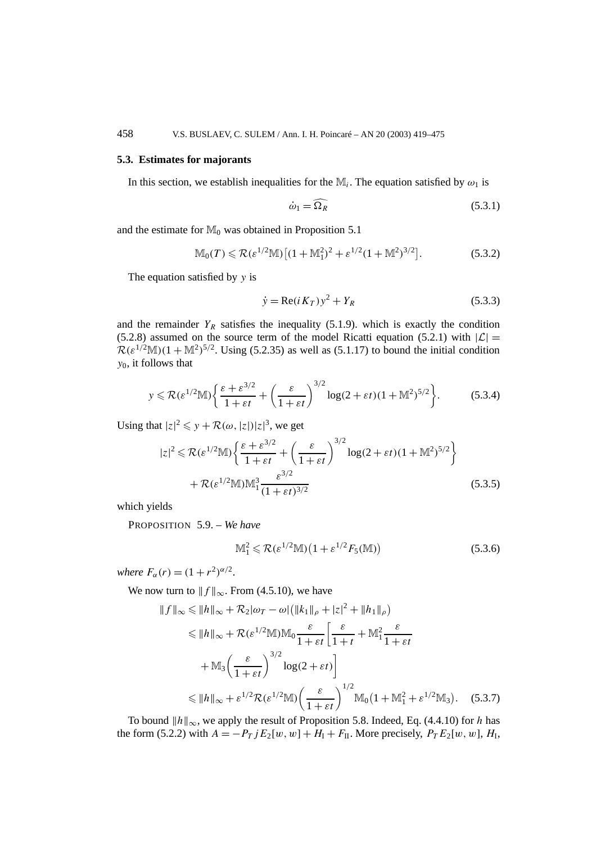#### **5.3. Estimates for majorants**

In this section, we establish inequalities for the  $M_i$ . The equation satisfied by  $\omega_1$  is

$$
\dot{\omega}_1 = \widehat{\Omega_R} \tag{5.3.1}
$$

and the estimate for  $\mathbb{M}_0$  was obtained in Proposition 5.1

$$
\mathbb{M}_0(T) \leqslant \mathcal{R}(\varepsilon^{1/2} \mathbb{M}) \left[ (1 + \mathbb{M}_1^2)^2 + \varepsilon^{1/2} (1 + \mathbb{M}^2)^{3/2} \right]. \tag{5.3.2}
$$

The equation satisfied by *y* is

$$
\dot{y} = \text{Re}(i K_T) y^2 + Y_R \tag{5.3.3}
$$

and the remainder  $Y_R$  satisfies the inequality (5.1.9). which is exactly the condition (5.2.8) assumed on the source term of the model Ricatti equation (5.2.1) with  $|\mathcal{L}| =$  $\mathcal{R}(\varepsilon^{1/2}M)(1 + M^2)^{5/2}$ . Using (5.2.35) as well as (5.1.17) to bound the initial condition *y*0, it follows that

$$
y \leqslant \mathcal{R}(\varepsilon^{1/2} \mathbb{M}) \left\{ \frac{\varepsilon + \varepsilon^{3/2}}{1 + \varepsilon t} + \left( \frac{\varepsilon}{1 + \varepsilon t} \right)^{3/2} \log(2 + \varepsilon t) (1 + \mathbb{M}^2)^{5/2} \right\}.
$$
 (5.3.4)

Using that  $|z|^2 \leq y + \mathcal{R}(\omega, |z|)|z|^3$ , we get

$$
|z|^2 \leq \mathcal{R}(\varepsilon^{1/2} \mathbb{M}) \left\{ \frac{\varepsilon + \varepsilon^{3/2}}{1 + \varepsilon t} + \left( \frac{\varepsilon}{1 + \varepsilon t} \right)^{3/2} \log(2 + \varepsilon t) (1 + \mathbb{M}^2)^{5/2} \right\}
$$
  
+  $\mathcal{R}(\varepsilon^{1/2} \mathbb{M}) \mathbb{M}_1^3 \frac{\varepsilon^{3/2}}{(1 + \varepsilon t)^{3/2}}$  (5.3.5)

which yields

PROPOSITION 5.9. – *We have*

$$
\mathbb{M}_1^2 \leqslant \mathcal{R}(\varepsilon^{1/2}\mathbb{M})(1+\varepsilon^{1/2}F_5(\mathbb{M}))\tag{5.3.6}
$$

*where*  $F_{\alpha}(r) = (1 + r^2)^{\alpha/2}$ .

We now turn to  $|| f ||_{\infty}$ . From (4.5.10), we have

$$
||f||_{\infty} \le ||h||_{\infty} + \mathcal{R}_2|\omega_T - \omega| (||k_1||_{\rho} + |z|^2 + ||h_1||_{\rho})
$$
  
\n
$$
\le ||h||_{\infty} + \mathcal{R}(\varepsilon^{1/2} \mathbb{M}) \mathbb{M}_0 \frac{\varepsilon}{1 + \varepsilon t} \left[ \frac{\varepsilon}{1 + t} + \mathbb{M}_1^2 \frac{\varepsilon}{1 + \varepsilon t} + \mathbb{M}_3 \left( \frac{\varepsilon}{1 + \varepsilon t} \right)^{3/2} \log(2 + \varepsilon t) \right]
$$
  
\n
$$
\le ||h||_{\infty} + \varepsilon^{1/2} \mathcal{R}(\varepsilon^{1/2} \mathbb{M}) \left( \frac{\varepsilon}{1 + \varepsilon t} \right)^{1/2} \mathbb{M}_0 \left( 1 + \mathbb{M}_1^2 + \varepsilon^{1/2} \mathbb{M}_3 \right). \quad (5.3.7)
$$

To bound  $||h||_{\infty}$ , we apply the result of Proposition 5.8. Indeed, Eq. (4.4.10) for *h* has the form (5.2.2) with  $A = -P_T$  *j*  $E_2[w, w] + H_1 + F_{II}$ . More precisely,  $P_T E_2[w, w]$ ,  $H_I$ ,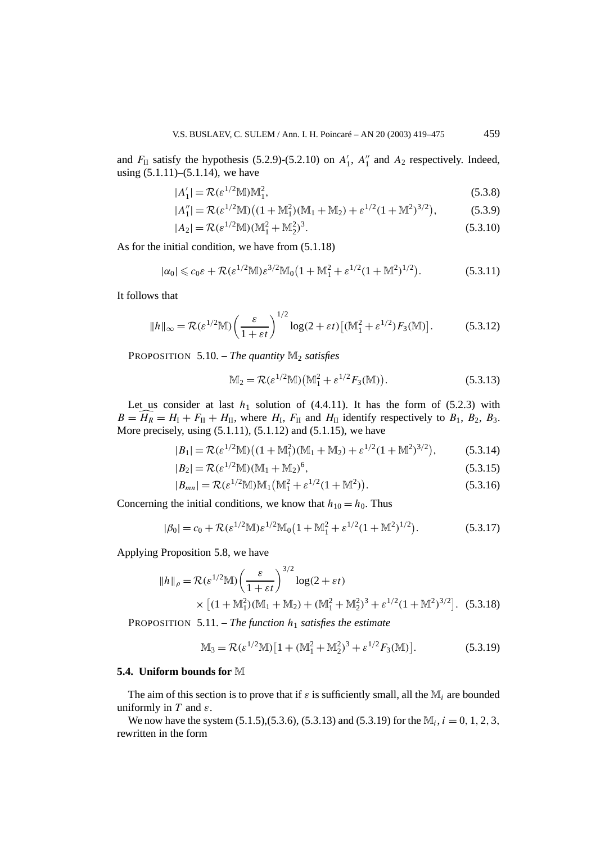and  $F_{\text{II}}$  satisfy the hypothesis (5.2.9)-(5.2.10) on  $A'_{1}$ ,  $A''_{1}$  and  $A_{2}$  respectively. Indeed, using  $(5.1.11)$ – $(5.1.14)$ , we have

$$
|A'_1| = \mathcal{R}(\varepsilon^{1/2} \mathbb{M}) \mathbb{M}_1^2,\tag{5.3.8}
$$

$$
|A_1''| = \mathcal{R}(\varepsilon^{1/2} \mathbb{M}) \big( (1 + \mathbb{M}_1^2)(\mathbb{M}_1 + \mathbb{M}_2) + \varepsilon^{1/2} (1 + \mathbb{M}^2)^{3/2} \big),
$$
(5.3.9)

$$
|A_2| = \mathcal{R}(\varepsilon^{1/2} \mathbb{M}) (\mathbb{M}_1^2 + \mathbb{M}_2^2)^3.
$$
 (5.3.10)

As for the initial condition, we have from (5.1.18)

$$
|\alpha_0| \leq c_0 \varepsilon + \mathcal{R}(\varepsilon^{1/2} M) \varepsilon^{3/2} M_0 \big( 1 + M_1^2 + \varepsilon^{1/2} (1 + M_1^2)^{1/2} \big).
$$
 (5.3.11)

It follows that

$$
||h||_{\infty} = \mathcal{R}(\varepsilon^{1/2} \mathbb{M}) \left(\frac{\varepsilon}{1 + \varepsilon t}\right)^{1/2} \log(2 + \varepsilon t) \left[ (\mathbb{M}_1^2 + \varepsilon^{1/2}) F_3(\mathbb{M}) \right].
$$
 (5.3.12)

PROPOSITION  $5.10$ . – *The quantity*  $M_2$  *satisfies* 

$$
M_2 = \mathcal{R}(\varepsilon^{1/2}M) (M_1^2 + \varepsilon^{1/2} F_3(M)).
$$
 (5.3.13)

Let us consider at last  $h_1$  solution of  $(4.4.11)$ . It has the form of  $(5.2.3)$  with  $B = \widehat{H}_R = H_I + F_{II} + H_{II}$ , where  $H_I$ ,  $F_{II}$  and  $H_{II}$  identify respectively to  $B_1$ ,  $B_2$ ,  $B_3$ . More precisely, using (5.1.11), (5.1.12) and (5.1.15), we have

$$
|B_1| = \mathcal{R}(\varepsilon^{1/2} \mathbb{M}) \big( (1 + \mathbb{M}_1^2)(\mathbb{M}_1 + \mathbb{M}_2) + \varepsilon^{1/2} (1 + \mathbb{M}^2)^{3/2} \big), \tag{5.3.14}
$$

$$
|B_2| = \mathcal{R}(\varepsilon^{1/2} \mathbb{M}) (\mathbb{M}_1 + \mathbb{M}_2)^6, \tag{5.3.15}
$$

$$
|B_{mn}| = \mathcal{R}(\varepsilon^{1/2} \mathbb{M}) \mathbb{M}_1(\mathbb{M}_1^2 + \varepsilon^{1/2} (1 + \mathbb{M}^2)).
$$
 (5.3.16)

Concerning the initial conditions, we know that  $h_{10} = h_0$ . Thus

$$
|\beta_0| = c_0 + \mathcal{R}(\varepsilon^{1/2} \mathbb{M}) \varepsilon^{1/2} \mathbb{M}_0 \left( 1 + \mathbb{M}_1^2 + \varepsilon^{1/2} (1 + \mathbb{M}^2)^{1/2} \right). \tag{5.3.17}
$$

Applying Proposition 5.8, we have

$$
||h||_{\rho} = \mathcal{R}(\varepsilon^{1/2} \mathbb{M}) \left(\frac{\varepsilon}{1 + \varepsilon t}\right)^{3/2} \log(2 + \varepsilon t)
$$
  
 
$$
\times \left[ (1 + \mathbb{M}_{1}^{2}) (\mathbb{M}_{1} + \mathbb{M}_{2}) + (\mathbb{M}_{1}^{2} + \mathbb{M}_{2}^{2})^{3} + \varepsilon^{1/2} (1 + \mathbb{M}^{2})^{3/2} \right].
$$
 (5.3.18)

PROPOSITION 5.11. – *The function h*<sup>1</sup> *satisfies the estimate*

$$
\mathbb{M}_3 = \mathcal{R}(\varepsilon^{1/2} \mathbb{M}) \left[ 1 + (\mathbb{M}_1^2 + \mathbb{M}_2^2)^3 + \varepsilon^{1/2} F_3(\mathbb{M}) \right]. \tag{5.3.19}
$$

#### **5.4. Uniform bounds for** M

The aim of this section is to prove that if  $\varepsilon$  is sufficiently small, all the  $\mathbb{M}_i$  are bounded uniformly in *T* and *ε*.

We now have the system  $(5.1.5)$ , $(5.3.6)$ ,  $(5.3.13)$  and  $(5.3.19)$  for the  $M_i$ ,  $i = 0, 1, 2, 3$ , rewritten in the form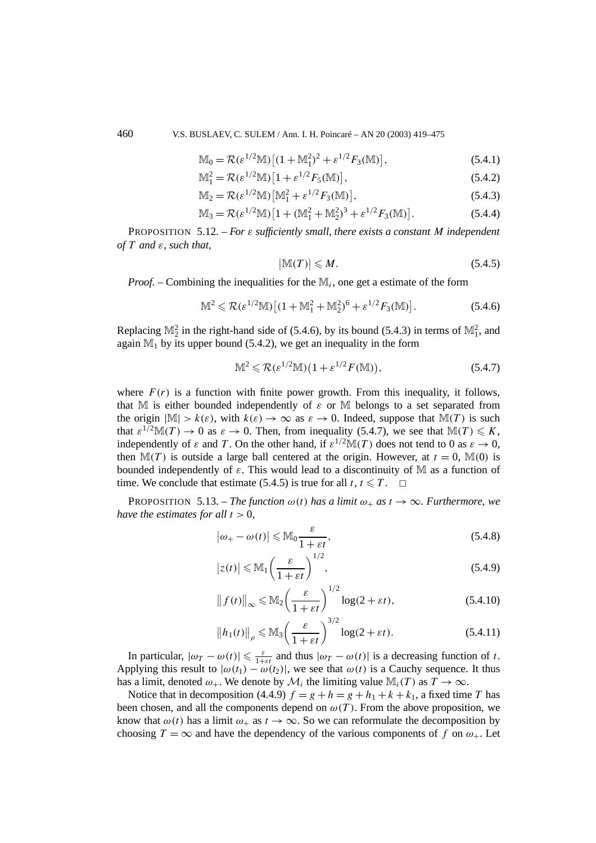460 V.S. BUSLAEV, C. SULEM / Ann. I. H. Poincaré – AN 20 (2003) 419–475

$$
\mathbb{M}_0 = \mathcal{R}(\varepsilon^{1/2} \mathbb{M}) \left[ (1 + \mathbb{M}_1^2)^2 + \varepsilon^{1/2} F_3(\mathbb{M}) \right],\tag{5.4.1}
$$

$$
\mathbb{M}_1^2 = \mathcal{R}(\varepsilon^{1/2} \mathbb{M}) \left[ 1 + \varepsilon^{1/2} F_5(\mathbb{M}) \right],\tag{5.4.2}
$$

$$
\mathbb{M}_2 = \mathcal{R}(\varepsilon^{1/2} \mathbb{M}) \left[ \mathbb{M}_1^2 + \varepsilon^{1/2} F_3(\mathbb{M}) \right],\tag{5.4.3}
$$

$$
\mathbb{M}_3 = \mathcal{R}(\varepsilon^{1/2} \mathbb{M}) \left[ 1 + (\mathbb{M}_1^2 + \mathbb{M}_2^2)^3 + \varepsilon^{1/2} F_3(\mathbb{M}) \right]. \tag{5.4.4}
$$

PROPOSITION 5.12. – *For ε sufficiently small, there exists a constant M independent of T and ε, such that,*

$$
|\mathbb{M}(T)| \leqslant M. \tag{5.4.5}
$$

*Proof. –* Combining the inequalities for the M*i*, one get a estimate of the form

$$
\mathbb{M}^2 \leqslant \mathcal{R}(\varepsilon^{1/2} \mathbb{M}) \left[ (1 + \mathbb{M}_1^2 + \mathbb{M}_2^2)^6 + \varepsilon^{1/2} F_3(\mathbb{M}) \right]. \tag{5.4.6}
$$

Replacing  $\mathbb{M}_2^2$  in the right-hand side of (5.4.6), by its bound (5.4.3) in terms of  $\mathbb{M}_1^2$ , and again  $M_1$  by its upper bound (5.4.2), we get an inequality in the form

$$
\mathbb{M}^2 \leqslant \mathcal{R}(\varepsilon^{1/2} \mathbb{M})(1 + \varepsilon^{1/2} F(\mathbb{M})),\tag{5.4.7}
$$

where  $F(r)$  is a function with finite power growth. From this inequality, it follows, that M is either bounded independently of  $\varepsilon$  or M belongs to a set separated from the origin  $|\mathbb{M}| > k(\varepsilon)$ , with  $k(\varepsilon) \to \infty$  as  $\varepsilon \to 0$ . Indeed, suppose that  $\mathbb{M}(T)$  is such that  $\varepsilon^{1/2} \mathbb{M}(T) \to 0$  as  $\varepsilon \to 0$ . Then, from inequality (5.4.7), we see that  $\mathbb{M}(T) \leqslant K$ , independently of  $\varepsilon$  and *T*. On the other hand, if  $\varepsilon^{1/2}M(T)$  does not tend to 0 as  $\varepsilon \to 0$ , then  $\mathbb{M}(T)$  is outside a large ball centered at the origin. However, at  $t = 0$ ,  $\mathbb{M}(0)$  is bounded independently of *ε*. This would lead to a discontinuity of M as a function of time. We conclude that estimate (5.4.5) is true for all  $t, t \leq T$ .  $\Box$ 

**PROPOSITION** 5.13. – *The function*  $\omega(t)$  *has a limit*  $\omega_+$  *as*  $t \to \infty$ *. Furthermore, we have the estimates for all*  $t > 0$ *,* 

$$
\left|\omega_{+} - \omega(t)\right| \leq M_0 \frac{\varepsilon}{1 + \varepsilon t},\tag{5.4.8}
$$

$$
|z(t)| \le M_1 \left(\frac{\varepsilon}{1 + \varepsilon t}\right)^{1/2},\tag{5.4.9}
$$

$$
\|f(t)\|_{\infty} \le M_2 \left(\frac{\varepsilon}{1+\varepsilon t}\right)^{1/2} \log(2+\varepsilon t),\tag{5.4.10}
$$

$$
\|h_1(t)\|_{\rho} \leq \mathbb{M}_3 \left(\frac{\varepsilon}{1+\varepsilon t}\right)^{3/2} \log(2+\varepsilon t). \tag{5.4.11}
$$

In particular,  $|\omega_T - \omega(t)| \le \frac{\varepsilon}{1+\varepsilon t}$  and thus  $|\omega_T - \omega(t)|$  is a decreasing function of *t*. Applying this result to  $|\omega(t_1) - \omega(t_2)|$ , we see that  $\omega(t)$  is a Cauchy sequence. It thus has a limit, denoted  $\omega_+$ . We denote by  $\mathcal{M}_i$  the limiting value  $\mathbb{M}_i(T)$  as  $T \to \infty$ .

Notice that in decomposition (4.4.9)  $f = g + h = g + h_1 + k + k_1$ , a fixed time *T* has been chosen, and all the components depend on  $\omega(T)$ . From the above proposition, we know that  $\omega(t)$  has a limit  $\omega_+$  as  $t \to \infty$ . So we can reformulate the decomposition by choosing  $T = \infty$  and have the dependency of the various components of f on  $\omega_+$ . Let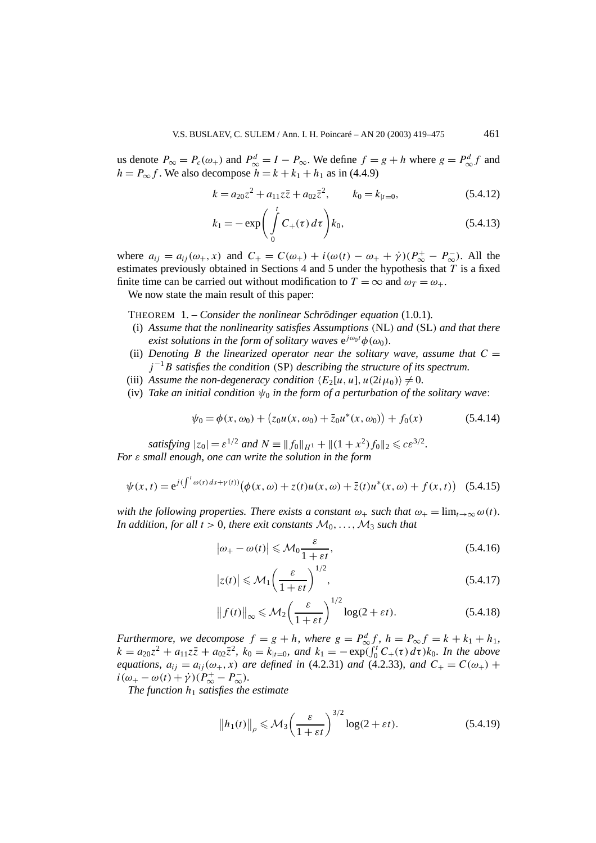us denote  $P_{\infty} = P_c(\omega_+)$  and  $P_{\infty}^d = I - P_{\infty}$ . We define  $f = g + h$  where  $g = P_{\infty}^d f$  and  $h = P_{\infty} f$ . We also decompose  $h = k + k_1 + h_1$  as in (4.4.9)

$$
k = a_{20}z^2 + a_{11}z\overline{z} + a_{02}\overline{z}^2, \qquad k_0 = k_{|t=0},
$$
 (5.4.12)

$$
k_1 = -\exp\bigg(\int_0^t C_+(\tau) \, d\tau\bigg) k_0,\tag{5.4.13}
$$

where  $a_{ij} = a_{ij}(\omega_+, x)$  and  $C_+ = C(\omega_+) + i(\omega(t) - \omega_+ + \dot{\gamma})(P^+_{\infty} - P^-_{\infty})$ . All the estimates previously obtained in Sections 4 and 5 under the hypothesis that *T* is a fixed finite time can be carried out without modification to  $T = \infty$  and  $\omega_T = \omega_+$ .

We now state the main result of this paper:

THEOREM 1. – *Consider the nonlinear Schrödinger equation* (1.0.1)*.*

- (i) *Assume that the nonlinearity satisfies Assumptions (*NL*) and (*SL*) and that there exist solutions in the form of solitary waves*  $e^{j\omega_0 t}\phi(\omega_0)$ *.*
- (ii) *Denoting B* the linearized operator near the solitary wave, assume that  $C =$  $j^{-1}B$  *satisfies the condition (SP) describing the structure of its spectrum.*
- (iii) Assume the non-degeneracy condition  $\langle E_2[u, u], u(2i\mu_0)\rangle \neq 0$ .
- (iv) *Take an initial condition*  $\psi_0$  *in the form of a perturbation of the solitary wave:*

$$
\psi_0 = \phi(x, \omega_0) + (z_0 u(x, \omega_0) + \bar{z}_0 u^*(x, \omega_0)) + f_0(x) \tag{5.4.14}
$$

*satisfying*  $|z_0| = \varepsilon^{1/2}$  *and*  $N \equiv ||f_0||_{H^1} + ||(1 + x^2)f_0||_2 \leqslant c\varepsilon^{3/2}$ . *For ε small enough, one can write the solution in the form*

$$
\psi(x,t) = e^{j(\int^t \omega(s) ds + \gamma(t))} (\phi(x,\omega) + z(t)u(x,\omega) + \bar{z}(t)u^*(x,\omega) + f(x,t))
$$
 (5.4.15)

*with the following properties. There exists a constant*  $\omega_+$  *such that*  $\omega_+ = \lim_{t \to \infty} \omega(t)$ *. In addition, for all*  $t > 0$ *, there exit constants*  $M_0, \ldots, M_3$  *such that* 

$$
\left|\omega_{+} - \omega(t)\right| \leqslant \mathcal{M}_0 \frac{\varepsilon}{1 + \varepsilon t},\tag{5.4.16}
$$

$$
|z(t)| \leqslant \mathcal{M}_1 \left(\frac{\varepsilon}{1 + \varepsilon t}\right)^{1/2},\tag{5.4.17}
$$

$$
\|f(t)\|_{\infty} \leqslant \mathcal{M}_2 \bigg(\frac{\varepsilon}{1 + \varepsilon t}\bigg)^{1/2} \log(2 + \varepsilon t). \tag{5.4.18}
$$

*Furthermore, we decompose*  $f = g + h$ *, where*  $g = P_{\infty}^d f$ *,*  $h = P_{\infty} f = k + k_1 + h_1$ *,*  $k = a_{20}z^2 + a_{11}z\overline{z} + a_{02}\overline{z}^2$ ,  $k_0 = k_{|t=0}$ , and  $k_1 = -e^{i\pi}f(\int_0^t C_+(\tau) d\tau) k_0$ . In the above *equations,*  $a_{ij} = a_{ij}(\omega_+, x)$  *are defined in* (4.2.31) *and* (4.2.33)*, and*  $C_+ = C(\omega_+)$  +  $i(\omega_{+} - \omega(t) + \dot{\gamma})(P_{\infty}^{+} - P_{\infty}^{-}).$ 

*The function*  $h_1$  *satisfies the estimate* 

$$
\|h_1(t)\|_{\rho} \leqslant \mathcal{M}_3 \left(\frac{\varepsilon}{1+\varepsilon t}\right)^{3/2} \log(2+\varepsilon t). \tag{5.4.19}
$$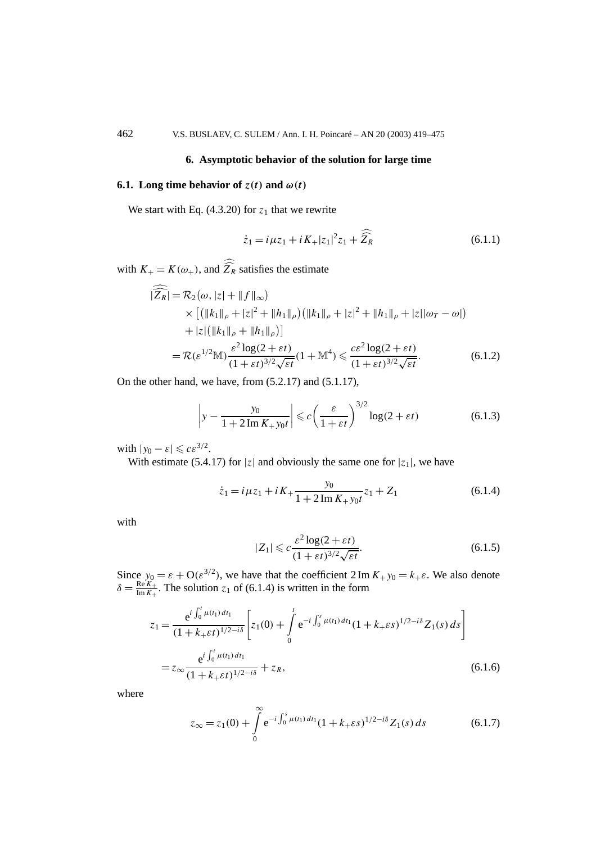## **6. Asymptotic behavior of the solution for large time**

## **6.1.** Long time behavior of  $z(t)$  and  $\omega(t)$

We start with Eq.  $(4.3.20)$  for  $z_1$  that we rewrite

$$
\dot{z}_1 = i\mu z_1 + iK_+|z_1|^2 z_1 + \widehat{Z_R}
$$
 (6.1.1)

with  $K_{+} = K(\omega_{+})$ , and  $Z_R$  satisfies the estimate

$$
|\widehat{Z_R}| = \mathcal{R}_2(\omega, |z| + \|f\|_{\infty})
$$
  
\n
$$
\times [(\|k_1\|_{\rho} + |z|^2 + \|h_1\|_{\rho})(\|k_1\|_{\rho} + |z|^2 + \|h_1\|_{\rho} + |z||\omega_T - \omega|)
$$
  
\n
$$
+ |z|([\|k_1\|_{\rho} + \|h_1\|_{\rho})]
$$
  
\n
$$
= \mathcal{R}(\varepsilon^{1/2} \mathbb{M}) \frac{\varepsilon^2 \log(2 + \varepsilon t)}{(1 + \varepsilon t)^{3/2} \sqrt{\varepsilon t}} (1 + \mathbb{M}^4) \leq \frac{c\varepsilon^2 \log(2 + \varepsilon t)}{(1 + \varepsilon t)^{3/2} \sqrt{\varepsilon t}}.
$$
 (6.1.2)

On the other hand, we have, from (5.2.17) and (5.1.17),

$$
\left| y - \frac{y_0}{1 + 2\operatorname{Im} K_+ y_0 t} \right| \leqslant c \left( \frac{\varepsilon}{1 + \varepsilon t} \right)^{3/2} \log(2 + \varepsilon t) \tag{6.1.3}
$$

with  $|y_0 - \varepsilon| \leqslant c \varepsilon^{3/2}$ .

With estimate (5.4.17) for  $|z|$  and obviously the same one for  $|z_1|$ , we have

$$
\dot{z}_1 = i\mu z_1 + iK_+ \frac{y_0}{1 + 2\operatorname{Im} K_+ y_0 t} z_1 + Z_1 \tag{6.1.4}
$$

with

$$
|Z_1| \leqslant c \frac{\varepsilon^2 \log(2 + \varepsilon t)}{(1 + \varepsilon t)^{3/2} \sqrt{\varepsilon t}}.\tag{6.1.5}
$$

Since  $y_0 = \varepsilon + O(\varepsilon^{3/2})$ , we have that the coefficient  $2 \text{Im } K_+ y_0 = k_+ \varepsilon$ . We also denote  $\delta = \frac{\text{Re } K_+}{\text{Im } K_+}$ . The solution *z*<sub>1</sub> of (6.1.4) is written in the form

$$
z_{1} = \frac{e^{i \int_{0}^{t} \mu(t_{1}) dt_{1}}}{(1 + k_{+} \varepsilon t)^{1/2 - i\delta}} \left[ z_{1}(0) + \int_{0}^{t} e^{-i \int_{0}^{s} \mu(t_{1}) dt_{1}} (1 + k_{+} \varepsilon s)^{1/2 - i\delta} Z_{1}(s) ds \right]
$$
  
=  $z_{\infty} \frac{e^{i \int_{0}^{t} \mu(t_{1}) dt_{1}}}{(1 + k_{+} \varepsilon t)^{1/2 - i\delta}} + z_{R},$  (6.1.6)

where

$$
z_{\infty} = z_1(0) + \int_0^{\infty} e^{-i \int_0^s \mu(t_1) dt_1} (1 + k_+ \varepsilon s)^{1/2 - i\delta} Z_1(s) ds \qquad (6.1.7)
$$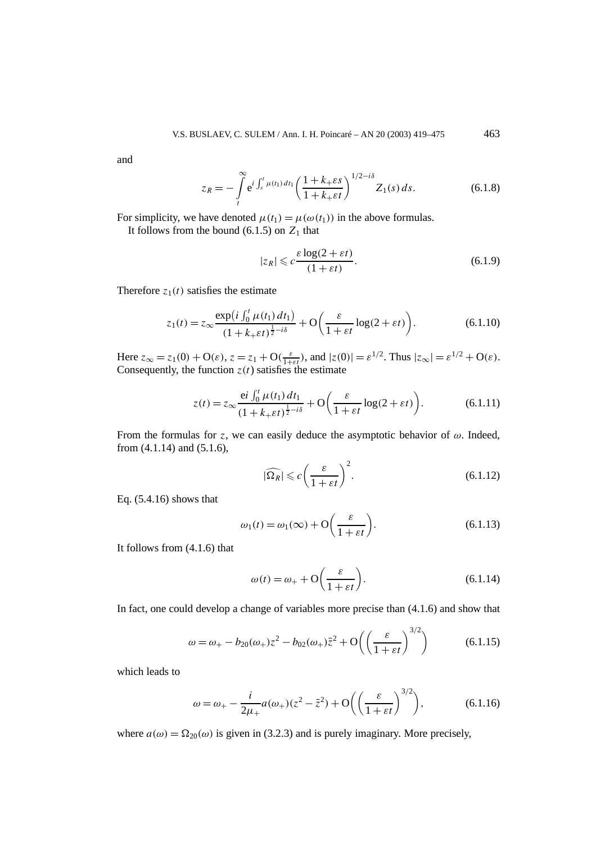and

$$
z_R = -\int\limits_t^\infty e^{i\int_s^t \mu(t_1) dt_1} \left(\frac{1+k_+ \varepsilon s}{1+k_+ \varepsilon t}\right)^{1/2 - i\delta} Z_1(s) ds.
$$
 (6.1.8)

For simplicity, we have denoted  $\mu(t_1) = \mu(\omega(t_1))$  in the above formulas.

It follows from the bound  $(6.1.5)$  on  $Z_1$  that

$$
|z_R| \leqslant c \frac{\varepsilon \log(2 + \varepsilon t)}{(1 + \varepsilon t)}.\tag{6.1.9}
$$

Therefore  $z_1(t)$  satisfies the estimate

$$
z_1(t) = z_\infty \frac{\exp\left(i \int_0^t \mu(t_1) dt_1\right)}{\left(1 + k_+ \varepsilon t\right)^{\frac{1}{2} - i\delta}} + \mathcal{O}\left(\frac{\varepsilon}{1 + \varepsilon t} \log(2 + \varepsilon t)\right). \tag{6.1.10}
$$

Here  $z_{\infty} = z_1(0) + O(\varepsilon)$ ,  $z = z_1 + O(\frac{\varepsilon}{1 + \varepsilon t})$ , and  $|z(0)| = \varepsilon^{1/2}$ . Thus  $|z_{\infty}| = \varepsilon^{1/2} + O(\varepsilon)$ . Consequently, the function  $z(t)$  satisfies the estimate

$$
z(t) = z_{\infty} \frac{\mathrm{e}i \int_0^t \mu(t_1) dt_1}{(1 + k_+\varepsilon t)^{\frac{1}{2} - i\delta}} + \mathcal{O}\left(\frac{\varepsilon}{1 + \varepsilon t} \log(2 + \varepsilon t)\right).
$$
 (6.1.11)

From the formulas for *z*, we can easily deduce the asymptotic behavior of  $\omega$ . Indeed, from (4.1.14) and (5.1.6),

$$
|\widehat{\Omega_R}| \leqslant c \left(\frac{\varepsilon}{1 + \varepsilon t}\right)^2. \tag{6.1.12}
$$

Eq. (5.4.16) shows that

$$
\omega_1(t) = \omega_1(\infty) + \mathcal{O}\left(\frac{\varepsilon}{1 + \varepsilon t}\right). \tag{6.1.13}
$$

It follows from (4.1.6) that

$$
\omega(t) = \omega_+ + \mathcal{O}\left(\frac{\varepsilon}{1 + \varepsilon t}\right). \tag{6.1.14}
$$

In fact, one could develop a change of variables more precise than (4.1.6) and show that

$$
\omega = \omega_{+} - b_{20}(\omega_{+})z^{2} - b_{02}(\omega_{+})\bar{z}^{2} + O\left(\left(\frac{\varepsilon}{1 + \varepsilon t}\right)^{3/2}\right)
$$
(6.1.15)

which leads to

$$
\omega = \omega_+ - \frac{i}{2\mu_+} a(\omega_+)(z^2 - \bar{z}^2) + \mathcal{O}\left(\left(\frac{\varepsilon}{1 + \varepsilon t}\right)^{3/2}\right),\tag{6.1.16}
$$

where  $a(\omega) = \Omega_{20}(\omega)$  is given in (3.2.3) and is purely imaginary. More precisely,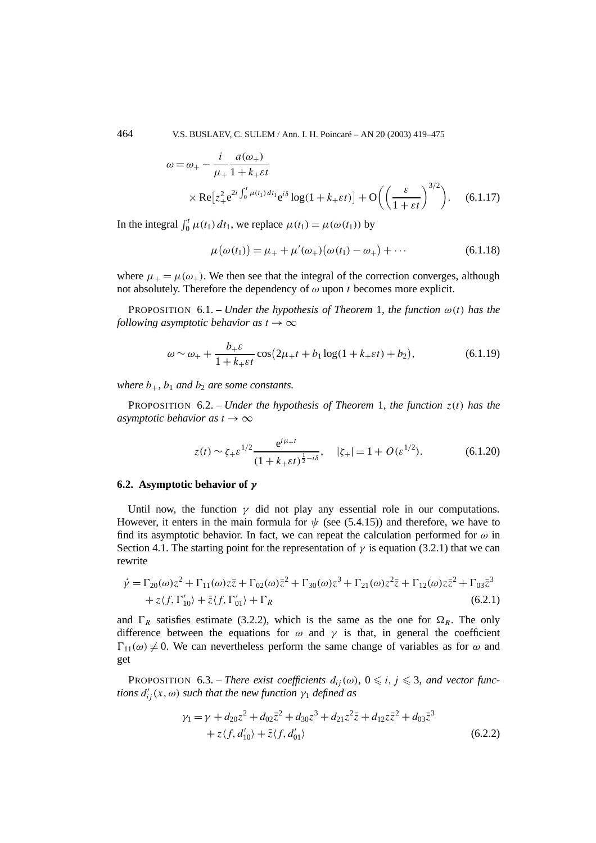464 V.S. BUSLAEV, C. SULEM / Ann. I. H. Poincaré – AN 20 (2003) 419–475

$$
\omega = \omega_{+} - \frac{i}{\mu_{+}} \frac{a(\omega_{+})}{1 + k_{+} \varepsilon t}
$$
  
 
$$
\times \operatorname{Re} [z_{+}^{2} e^{2i \int_{0}^{t} \mu(t_{1}) dt_{1}} e^{i\delta} \log(1 + k_{+} \varepsilon t)] + O\left(\left(\frac{\varepsilon}{1 + \varepsilon t}\right)^{3/2}\right).
$$
 (6.1.17)

In the integral  $\int_0^t \mu(t_1) dt_1$ , we replace  $\mu(t_1) = \mu(\omega(t_1))$  by

$$
\mu(\omega(t_1)) = \mu_+ + \mu'(\omega_+)(\omega(t_1) - \omega_+) + \cdots
$$
\n(6.1.18)

where  $\mu_{+} = \mu(\omega_{+})$ . We then see that the integral of the correction converges, although not absolutely. Therefore the dependency of *ω* upon *t* becomes more explicit.

**PROPOSITION** 6.1. – *Under the hypothesis of Theorem* 1*, the function*  $\omega(t)$  *has the following asymptotic behavior as*  $t \to \infty$ 

$$
\omega \sim \omega_+ + \frac{b_+\varepsilon}{1 + k_+\varepsilon t} \cos\left(2\mu_+ t + b_1 \log(1 + k_+\varepsilon t) + b_2\right),\tag{6.1.19}
$$

*where*  $b_+$ ,  $b_1$  *and*  $b_2$  *are some constants.* 

PROPOSITION 6.2. – *Under the hypothesis of Theorem* 1*, the function z(t) has the asymptotic behavior as*  $t \to \infty$ 

$$
z(t) \sim \zeta_{+} \varepsilon^{1/2} \frac{e^{i\mu_{+}t}}{(1 + k_{+} \varepsilon t)^{\frac{1}{2} - i\delta}}, \quad |\zeta_{+}| = 1 + O(\varepsilon^{1/2}). \tag{6.1.20}
$$

## **6.2. Asymptotic behavior of** *γ*

Until now, the function  $\gamma$  did not play any essential role in our computations. However, it enters in the main formula for  $\psi$  (see (5.4.15)) and therefore, we have to find its asymptotic behavior. In fact, we can repeat the calculation performed for  $\omega$  in Section 4.1. The starting point for the representation of  $\gamma$  is equation (3.2.1) that we can rewrite

$$
\dot{\gamma} = \Gamma_{20}(\omega)z^2 + \Gamma_{11}(\omega)z\bar{z} + \Gamma_{02}(\omega)\bar{z}^2 + \Gamma_{30}(\omega)z^3 + \Gamma_{21}(\omega)z^2\bar{z} + \Gamma_{12}(\omega)z\bar{z}^2 + \Gamma_{03}\bar{z}^3
$$
  
+  $z\langle f, \Gamma'_{10} \rangle + \bar{z}\langle f, \Gamma'_{01} \rangle + \Gamma_R$  (6.2.1)

and  $\Gamma_R$  satisfies estimate (3.2.2), which is the same as the one for  $\Omega_R$ . The only difference between the equations for  $\omega$  and  $\gamma$  is that, in general the coefficient  $\Gamma_{11}(\omega) \neq 0$ . We can nevertheless perform the same change of variables as for  $\omega$  and get

**PROPOSITION** 6.3. – *There exist coefficients*  $d_{ij}(\omega)$ ,  $0 \leq i, j \leq 3$ , and vector func*tions*  $d'_{ij}(x, \omega)$  *such that the new function*  $\gamma_1$  *defined as* 

$$
\gamma_1 = \gamma + d_{20}z^2 + d_{02}\bar{z}^2 + d_{30}z^3 + d_{21}z^2\bar{z} + d_{12}z\bar{z}^2 + d_{03}\bar{z}^3
$$
  
+  $z \langle f, d'_{10} \rangle + \bar{z} \langle f, d'_{01} \rangle$  (6.2.2)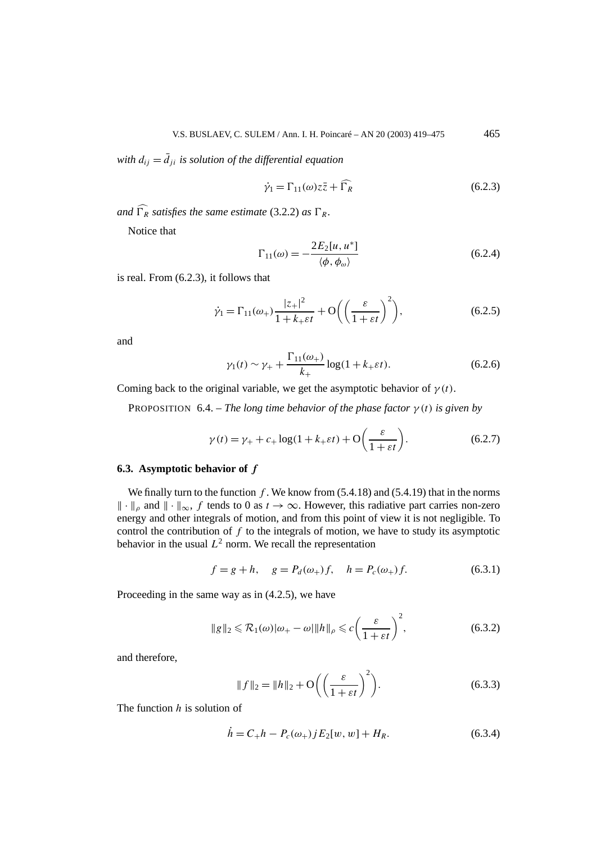*with*  $d_{ij} = d_{ji}$  *is solution of the differential equation* 

$$
\dot{\gamma}_1 = \Gamma_{11}(\omega) z \bar{z} + \bar{\Gamma}_R \tag{6.2.3}
$$

*and*  $\Gamma_R$  *satisfies the same estimate* (3.2.2) *as*  $\Gamma_R$ *.* 

Notice that

$$
\Gamma_{11}(\omega) = -\frac{2E_2[u, u^*]}{\langle \phi, \phi_\omega \rangle} \tag{6.2.4}
$$

is real. From (6.2.3), it follows that

$$
\dot{\gamma}_1 = \Gamma_{11}(\omega_+) \frac{|z_+|^2}{1 + k_+ \varepsilon t} + \mathcal{O}\left(\left(\frac{\varepsilon}{1 + \varepsilon t}\right)^2\right),\tag{6.2.5}
$$

and

$$
\gamma_1(t) \sim \gamma_+ + \frac{\Gamma_{11}(\omega_+)}{k_+} \log(1 + k_+ \varepsilon t). \tag{6.2.6}
$$

Coming back to the original variable, we get the asymptotic behavior of  $\gamma(t)$ .

PROPOSITION 6.4. – *The long time behavior of the phase factor*  $\gamma(t)$  *is given by* 

$$
\gamma(t) = \gamma_+ + c_+ \log(1 + k_+ \varepsilon t) + \mathcal{O}\left(\frac{\varepsilon}{1 + \varepsilon t}\right). \tag{6.2.7}
$$

## **6.3. Asymptotic behavior of** *f*

We finally turn to the function  $f$ . We know from  $(5.4.18)$  and  $(5.4.19)$  that in the norms  $\|\cdot\|_{\infty}$  and  $\|\cdot\|_{\infty}$ , *f* tends to 0 as  $t \to \infty$ . However, this radiative part carries non-zero energy and other integrals of motion, and from this point of view it is not negligible. To control the contribution of *f* to the integrals of motion, we have to study its asymptotic behavior in the usual  $L^2$  norm. We recall the representation

$$
f = g + h
$$
,  $g = P_d(\omega_+) f$ ,  $h = P_c(\omega_+) f$ . (6.3.1)

Proceeding in the same way as in (4.2.5), we have

$$
\|g\|_2 \leq \mathcal{R}_1(\omega)|\omega_+ - \omega|\|h\|_{\rho} \leq c\left(\frac{\varepsilon}{1+\varepsilon t}\right)^2,\tag{6.3.2}
$$

and therefore,

$$
||f||_2 = ||h||_2 + O\left(\left(\frac{\varepsilon}{1 + \varepsilon t}\right)^2\right).
$$
 (6.3.3)

The function *h* is solution of

$$
\dot{h} = C_{+}h - P_{c}(\omega_{+})jE_{2}[w, w] + H_{R}.
$$
\n(6.3.4)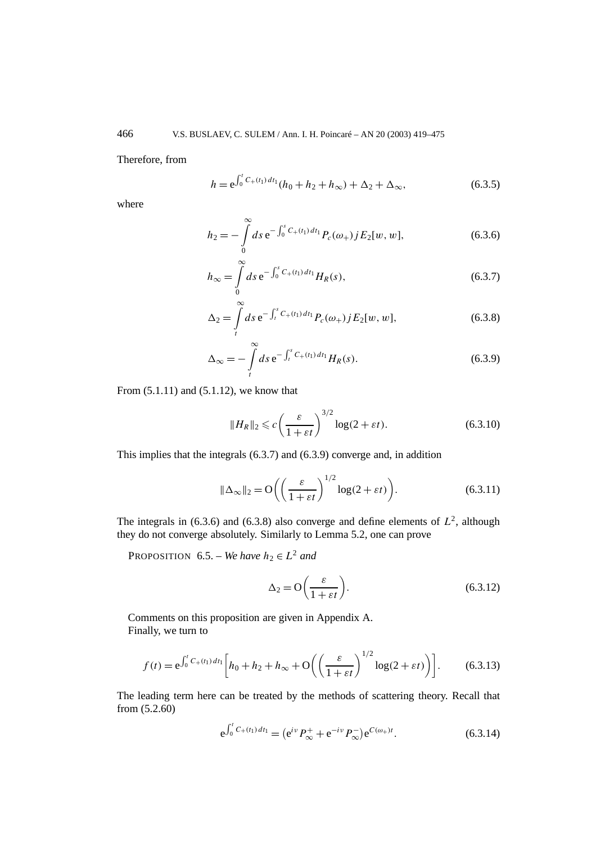Therefore, from

$$
h = e^{\int_0^t C_+(t_1) dt_1} (h_0 + h_2 + h_\infty) + \Delta_2 + \Delta_\infty,
$$
\n(6.3.5)

where

$$
h_2 = -\int_0^\infty ds \, \mathrm{e}^{-\int_0^s C_+(t_1) \, dt_1} P_c(\omega_+) \, j E_2[w, w], \tag{6.3.6}
$$

$$
h_{\infty} = \int_{0}^{\infty} ds \, \mathrm{e}^{-\int_{0}^{s} C_{+}(t_{1}) \, dt_{1}} H_{R}(s), \tag{6.3.7}
$$

$$
\Delta_2 = \int\limits_t^\infty ds \, \mathrm{e}^{-\int_t^s C_+(t_1) \, dt_1} P_c(\omega_+) \, j E_2[w, w], \tag{6.3.8}
$$

$$
\Delta_{\infty} = -\int_{t}^{\infty} ds \, e^{-\int_{t}^{s} C_{+}(t_{1}) \, dt_{1}} H_{R}(s). \tag{6.3.9}
$$

From (5.1.11) and (5.1.12), we know that

$$
||H_R||_2 \leqslant c \left(\frac{\varepsilon}{1 + \varepsilon t}\right)^{3/2} \log(2 + \varepsilon t). \tag{6.3.10}
$$

This implies that the integrals (6.3.7) and (6.3.9) converge and, in addition

$$
\|\Delta_{\infty}\|_{2} = O\left(\left(\frac{\varepsilon}{1 + \varepsilon t}\right)^{1/2} \log(2 + \varepsilon t)\right).
$$
 (6.3.11)

The integrals in (6.3.6) and (6.3.8) also converge and define elements of  $L^2$ , although they do not converge absolutely. Similarly to Lemma 5.2, one can prove

PROPOSITION 6.5. – *We have*  $h_2 \in L^2$  *and* 

$$
\Delta_2 = \mathcal{O}\left(\frac{\varepsilon}{1 + \varepsilon t}\right). \tag{6.3.12}
$$

Comments on this proposition are given in Appendix A. Finally, we turn to

$$
f(t) = e^{\int_0^t C_+(t_1) dt_1} \left[ h_0 + h_2 + h_\infty + O\left( \left( \frac{\varepsilon}{1 + \varepsilon t} \right)^{1/2} \log(2 + \varepsilon t) \right) \right].
$$
 (6.3.13)

The leading term here can be treated by the methods of scattering theory. Recall that from (5.2.60)

$$
e^{\int_0^t C_+(t_1) dt_1} = (e^{i\nu} P_\infty^+ + e^{-i\nu} P_\infty^-) e^{C(\omega_+)t}.
$$
 (6.3.14)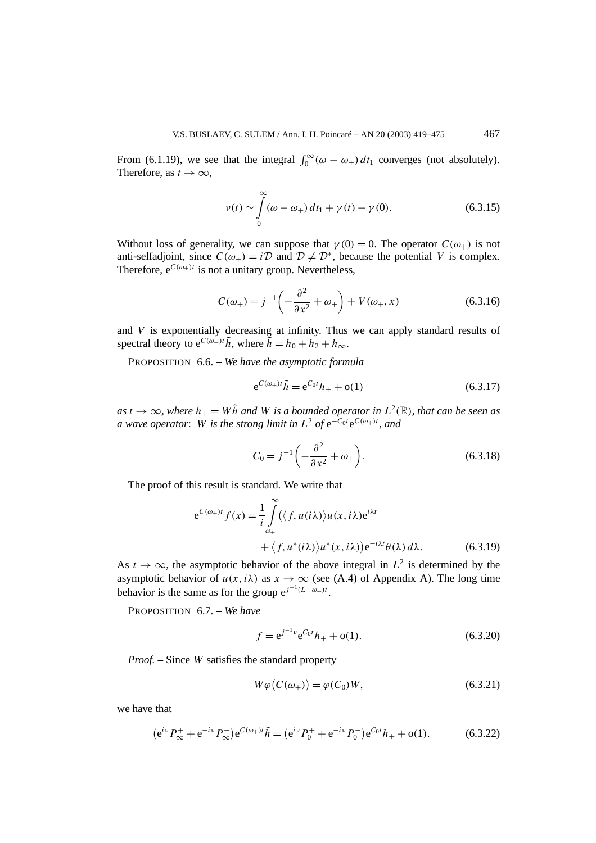From (6.1.19), we see that the integral  $\int_0^\infty (\omega - \omega_+) dt_1$  converges (not absolutely). Therefore, as  $t \to \infty$ ,

$$
\nu(t) \sim \int_{0}^{\infty} (\omega - \omega_{+}) dt_{1} + \gamma(t) - \gamma(0). \tag{6.3.15}
$$

Without loss of generality, we can suppose that  $\gamma(0) = 0$ . The operator  $C(\omega_+)$  is not anti-selfadjoint, since  $C(\omega_+) = i\mathcal{D}$  and  $\mathcal{D} \neq \mathcal{D}^*$ , because the potential *V* is complex. Therefore,  $e^{C(\omega_+)t}$  is not a unitary group. Nevertheless,

$$
C(\omega_{+}) = j^{-1} \left( -\frac{\partial^{2}}{\partial x^{2}} + \omega_{+} \right) + V(\omega_{+}, x)
$$
 (6.3.16)

and *V* is exponentially decreasing at infinity. Thus we can apply standard results of spectral theory to  $e^{C(\omega_+)t}\tilde{h}$ , where  $\tilde{h} = h_0 + h_2 + h_\infty$ .

PROPOSITION 6.6. – *We have the asymptotic formula*

$$
e^{C(\omega_+)t}\tilde{h} = e^{C_0t}h_+ + o(1) \tag{6.3.17}
$$

 $as t \to \infty$ *, where*  $h_{+} = W\tilde{h}$  *and W is a bounded operator in*  $L^{2}(\mathbb{R})$ *, that can be seen as a* wave operator: W is the strong limit in  $L^2$  of  $e^{-C_0t}e^{C(\omega_+)t}$ , and

$$
C_0 = j^{-1} \left( -\frac{\partial^2}{\partial x^2} + \omega_+ \right). \tag{6.3.18}
$$

The proof of this result is standard. We write that

$$
e^{C(\omega_{+})t} f(x) = \frac{1}{i} \int_{\omega_{+}}^{\infty} (\langle f, u(i\lambda) \rangle u(x, i\lambda) e^{i\lambda t} + \langle f, u^{*}(i\lambda) \rangle u^{*}(x, i\lambda)) e^{-i\lambda t} \theta(\lambda) d\lambda.
$$
 (6.3.19)

As  $t \to \infty$ , the asymptotic behavior of the above integral in  $L^2$  is determined by the asymptotic behavior of  $u(x, i\lambda)$  as  $x \to \infty$  (see (A.4) of Appendix A). The long time behavior is the same as for the group  $e^{j^{-1}(L+\omega_{+})t}$ .

PROPOSITION 6.7. – *We have*

$$
f = e^{j^{-1} \nu} e^{C_0 t} h_+ + o(1). \tag{6.3.20}
$$

*Proof. –* Since *W* satisfies the standard property

$$
W\varphi(C(\omega_+)) = \varphi(C_0)W,\tag{6.3.21}
$$

we have that

$$
(e^{iv}P_{\infty}^+ + e^{-iv}P_{\infty}^-)e^{C(\omega_+)t}\tilde{h} = (e^{iv}P_0^+ + e^{-iv}P_0^-)e^{C_0t}h_+ + o(1). \tag{6.3.22}
$$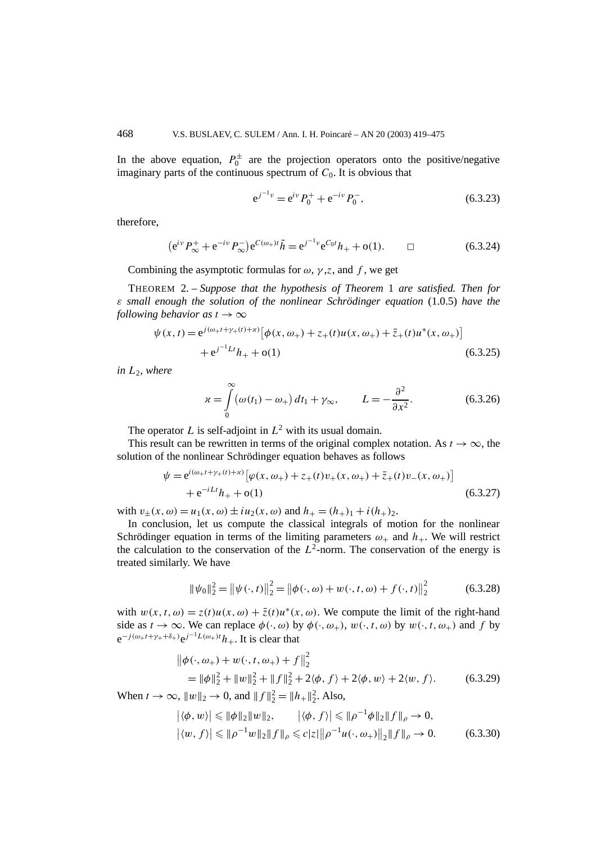In the above equation,  $P_0^{\pm}$  are the projection operators onto the positive/negative imaginary parts of the continuous spectrum of  $C_0$ . It is obvious that

$$
e^{j^{-1}\nu} = e^{i\nu} P_0^+ + e^{-i\nu} P_0^-, \tag{6.3.23}
$$

therefore,

$$
(e^{iv}P_{\infty}^+ + e^{-iv}P_{\infty}^-)e^{C(\omega_+)t}\tilde{h} = e^{j^{-1}v}e^{C_0t}h_+ + o(1). \qquad \Box \qquad (6.3.24)
$$

Combining the asymptotic formulas for  $\omega$ ,  $\gamma$ , *z*, and f, we get

THEOREM 2. – *Suppose that the hypothesis of Theorem* 1 *are satisfied. Then for ε small enough the solution of the nonlinear Schrödinger equation* (1.0.5) *have the following behavior as*  $t \to \infty$ 

$$
\psi(x,t) = e^{j(\omega_{+}t + \gamma_{+}(t) + x)} \left[ \phi(x,\omega_{+}) + z_{+}(t)u(x,\omega_{+}) + \bar{z}_{+}(t)u^{*}(x,\omega_{+}) \right] + e^{j^{-1}Lt}h_{+} + o(1)
$$
\n(6.3.25)

 $in L<sub>2</sub>, where$ 

$$
\chi = \int_{0}^{\infty} (\omega(t_1) - \omega_+) dt_1 + \gamma_{\infty}, \qquad L = -\frac{\partial^2}{\partial x^2}.
$$
 (6.3.26)

The operator *L* is self-adjoint in  $L^2$  with its usual domain.

This result can be rewritten in terms of the original complex notation. As  $t \to \infty$ , the solution of the nonlinear Schrödinger equation behaves as follows

$$
\psi = e^{i(\omega_{+}t + \gamma_{+}(t) + x)} [\varphi(x, \omega_{+}) + z_{+}(t)v_{+}(x, \omega_{+}) + \bar{z}_{+}(t)v_{-}(x, \omega_{+})] + e^{-iLt}h_{+} + o(1)
$$
\n(6.3.27)

with  $v_{+}(x, \omega) = u_{1}(x, \omega) \pm i u_{2}(x, \omega)$  and  $h_{+} = (h_{+})_{1} + i(h_{+})_{2}$ .

In conclusion, let us compute the classical integrals of motion for the nonlinear Schrödinger equation in terms of the limiting parameters  $\omega_+$  and  $h_+$ . We will restrict the calculation to the conservation of the  $L^2$ -norm. The conservation of the energy is treated similarly. We have

$$
\|\psi_0\|_2^2 = \left\|\psi(\cdot, t)\right\|_2^2 = \left\|\phi(\cdot, \omega) + w(\cdot, t, \omega) + f(\cdot, t)\right\|_2^2 \tag{6.3.28}
$$

with  $w(x, t, \omega) = z(t)u(x, \omega) + \overline{z}(t)u^*(x, \omega)$ . We compute the limit of the right-hand side as  $t \to \infty$ . We can replace  $\phi(\cdot, \omega)$  by  $\phi(\cdot, \omega_+)$ ,  $w(\cdot, t, \omega)$  by  $w(\cdot, t, \omega_+)$  and f by  $e^{-j(\omega+t+\gamma_++\delta_+)}e^{j^{-1}L(\omega_+)t}h_+$ . It is clear that

$$
\|\phi(\cdot,\omega_+) + w(\cdot,t,\omega_+) + f\|_2^2
$$
  
=  $\|\phi\|_2^2 + \|w\|_2^2 + \|f\|_2^2 + 2\langle\phi, f\rangle + 2\langle\phi, w\rangle + 2\langle w, f\rangle.$  (6.3.29)

When  $t \to \infty$ ,  $||w||_2 \to 0$ , and  $||f||_2^2 = ||h_+||_2^2$ . Also,

$$
\begin{aligned} \left| \langle \phi, w \rangle \right| &\leq \|\phi\|_2 \|w\|_2, & |\langle \phi, f \rangle| \leq \|\rho^{-1} \phi\|_2 \|f\|_\rho \to 0, \\ \left| \langle w, f \rangle \right| &\leq \|\rho^{-1} w\|_2 \|f\|_\rho \leqslant c |z| \|\rho^{-1} u(\cdot, \omega_+) \|_2 \|f\|_\rho \to 0. \end{aligned} \tag{6.3.30}
$$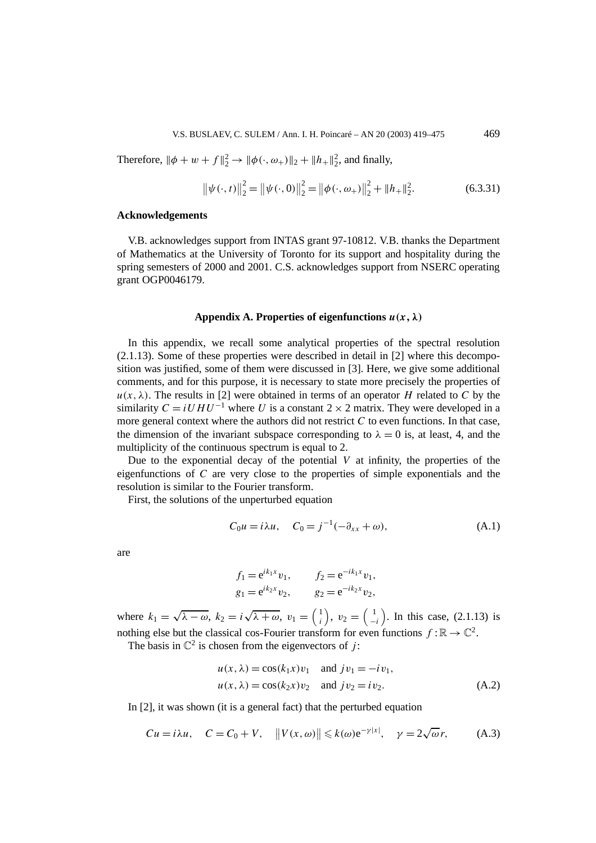Therefore,  $\|\phi + w + f\|_2^2 \to \|\phi(\cdot, \omega_+)\|_2 + \|h_+\|_2^2$ , and finally,

$$
\left\|\psi(\cdot,t)\right\|_{2}^{2} = \left\|\psi(\cdot,0)\right\|_{2}^{2} = \left\|\phi(\cdot,\omega_{+})\right\|_{2}^{2} + \left\|h_{+}\right\|_{2}^{2}.
$$
 (6.3.31)

## **Acknowledgements**

V.B. acknowledges support from INTAS grant 97-10812. V.B. thanks the Department of Mathematics at the University of Toronto for its support and hospitality during the spring semesters of 2000 and 2001. C.S. acknowledges support from NSERC operating grant OGP0046179.

## Appendix A. Properties of eigenfunctions  $u(x, \lambda)$

In this appendix, we recall some analytical properties of the spectral resolution  $(2.1.13)$ . Some of these properties were described in detail in [2] where this decomposition was justified, some of them were discussed in [3]. Here, we give some additional comments, and for this purpose, it is necessary to state more precisely the properties of  $u(x, \lambda)$ . The results in [2] were obtained in terms of an operator *H* related to *C* by the similarity  $C = iUHU^{-1}$  where *U* is a constant  $2 \times 2$  matrix. They were developed in a more general context where the authors did not restrict *C* to even functions. In that case, the dimension of the invariant subspace corresponding to  $\lambda = 0$  is, at least, 4, and the multiplicity of the continuous spectrum is equal to 2.

Due to the exponential decay of the potential  $V$  at infinity, the properties of the eigenfunctions of *C* are very close to the properties of simple exponentials and the resolution is similar to the Fourier transform.

First, the solutions of the unperturbed equation

$$
C_0 u = i\lambda u, \quad C_0 = j^{-1}(-\partial_{xx} + \omega), \tag{A.1}
$$

are

$$
f_1 = e^{ik_1x}v_1
$$
,  $f_2 = e^{-ik_1x}v_1$ ,  
\n $g_1 = e^{ik_2x}v_2$ ,  $g_2 = e^{-ik_2x}v_2$ ,

where  $k_1 = \sqrt{\lambda - \omega}$ ,  $k_2 = i\sqrt{\lambda + \omega}$ ,  $v_1 = \begin{pmatrix} 1 \\ i \end{pmatrix}$ *i*  $\bigg), v_2 = \bigg( \frac{1}{2} \bigg)$ −*i* ). In this case,  $(2.1.13)$  is nothing else but the classical cos-Fourier transform for even functions  $f : \mathbb{R} \to \mathbb{C}^2$ .

The basis in  $\mathbb{C}^2$  is chosen from the eigenvectors of *j*:

$$
u(x, \lambda) = \cos(k_1 x)v_1 \quad \text{and } jv_1 = -iv_1,
$$
  

$$
u(x, \lambda) = \cos(k_2 x)v_2 \quad \text{and } jv_2 = iv_2.
$$
 (A.2)

In [2], it was shown (it is a general fact) that the perturbed equation

$$
Cu = i\lambda u, \quad C = C_0 + V, \quad ||V(x, \omega)|| \le k(\omega)e^{-\gamma|x|}, \quad \gamma = 2\sqrt{\omega}r, \quad (A.3)
$$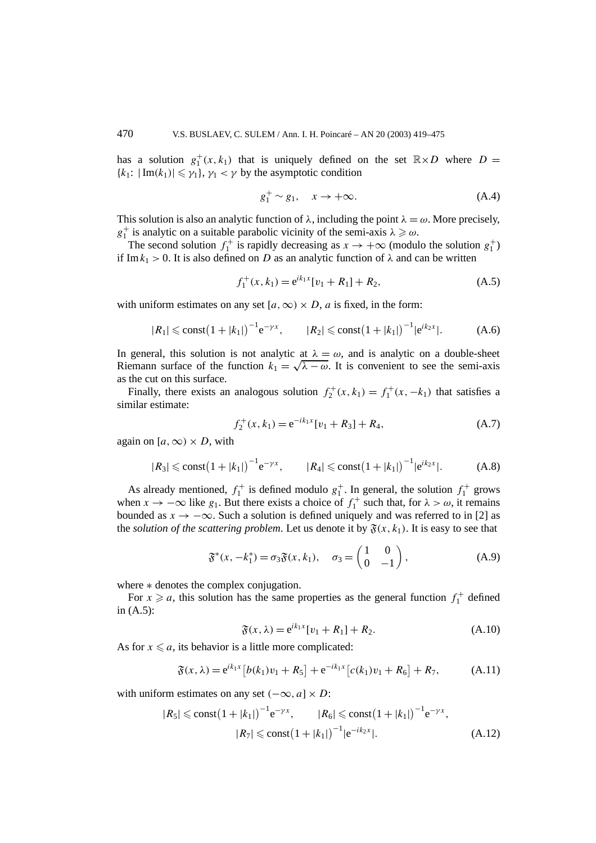has a solution  $g_1^+(x, k_1)$  that is uniquely defined on the set  $\mathbb{R} \times D$  where  $D =$  ${k_1: |Im(k_1)| \leq \gamma_1}, \gamma_1 < \gamma$  by the asymptotic condition

$$
g_1^+ \sim g_1, \quad x \to +\infty. \tag{A.4}
$$

This solution is also an analytic function of  $\lambda$ , including the point  $\lambda = \omega$ . More precisely,  $g_1^+$  is analytic on a suitable parabolic vicinity of the semi-axis  $\lambda \geq \omega$ .

The second solution  $f_1^+$  is rapidly decreasing as  $x \to +\infty$  (modulo the solution  $g_1^+$ ) if Im $k_1 > 0$ . It is also defined on *D* as an analytic function of  $\lambda$  and can be written

$$
f_1^+(x, k_1) = e^{ik_1x}[v_1 + R_1] + R_2,
$$
\n(A.5)

with uniform estimates on any set  $[a, \infty) \times D$ , *a* is fixed, in the form:

$$
|R_1| \le \text{const} \big(1+|k_1|\big)^{-1} e^{-\gamma x}, \qquad |R_2| \le \text{const} \big(1+|k_1|\big)^{-1} |e^{ik_2 x}|. \tag{A.6}
$$

In general, this solution is not analytic at  $\lambda = \omega$ , and is analytic on a double-sheet Riemann surface of the function  $k_1 = \sqrt{\lambda - \omega}$ . It is convenient to see the semi-axis as the cut on this surface.

Finally, there exists an analogous solution  $f_2^+(x, k_1) = f_1^+(x, -k_1)$  that satisfies a similar estimate:

$$
f_2^+(x,k_1) = e^{-ik_1x}[v_1 + R_3] + R_4,
$$
\n(A.7)

again on  $[a, \infty) \times D$ , with

$$
|R_3| \le \text{const} \big(1+|k_1|\big)^{-1} e^{-\gamma x}, \qquad |R_4| \le \text{const} \big(1+|k_1|\big)^{-1} |e^{ik_2 x}|. \tag{A.8}
$$

As already mentioned,  $f_1^+$  is defined modulo  $g_1^+$ . In general, the solution  $f_1^+$  grows when  $x \to -\infty$  like  $g_1$ . But there exists a choice of  $f_1^+$  such that, for  $\lambda > \omega$ , it remains bounded as  $x \to -\infty$ . Such a solution is defined uniquely and was referred to in [2] as the *solution of the scattering problem*. Let us denote it by  $\mathfrak{F}(x, k_1)$ . It is easy to see that

$$
\mathfrak{F}^*(x, -k_1^*) = \sigma_3 \mathfrak{F}(x, k_1), \quad \sigma_3 = \begin{pmatrix} 1 & 0 \\ 0 & -1 \end{pmatrix}, \tag{A.9}
$$

where  $*$  denotes the complex conjugation.

For  $x \ge a$ , this solution has the same properties as the general function  $f_1^+$  defined in (A.5):

$$
\mathfrak{F}(x,\lambda) = e^{ik_1x}[v_1 + R_1] + R_2. \tag{A.10}
$$

As for  $x \le a$ , its behavior is a little more complicated:

$$
\mathfrak{F}(x,\lambda) = e^{ik_1x} \left[ b(k_1)v_1 + R_5 \right] + e^{-ik_1x} \left[ c(k_1)v_1 + R_6 \right] + R_7, \tag{A.11}
$$

with uniform estimates on any set  $(-\infty, a] \times D$ :

$$
|R_5| \le \text{const} \left(1 + |k_1|\right)^{-1} e^{-\gamma x}, \qquad |R_6| \le \text{const} \left(1 + |k_1|\right)^{-1} e^{-\gamma x},
$$

$$
|R_7| \le \text{const} \left(1 + |k_1|\right)^{-1} |e^{-ik_2 x}|. \tag{A.12}
$$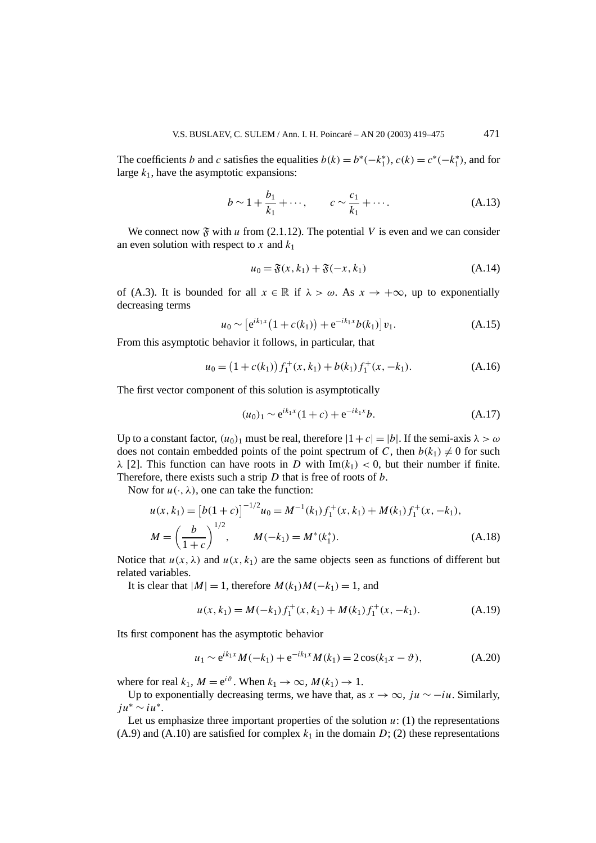The coefficients *b* and *c* satisfies the equalities  $b(k) = b^*(-k_1^*), c(k) = c^*(-k_1^*),$  and for large  $k_1$ , have the asymptotic expansions:

$$
b \sim 1 + \frac{b_1}{k_1} + \cdots
$$
,  $c \sim \frac{c_1}{k_1} + \cdots$ . (A.13)

We connect now  $\mathfrak{F}$  with *u* from (2.1.12). The potential *V* is even and we can consider an even solution with respect to  $x$  and  $k_1$ 

$$
u_0 = \mathfrak{F}(x, k_1) + \mathfrak{F}(-x, k_1) \tag{A.14}
$$

of (A.3). It is bounded for all  $x \in \mathbb{R}$  if  $\lambda > \omega$ . As  $x \to +\infty$ , up to exponentially decreasing terms

$$
u_0 \sim \left[e^{ik_1x} \left(1 + c(k_1)\right) + e^{-ik_1x} b(k_1)\right] v_1.
$$
 (A.15)

From this asymptotic behavior it follows, in particular, that

$$
u_0 = (1 + c(k_1)) f_1^+(x, k_1) + b(k_1) f_1^+(x, -k_1).
$$
 (A.16)

The first vector component of this solution is asymptotically

$$
(u_0)_1 \sim e^{ik_1x} (1+c) + e^{-ik_1x} b. \tag{A.17}
$$

Up to a constant factor,  $(u_0)_1$  must be real, therefore  $|1+c|=|b|$ . If the semi-axis  $\lambda > \omega$ does not contain embedded points of the point spectrum of *C*, then  $b(k_1) \neq 0$  for such *λ* [2]. This function can have roots in *D* with  $Im(k_1) < 0$ , but their number if finite. Therefore, there exists such a strip *D* that is free of roots of *b*.

Now for  $u(\cdot, \lambda)$ , one can take the function:

$$
u(x, k_1) = [b(1+c)]^{-1/2} u_0 = M^{-1}(k_1) f_1^+(x, k_1) + M(k_1) f_1^+(x, -k_1),
$$
  

$$
M = \left(\frac{b}{1+c}\right)^{1/2}, \qquad M(-k_1) = M^*(k_1^*).
$$
 (A.18)

Notice that  $u(x, \lambda)$  and  $u(x, k_1)$  are the same objects seen as functions of different but related variables.

It is clear that  $|M| = 1$ , therefore  $M(k_1)M(-k_1) = 1$ , and

$$
u(x, k_1) = M(-k_1) f_1^+(x, k_1) + M(k_1) f_1^+(x, -k_1).
$$
 (A.19)

Its first component has the asymptotic behavior

$$
u_1 \sim e^{ik_1x} M(-k_1) + e^{-ik_1x} M(k_1) = 2\cos(k_1x - \vartheta), \tag{A.20}
$$

where for real  $k_1$ ,  $M = e^{i\vartheta}$ . When  $k_1 \to \infty$ ,  $M(k_1) \to 1$ .

Up to exponentially decreasing terms, we have that, as  $x \to \infty$ , *ju* ∼ −*iu*. Similarly, *ju*<sup>∗</sup> ∼ *iu*<sup>∗</sup>.

Let us emphasize three important properties of the solution  $u: (1)$  the representations  $(A.9)$  and  $(A.10)$  are satisfied for complex  $k_1$  in the domain D; (2) these representations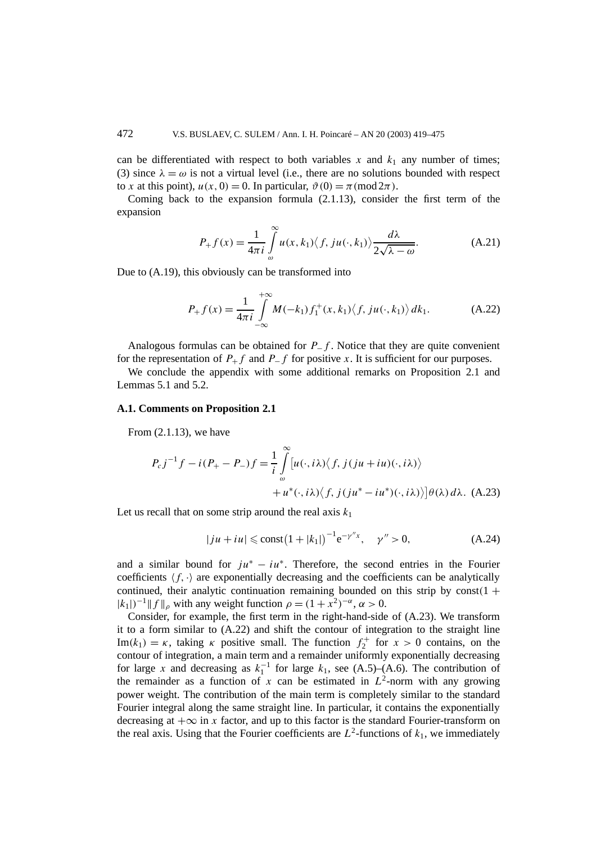can be differentiated with respect to both variables  $x$  and  $k_1$  any number of times; (3) since  $\lambda = \omega$  is not a virtual level (i.e., there are no solutions bounded with respect to *x* at this point),  $u(x, 0) = 0$ . In particular,  $\vartheta(0) = \pi \pmod{2\pi}$ .

Coming back to the expansion formula (2.1.13), consider the first term of the expansion

$$
P_{+}f(x) = \frac{1}{4\pi i} \int_{\omega}^{\infty} u(x, k_{1}) \langle f, ju(\cdot, k_{1}) \rangle \frac{d\lambda}{2\sqrt{\lambda - \omega}}.
$$
 (A.21)

Due to (A.19), this obviously can be transformed into

$$
P_{+}f(x) = \frac{1}{4\pi i} \int_{-\infty}^{+\infty} M(-k_{1}) f_{1}^{+}(x, k_{1}) \langle f, j u(\cdot, k_{1}) \rangle dk_{1}.
$$
 (A.22)

Analogous formulas can be obtained for *P*−*f* . Notice that they are quite convenient for the representation of  $P_+ f$  and  $P_- f$  for positive *x*. It is sufficient for our purposes.

We conclude the appendix with some additional remarks on Proposition 2.1 and Lemmas 5.1 and 5.2.

#### **A.1. Comments on Proposition 2.1**

From (2.1.13), we have

$$
P_c j^{-1} f - i (P_+ - P_-) f = \frac{1}{i} \int_{\omega}^{\infty} [u(\cdot, i\lambda) \langle f, j(ju + iu)(\cdot, i\lambda) \rangle
$$
  
+  $u^*(\cdot, i\lambda) \langle f, j(ju^* - iu^*)(\cdot, i\lambda) \rangle] \theta(\lambda) d\lambda$ . (A.23)

Let us recall that on some strip around the real axis  $k_1$ 

$$
|ju + iu| \le \text{const} \left(1 + |k_1|\right)^{-1} e^{-\gamma''x}, \quad \gamma'' > 0,
$$
 (A.24)

and a similar bound for  $ju^* - iu^*$ . Therefore, the second entries in the Fourier coefficients  $\langle f, \cdot \rangle$  are exponentially decreasing and the coefficients can be analytically continued, their analytic continuation remaining bounded on this strip by  $const(1 +$  $|k_1|$ <sup> $>1$ </sup>  $|f|$ <sub>*o*</sub> with any weight function  $\rho = (1 + x^2)^{-\alpha}, \alpha > 0.$ 

Consider, for example, the first term in the right-hand-side of (A.23). We transform it to a form similar to (A.22) and shift the contour of integration to the straight line Im $(k_1) = \kappa$ , taking  $\kappa$  positive small. The function  $f_2^+$  for  $x > 0$  contains, on the contour of integration, a main term and a remainder uniformly exponentially decreasing for large *x* and decreasing as  $k_1^{-1}$  for large  $k_1$ , see (A.5)–(A.6). The contribution of the remainder as a function of  $x$  can be estimated in  $L^2$ -norm with any growing power weight. The contribution of the main term is completely similar to the standard Fourier integral along the same straight line. In particular, it contains the exponentially decreasing at  $+\infty$  in *x* factor, and up to this factor is the standard Fourier-transform on the real axis. Using that the Fourier coefficients are  $L^2$ -functions of  $k_1$ , we immediately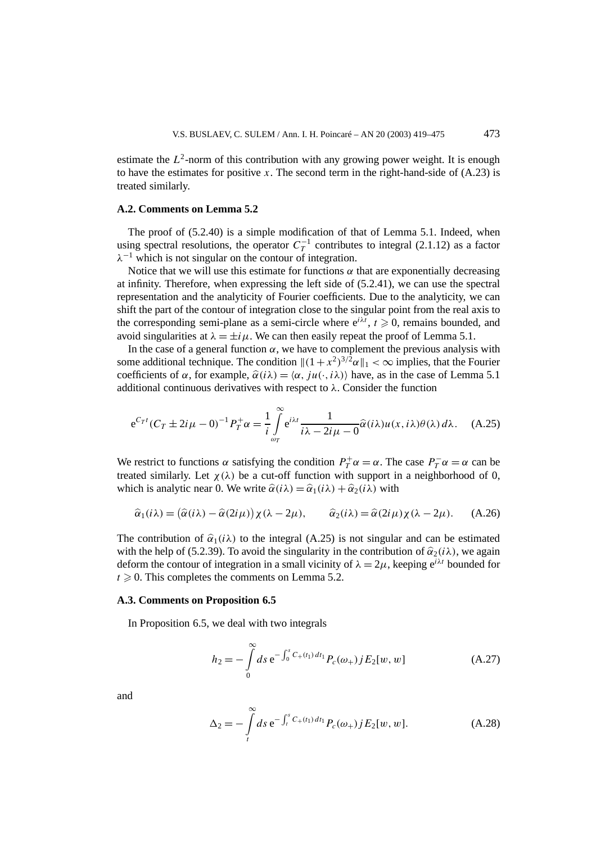estimate the  $L^2$ -norm of this contribution with any growing power weight. It is enough to have the estimates for positive x. The second term in the right-hand-side of  $(A.23)$  is treated similarly.

## **A.2. Comments on Lemma 5.2**

The proof of (5.2.40) is a simple modification of that of Lemma 5.1. Indeed, when using spectral resolutions, the operator  $C_T^{-1}$  contributes to integral (2.1.12) as a factor *λ*<sup>−</sup><sup>1</sup> which is not singular on the contour of integration.

Notice that we will use this estimate for functions  $\alpha$  that are exponentially decreasing at infinity. Therefore, when expressing the left side of (5.2.41), we can use the spectral representation and the analyticity of Fourier coefficients. Due to the analyticity, we can shift the part of the contour of integration close to the singular point from the real axis to the corresponding semi-plane as a semi-circle where  $e^{i\lambda t}$ ,  $t \ge 0$ , remains bounded, and avoid singularities at  $\lambda = \pm i\mu$ . We can then easily repeat the proof of Lemma 5.1.

In the case of a general function  $\alpha$ , we have to complement the previous analysis with some additional technique. The condition  $\|(1+x^2)^{3/2}\alpha\|_1 < \infty$  implies, that the Fourier coefficients of  $\alpha$ , for example,  $\hat{\alpha}(i\lambda) = \langle \alpha, i\mu(\cdot, i\lambda) \rangle$  have, as in the case of Lemma 5.1 additional continuous derivatives with respect to  $\lambda$ . Consider the function

$$
e^{C_T t} (C_T \pm 2i\mu - 0)^{-1} P_T^+ \alpha = \frac{1}{i} \int_{\omega_T}^{\infty} e^{i\lambda t} \frac{1}{i\lambda - 2i\mu - 0} \hat{\alpha}(i\lambda) u(x, i\lambda) \theta(\lambda) d\lambda.
$$
 (A.25)

We restrict to functions  $\alpha$  satisfying the condition  $P_T^+ \alpha = \alpha$ . The case  $P_T^- \alpha = \alpha$  can be treated similarly. Let  $\chi(\lambda)$  be a cut-off function with support in a neighborhood of 0, which is analytic near 0. We write  $\hat{\alpha}(i\lambda) = \hat{\alpha}_1(i\lambda) + \hat{\alpha}_2(i\lambda)$  with

$$
\hat{\alpha}_1(i\lambda) = (\hat{\alpha}(i\lambda) - \hat{\alpha}(2i\mu))\chi(\lambda - 2\mu), \qquad \hat{\alpha}_2(i\lambda) = \hat{\alpha}(2i\mu)\chi(\lambda - 2\mu). \tag{A.26}
$$

The contribution of  $\hat{\alpha}_1(i\lambda)$  to the integral (A.25) is not singular and can be estimated with the help of (5.2.39). To avoid the singularity in the contribution of  $\hat{\alpha}_2(i\lambda)$ , we again deform the contour of integration in a small vicinity of  $\lambda = 2\mu$ , keeping  $e^{i\lambda t}$  bounded for  $t \geqslant 0$ . This completes the comments on Lemma 5.2.

#### **A.3. Comments on Proposition 6.5**

In Proposition 6.5, we deal with two integrals

$$
h_2 = -\int_0^\infty ds \, \mathrm{e}^{-\int_0^s C_+(t_1) \, dt_1} P_c(\omega_+) j E_2[w, w] \tag{A.27}
$$

and

$$
\Delta_2 = -\int\limits_t^\infty ds \, \mathrm{e}^{-\int_t^s C_+(t_1) \, dt_1} P_c(\omega_+) j E_2[w, w]. \tag{A.28}
$$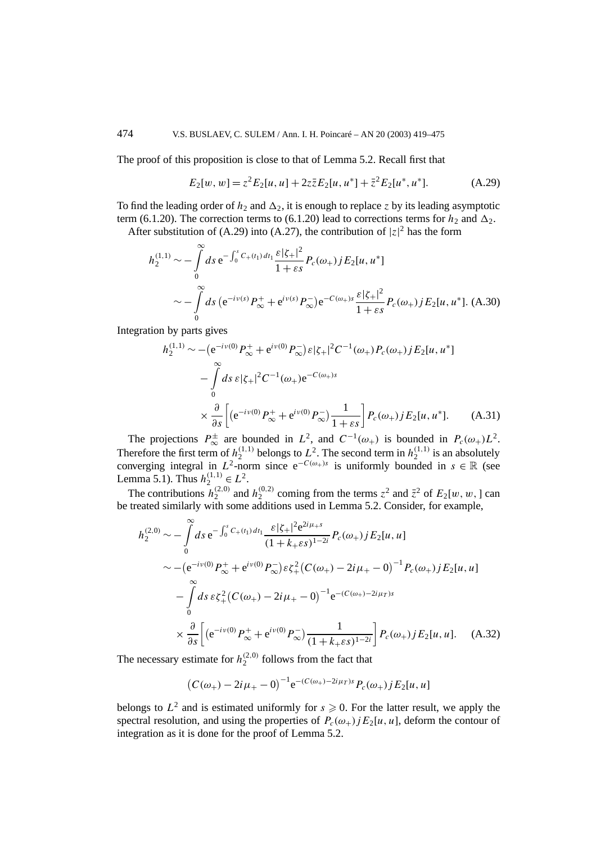The proof of this proposition is close to that of Lemma 5.2. Recall first that

$$
E_2[w, w] = z^2 E_2[u, u] + 2z \bar{z} E_2[u, u^*] + \bar{z}^2 E_2[u^*, u^*].
$$
 (A.29)

To find the leading order of  $h_2$  and  $\Delta_2$ , it is enough to replace *z* by its leading asymptotic term (6.1.20). The correction terms to (6.1.20) lead to corrections terms for  $h_2$  and  $\Delta_2$ .

After substitution of (A.29) into (A.27), the contribution of  $|z|^2$  has the form

$$
h_2^{(1,1)} \sim -\int_0^\infty ds \, \mathrm{e}^{-\int_0^s C_+(t_1) \, dt_1} \frac{\varepsilon |\zeta_+|^2}{1+\varepsilon s} P_c(\omega_+) j E_2[u, u^*]
$$
  

$$
\sim -\int_0^\infty ds \, (\mathrm{e}^{-i\nu(s)} P_\infty^+ + \mathrm{e}^{i\nu(s)} P_\infty^-) \mathrm{e}^{-C(\omega_+)s} \frac{\varepsilon |\zeta_+|^2}{1+\varepsilon s} P_c(\omega_+) j E_2[u, u^*]. \tag{A.30}
$$

Integration by parts gives

$$
h_2^{(1,1)} \sim - (e^{-i\nu(0)} P^+_{\infty} + e^{i\nu(0)} P^-_{\infty}) \varepsilon |\zeta_+|^2 C^{-1}(\omega_+) P_c(\omega_+) j E_2[u, u^*]
$$
  

$$
- \int_0^{\infty} ds \varepsilon |\zeta_+|^2 C^{-1}(\omega_+) e^{-C(\omega_+)s}
$$
  

$$
\times \frac{\partial}{\partial s} \Big[ \big( e^{-i\nu(0)} P^+_{\infty} + e^{i\nu(0)} P^-_{\infty} \big) \frac{1}{1 + \varepsilon s} \Big] P_c(\omega_+) j E_2[u, u^*]. \tag{A.31}
$$

The projections  $P_{\infty}^{\pm}$  are bounded in  $L^2$ , and  $C^{-1}(\omega_+)$  is bounded in  $P_c(\omega_+)L^2$ . Therefore the first term of  $h_2^{(1,1)}$  belongs to  $L^2$ . The second term in  $h_2^{(1,1)}$  is an absolutely converging integral in  $L^2$ -norm since  $e^{-C(\omega_+) s}$  is uniformly bounded in  $s \in \mathbb{R}$  (see Lemma 5.1). Thus  $h_2^{(1,1)} \in L^2$ .

The contributions  $h_2^{(2,0)}$  and  $h_2^{(0,2)}$  coming from the terms  $z^2$  and  $\bar{z}^2$  of  $E_2[w,w,]$  can be treated similarly with some additions used in Lemma 5.2. Consider, for example,

$$
h_2^{(2,0)} \sim -\int_0^\infty ds \, e^{-\int_0^s C_+(t_1) \, dt_1} \frac{\varepsilon |\zeta_+|^2 e^{2i\mu_+ s}}{(1 + k_+ \varepsilon s)^{1 - 2i}} P_c(\omega_+) j E_2[u, u]
$$
  

$$
\sim -\left(e^{-i\nu(0)} P_\infty^+ + e^{i\nu(0)} P_\infty^-\right) \varepsilon \zeta_+^2 \left(C(\omega_+) - 2i\mu_+ - 0\right)^{-1} P_c(\omega_+) j E_2[u, u]
$$
  

$$
-\int_0^\infty ds \, \varepsilon \zeta_+^2 \left(C(\omega_+) - 2i\mu_+ - 0\right)^{-1} e^{-(C(\omega_+) - 2i\mu_T)s}
$$
  

$$
\times \frac{\partial}{\partial s} \left[ \left(e^{-i\nu(0)} P_\infty^+ + e^{i\nu(0)} P_\infty^-\right) \frac{1}{(1 + k_+ \varepsilon s)^{1 - 2i}} \right] P_c(\omega_+) j E_2[u, u]. \quad (A.32)
$$

The necessary estimate for  $h_2^{(2,0)}$  follows from the fact that

$$
(C(\omega_+) - 2i\mu_+ - 0)^{-1} e^{-(C(\omega_+) - 2i\mu_T)s} P_c(\omega_+) j E_2[u, u]
$$

belongs to  $L^2$  and is estimated uniformly for  $s \ge 0$ . For the latter result, we apply the spectral resolution, and using the properties of  $P_c(\omega_+)jE_2[u, u]$ , deform the contour of integration as it is done for the proof of Lemma 5.2.